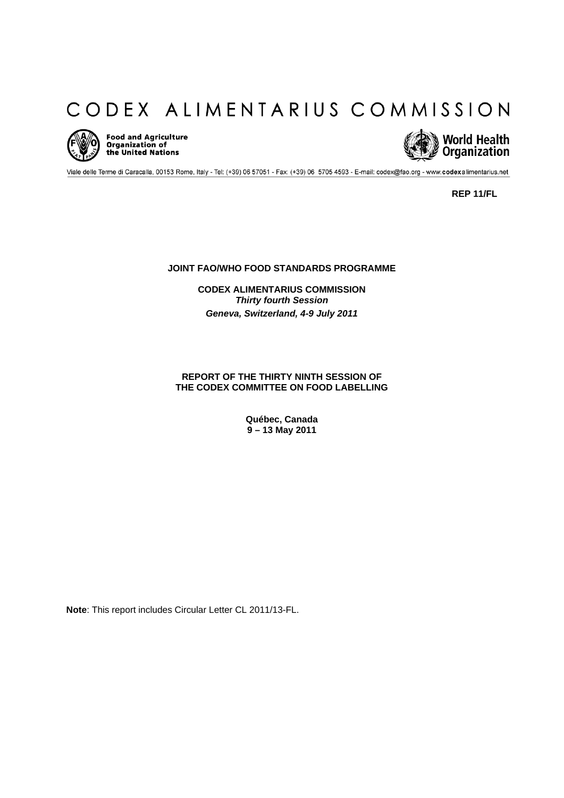# CODEX ALIMENTARIUS COMMISSION



Food and Agriculture<br>Organization of<br>the United Nations



Viale delle Terme di Caracalla, 00153 Rome, Italy - Tel: (+39) 06 57051 - Fax: (+39) 06 5705 4593 - E-mail: codex@fao.org - www.codexalimentarius.net

**REP 11/FL** 

**JOINT FAO/WHO FOOD STANDARDS PROGRAMME** 

**CODEX ALIMENTARIUS COMMISSION**  *Thirty fourth Session Geneva, Switzerland, 4-9 July 2011* 

**REPORT OF THE THIRTY NINTH SESSION OF THE CODEX COMMITTEE ON FOOD LABELLING** 

> **Québec, Canada 9 – 13 May 2011**

**Note**: This report includes Circular Letter CL 2011/13-FL.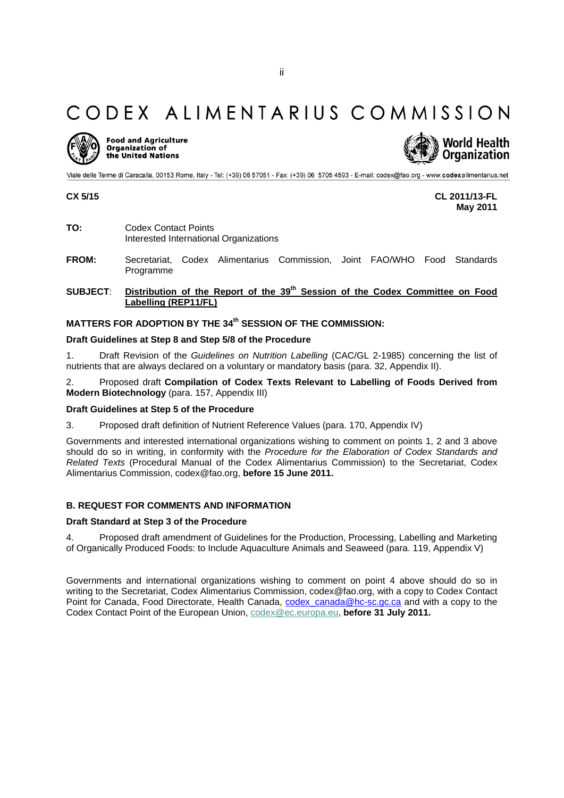## CODEX ALIMENTARIUS COMMISSION



**Food and Agriculture** Organization of the United Nations



Viale delle Terme di Caracalla, 00153 Rome, Italy - Tel: (+39) 06 57051 - Fax: (+39) 06 5705 4593 - E-mail: codex@fao.org - www.codexalimentarius.net

**CX 5/15 CL 2011/13-FL May 2011** 

- **TO:** Codex Contact Points Interested International Organizations
- **FROM:** Secretariat, Codex Alimentarius Commission, Joint FAO/WHO Food Standards Programme
- SUBJECT: **Distribution of the Report of the 39<sup>th</sup> Session of the Codex Committee on Food Labelling (REP11/FL)**

### **MATTERS FOR ADOPTION BY THE 34<sup>th</sup> SESSION OF THE COMMISSION:**

### **Draft Guidelines at Step 8 and Step 5/8 of the Procedure**

1. Draft Revision of the *Guidelines on Nutrition Labelling* (CAC/GL 2-1985) concerning the list of nutrients that are always declared on a voluntary or mandatory basis (para. 32, Appendix II).

2. Proposed draft **Compilation of Codex Texts Relevant to Labelling of Foods Derived from Modern Biotechnology** (para. 157, Appendix III)

### **Draft Guidelines at Step 5 of the Procedure**

3. Proposed draft definition of Nutrient Reference Values (para. 170, Appendix IV)

Governments and interested international organizations wishing to comment on points 1, 2 and 3 above should do so in writing, in conformity with the *Procedure for the Elaboration of Codex Standards and Related Texts* (Procedural Manual of the Codex Alimentarius Commission) to the Secretariat, Codex Alimentarius Commission, codex@fao.org, **before 15 June 2011.**

### **B. REQUEST FOR COMMENTS AND INFORMATION**

### **Draft Standard at Step 3 of the Procedure**

4. Proposed draft amendment of Guidelines for the Production, Processing, Labelling and Marketing of Organically Produced Foods: to Include Aquaculture Animals and Seaweed (para. 119, Appendix V)

Governments and international organizations wishing to comment on point 4 above should do so in writing to the Secretariat, Codex Alimentarius Commission, codex@fao.org, with a copy to Codex Contact Point for Canada, Food Directorate, Health Canada, codex\_canada@hc-sc.gc.ca and with a copy to the Codex Contact Point of the European Union, codex@ec.europa.eu, **before 31 July 2011.**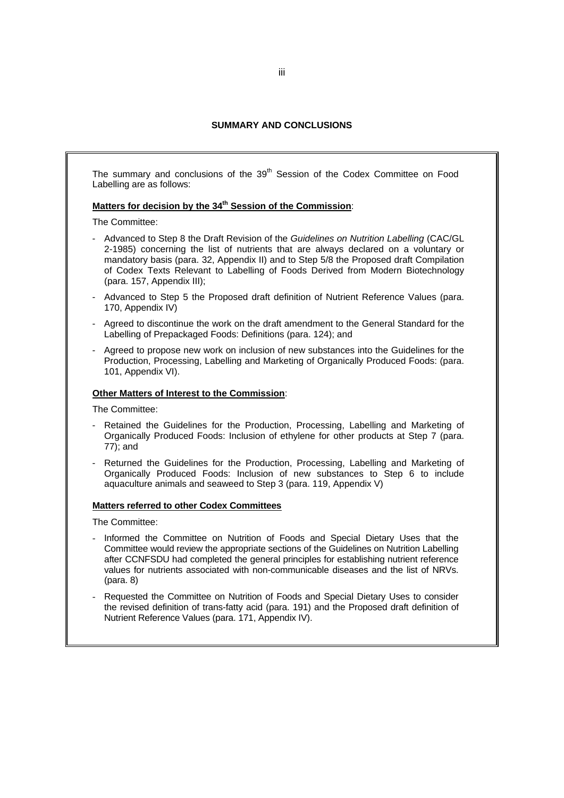### **SUMMARY AND CONCLUSIONS**

The summary and conclusions of the 39<sup>th</sup> Session of the Codex Committee on Food Labelling are as follows:

### Matters for decision by the 34<sup>th</sup> Session of the Commission:

The Committee:

- Advanced to Step 8 the Draft Revision of the *Guidelines on Nutrition Labelling* (CAC/GL 2-1985) concerning the list of nutrients that are always declared on a voluntary or mandatory basis (para. 32, Appendix II) and to Step 5/8 the Proposed draft Compilation of Codex Texts Relevant to Labelling of Foods Derived from Modern Biotechnology (para. 157, Appendix III);
- Advanced to Step 5 the Proposed draft definition of Nutrient Reference Values (para. 170, Appendix IV)
- Agreed to discontinue the work on the draft amendment to the General Standard for the Labelling of Prepackaged Foods: Definitions (para. 124); and
- Agreed to propose new work on inclusion of new substances into the Guidelines for the Production, Processing, Labelling and Marketing of Organically Produced Foods: (para. 101, Appendix VI).

### **Other Matters of Interest to the Commission**:

The Committee:

- Retained the Guidelines for the Production, Processing, Labelling and Marketing of Organically Produced Foods: Inclusion of ethylene for other products at Step 7 (para. 77); and
- Returned the Guidelines for the Production, Processing, Labelling and Marketing of Organically Produced Foods: Inclusion of new substances to Step 6 to include aquaculture animals and seaweed to Step 3 (para. 119, Appendix V)

### **Matters referred to other Codex Committees**

The Committee:

- Informed the Committee on Nutrition of Foods and Special Dietary Uses that the Committee would review the appropriate sections of the Guidelines on Nutrition Labelling after CCNFSDU had completed the general principles for establishing nutrient reference values for nutrients associated with non-communicable diseases and the list of NRVs. (para. 8)
- Requested the Committee on Nutrition of Foods and Special Dietary Uses to consider the revised definition of trans-fatty acid (para. 191) and the Proposed draft definition of Nutrient Reference Values (para. 171, Appendix IV).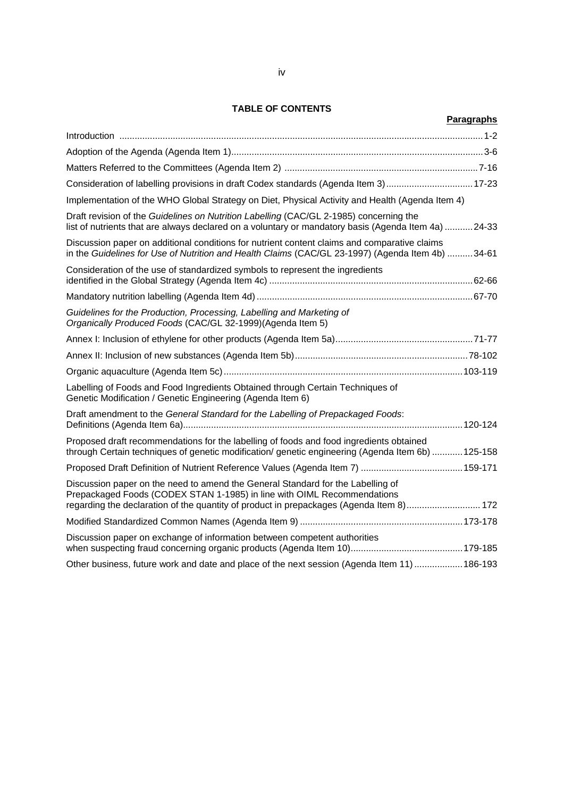### **TABLE OF CONTENTS**

| Paragraphs                                                                                                                                                                                                                                            |
|-------------------------------------------------------------------------------------------------------------------------------------------------------------------------------------------------------------------------------------------------------|
|                                                                                                                                                                                                                                                       |
|                                                                                                                                                                                                                                                       |
|                                                                                                                                                                                                                                                       |
| Consideration of labelling provisions in draft Codex standards (Agenda Item 3)17-23                                                                                                                                                                   |
| Implementation of the WHO Global Strategy on Diet, Physical Activity and Health (Agenda Item 4)                                                                                                                                                       |
| Draft revision of the Guidelines on Nutrition Labelling (CAC/GL 2-1985) concerning the<br>list of nutrients that are always declared on a voluntary or mandatory basis (Agenda Item 4a) 24-33                                                         |
| Discussion paper on additional conditions for nutrient content claims and comparative claims<br>in the Guidelines for Use of Nutrition and Health Claims (CAC/GL 23-1997) (Agenda Item 4b) 34-61                                                      |
| Consideration of the use of standardized symbols to represent the ingredients                                                                                                                                                                         |
|                                                                                                                                                                                                                                                       |
| Guidelines for the Production, Processing, Labelling and Marketing of<br>Organically Produced Foods (CAC/GL 32-1999)(Agenda Item 5)                                                                                                                   |
|                                                                                                                                                                                                                                                       |
|                                                                                                                                                                                                                                                       |
|                                                                                                                                                                                                                                                       |
| Labelling of Foods and Food Ingredients Obtained through Certain Techniques of<br>Genetic Modification / Genetic Engineering (Agenda Item 6)                                                                                                          |
| Draft amendment to the General Standard for the Labelling of Prepackaged Foods:                                                                                                                                                                       |
| Proposed draft recommendations for the labelling of foods and food ingredients obtained<br>through Certain techniques of genetic modification/ genetic engineering (Agenda Item 6b)  125-158                                                          |
|                                                                                                                                                                                                                                                       |
| Discussion paper on the need to amend the General Standard for the Labelling of<br>Prepackaged Foods (CODEX STAN 1-1985) in line with OIML Recommendations<br>regarding the declaration of the quantity of product in prepackages (Agenda Item 8) 172 |
|                                                                                                                                                                                                                                                       |
| Discussion paper on exchange of information between competent authorities                                                                                                                                                                             |
| Other business, future work and date and place of the next session (Agenda Item 11)  186-193                                                                                                                                                          |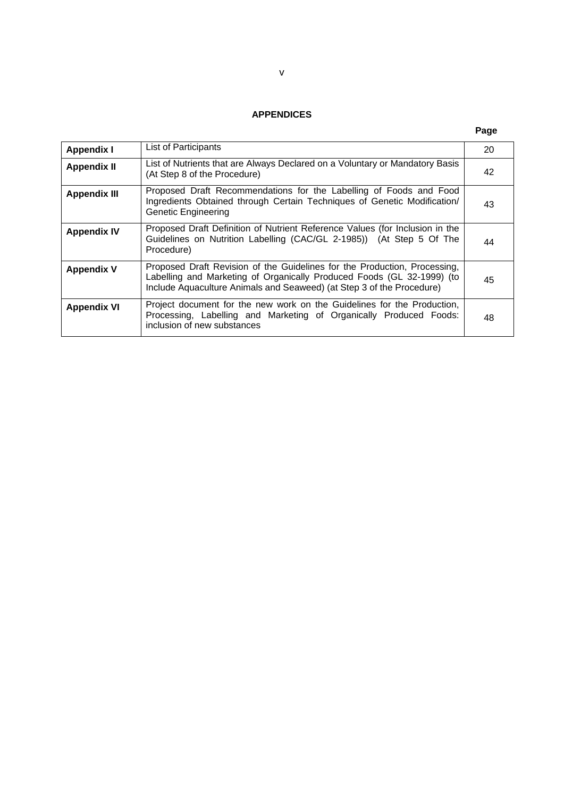### **APPENDICES**

### **Page**

| <b>Appendix I</b>   | List of Participants                                                                                                                                                                                                         | 20 |
|---------------------|------------------------------------------------------------------------------------------------------------------------------------------------------------------------------------------------------------------------------|----|
| <b>Appendix II</b>  | List of Nutrients that are Always Declared on a Voluntary or Mandatory Basis<br>(At Step 8 of the Procedure)                                                                                                                 | 42 |
| <b>Appendix III</b> | Proposed Draft Recommendations for the Labelling of Foods and Food<br>Ingredients Obtained through Certain Techniques of Genetic Modification/<br><b>Genetic Engineering</b>                                                 | 43 |
| <b>Appendix IV</b>  | Proposed Draft Definition of Nutrient Reference Values (for Inclusion in the<br>Guidelines on Nutrition Labelling (CAC/GL 2-1985)) (At Step 5 Of The<br>Procedure)                                                           | 44 |
| <b>Appendix V</b>   | Proposed Draft Revision of the Guidelines for the Production, Processing,<br>Labelling and Marketing of Organically Produced Foods (GL 32-1999) (to<br>Include Aquaculture Animals and Seaweed) (at Step 3 of the Procedure) | 45 |
| <b>Appendix VI</b>  | Project document for the new work on the Guidelines for the Production,<br>Processing, Labelling and Marketing of Organically Produced Foods:<br>inclusion of new substances                                                 | 48 |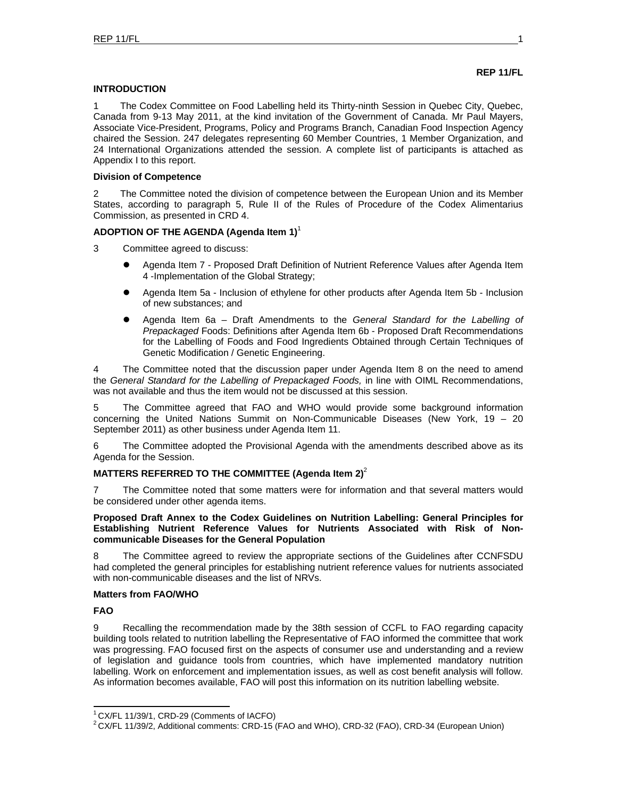### **REP 11/FL**

### **INTRODUCTION**

1 The Codex Committee on Food Labelling held its Thirty-ninth Session in Quebec City, Quebec, Canada from 9-13 May 2011, at the kind invitation of the Government of Canada. Mr Paul Mayers, Associate Vice-President, Programs, Policy and Programs Branch, Canadian Food Inspection Agency chaired the Session. 247 delegates representing 60 Member Countries, 1 Member Organization, and 24 International Organizations attended the session. A complete list of participants is attached as Appendix I to this report.

### **Division of Competence**

2 The Committee noted the division of competence between the European Union and its Member States, according to paragraph 5, Rule II of the Rules of Procedure of the Codex Alimentarius Commission, as presented in CRD 4.

### **ADOPTION OF THE AGENDA (Agenda Item 1)**<sup>1</sup>

- 3 Committee agreed to discuss:
	- **Agenda Item 7 Proposed Draft Definition of Nutrient Reference Values after Agenda Item** 4 -Implementation of the Global Strategy;
	- Agenda Item 5a Inclusion of ethylene for other products after Agenda Item 5b Inclusion of new substances; and
	- z Agenda Item 6a Draft Amendments to the *General Standard for the Labelling of Prepackaged* Foods: Definitions after Agenda Item 6b - Proposed Draft Recommendations for the Labelling of Foods and Food Ingredients Obtained through Certain Techniques of Genetic Modification / Genetic Engineering.

4 The Committee noted that the discussion paper under Agenda Item 8 on the need to amend the *General Standard for the Labelling of Prepackaged Foods,* in line with OIML Recommendations, was not available and thus the item would not be discussed at this session.

5 The Committee agreed that FAO and WHO would provide some background information concerning the United Nations Summit on Non-Communicable Diseases (New York, 19 – 20 September 2011) as other business under Agenda Item 11.

6 The Committee adopted the Provisional Agenda with the amendments described above as its Agenda for the Session.

### **MATTERS REFERRED TO THE COMMITTEE (Agenda Item 2)**<sup>2</sup>

7 The Committee noted that some matters were for information and that several matters would be considered under other agenda items.

### **Proposed Draft Annex to the Codex Guidelines on Nutrition Labelling: General Principles for Establishing Nutrient Reference Values for Nutrients Associated with Risk of Noncommunicable Diseases for the General Population**

8 The Committee agreed to review the appropriate sections of the Guidelines after CCNFSDU had completed the general principles for establishing nutrient reference values for nutrients associated with non-communicable diseases and the list of NRVs.

### **Matters from FAO/WHO**

### **FAO**

l

9 Recalling the recommendation made by the 38th session of CCFL to FAO regarding capacity building tools related to nutrition labelling the Representative of FAO informed the committee that work was progressing. FAO focused first on the aspects of consumer use and understanding and a review of legislation and guidance tools from countries, which have implemented mandatory nutrition labelling. Work on enforcement and implementation issues, as well as cost benefit analysis will follow. As information becomes available, FAO will post this information on its nutrition labelling website.

<sup>1</sup> CX/FL 11/39/1, CRD-29 (Comments of IACFO)

<sup>&</sup>lt;sup>2</sup> CX/FL 11/39/2, Additional comments: CRD-15 (FAO and WHO), CRD-32 (FAO), CRD-34 (European Union)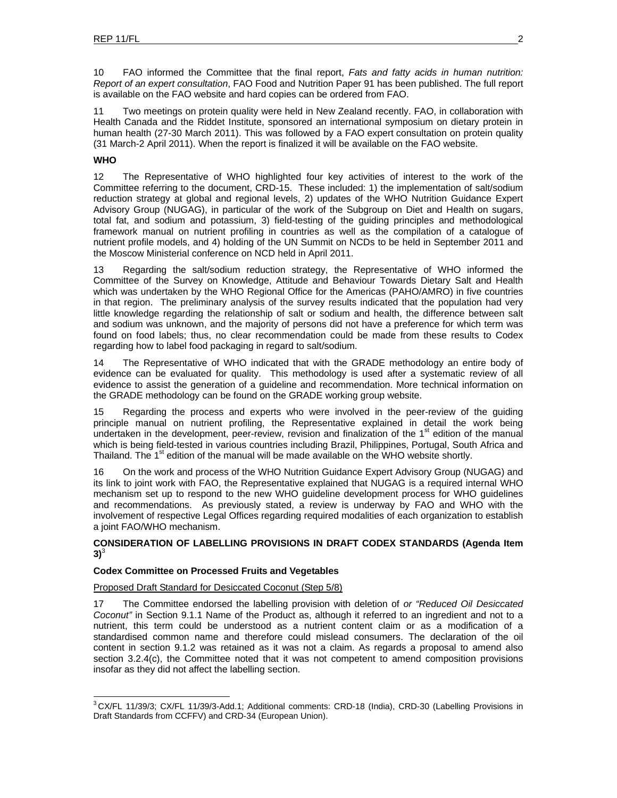10 FAO informed the Committee that the final report, *Fats and fatty acids in human nutrition: Report of an expert consultation*, FAO Food and Nutrition Paper 91 has been published. The full report is available on the FAO website and hard copies can be ordered from FAO.

11 Two meetings on protein quality were held in New Zealand recently. FAO, in collaboration with Health Canada and the Riddet Institute, sponsored an international symposium on dietary protein in human health (27-30 March 2011). This was followed by a FAO expert consultation on protein quality (31 March-2 April 2011). When the report is finalized it will be available on the FAO website.

### **WHO**

l

12 The Representative of WHO highlighted four key activities of interest to the work of the Committee referring to the document, CRD-15. These included: 1) the implementation of salt/sodium reduction strategy at global and regional levels, 2) updates of the WHO Nutrition Guidance Expert Advisory Group (NUGAG), in particular of the work of the Subgroup on Diet and Health on sugars, total fat, and sodium and potassium, 3) field-testing of the guiding principles and methodological framework manual on nutrient profiling in countries as well as the compilation of a catalogue of nutrient profile models, and 4) holding of the UN Summit on NCDs to be held in September 2011 and the Moscow Ministerial conference on NCD held in April 2011.

13 Regarding the salt/sodium reduction strategy, the Representative of WHO informed the Committee of the Survey on Knowledge, Attitude and Behaviour Towards Dietary Salt and Health which was undertaken by the WHO Regional Office for the Americas (PAHO/AMRO) in five countries in that region. The preliminary analysis of the survey results indicated that the population had very little knowledge regarding the relationship of salt or sodium and health, the difference between salt and sodium was unknown, and the majority of persons did not have a preference for which term was found on food labels; thus, no clear recommendation could be made from these results to Codex regarding how to label food packaging in regard to salt/sodium.

14 The Representative of WHO indicated that with the GRADE methodology an entire body of evidence can be evaluated for quality. This methodology is used after a systematic review of all evidence to assist the generation of a guideline and recommendation. More technical information on the GRADE methodology can be found on the GRADE working group website.

15 Regarding the process and experts who were involved in the peer-review of the guiding principle manual on nutrient profiling, the Representative explained in detail the work being undertaken in the development, peer-review, revision and finalization of the 1<sup>st</sup> edition of the manual which is being field-tested in various countries including Brazil, Philippines, Portugal, South Africa and Thailand. The 1<sup>st</sup> edition of the manual will be made available on the WHO website shortly.

16 On the work and process of the WHO Nutrition Guidance Expert Advisory Group (NUGAG) and its link to joint work with FAO, the Representative explained that NUGAG is a required internal WHO mechanism set up to respond to the new WHO guideline development process for WHO guidelines and recommendations. As previously stated, a review is underway by FAO and WHO with the involvement of respective Legal Offices regarding required modalities of each organization to establish a joint FAO/WHO mechanism.

### **CONSIDERATION OF LABELLING PROVISIONS IN DRAFT CODEX STANDARDS (Agenda Item**   $3)$ <sup>3</sup>

### **Codex Committee on Processed Fruits and Vegetables**

### Proposed Draft Standard for Desiccated Coconut (Step 5/8)

17 The Committee endorsed the labelling provision with deletion of *or "Reduced Oil Desiccated Coconut"* in Section 9.1.1 Name of the Product as, although it referred to an ingredient and not to a nutrient, this term could be understood as a nutrient content claim or as a modification of a standardised common name and therefore could mislead consumers. The declaration of the oil content in section 9.1.2 was retained as it was not a claim. As regards a proposal to amend also section 3.2.4(c), the Committee noted that it was not competent to amend composition provisions insofar as they did not affect the labelling section.

 $3$  CX/FL 11/39/3; CX/FL 11/39/3-Add.1; Additional comments: CRD-18 (India), CRD-30 (Labelling Provisions in Draft Standards from CCFFV) and CRD-34 (European Union).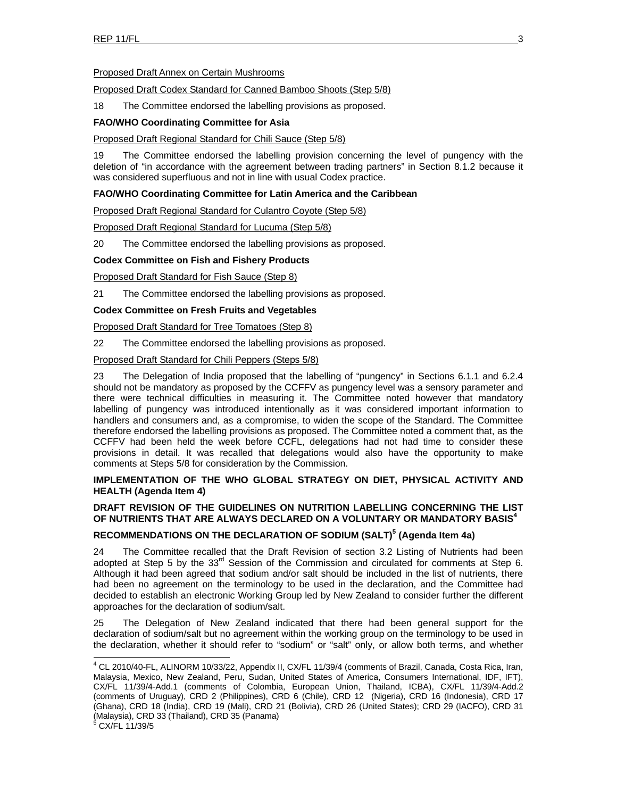### Proposed Draft Annex on Certain Mushrooms

### Proposed Draft Codex Standard for Canned Bamboo Shoots (Step 5/8)

18 The Committee endorsed the labelling provisions as proposed.

### **FAO/WHO Coordinating Committee for Asia**

### Proposed Draft Regional Standard for Chili Sauce (Step 5/8)

19 The Committee endorsed the labelling provision concerning the level of pungency with the deletion of "in accordance with the agreement between trading partners" in Section 8.1.2 because it was considered superfluous and not in line with usual Codex practice.

### **FAO/WHO Coordinating Committee for Latin America and the Caribbean**

Proposed Draft Regional Standard for Culantro Coyote (Step 5/8)

Proposed Draft Regional Standard for Lucuma (Step 5/8)

20 The Committee endorsed the labelling provisions as proposed.

### **Codex Committee on Fish and Fishery Products**

Proposed Draft Standard for Fish Sauce (Step 8)

21 The Committee endorsed the labelling provisions as proposed.

### **Codex Committee on Fresh Fruits and Vegetables**

Proposed Draft Standard for Tree Tomatoes (Step 8)

22 The Committee endorsed the labelling provisions as proposed.

Proposed Draft Standard for Chili Peppers (Steps 5/8)

23 The Delegation of India proposed that the labelling of "pungency" in Sections 6.1.1 and 6.2.4 should not be mandatory as proposed by the CCFFV as pungency level was a sensory parameter and there were technical difficulties in measuring it. The Committee noted however that mandatory labelling of pungency was introduced intentionally as it was considered important information to handlers and consumers and, as a compromise, to widen the scope of the Standard. The Committee therefore endorsed the labelling provisions as proposed. The Committee noted a comment that, as the CCFFV had been held the week before CCFL, delegations had not had time to consider these provisions in detail. It was recalled that delegations would also have the opportunity to make comments at Steps 5/8 for consideration by the Commission.

### **IMPLEMENTATION OF THE WHO GLOBAL STRATEGY ON DIET, PHYSICAL ACTIVITY AND HEALTH (Agenda Item 4)**

### **DRAFT REVISION OF THE GUIDELINES ON NUTRITION LABELLING CONCERNING THE LIST OF NUTRIENTS THAT ARE ALWAYS DECLARED ON A VOLUNTARY OR MANDATORY BASIS<sup>4</sup>**

### **RECOMMENDATIONS ON THE DECLARATION OF SODIUM (SALT)<sup>5</sup> (Agenda Item 4a)**

24 The Committee recalled that the Draft Revision of section 3.2 Listing of Nutrients had been adopted at Step 5 by the 33<sup>rd</sup> Session of the Commission and circulated for comments at Step 6. Although it had been agreed that sodium and/or salt should be included in the list of nutrients, there had been no agreement on the terminology to be used in the declaration, and the Committee had decided to establish an electronic Working Group led by New Zealand to consider further the different approaches for the declaration of sodium/salt.

25 The Delegation of New Zealand indicated that there had been general support for the declaration of sodium/salt but no agreement within the working group on the terminology to be used in the declaration, whether it should refer to "sodium" or "salt" only, or allow both terms, and whether

 4 CL 2010/40-FL, ALINORM 10/33/22, Appendix II, CX/FL 11/39/4 (comments of Brazil, Canada, Costa Rica, Iran, Malaysia, Mexico, New Zealand, Peru, Sudan, United States of America, Consumers International, IDF, IFT), CX/FL 11/39/4-Add.1 (comments of Colombia, European Union, Thailand, ICBA), CX/FL 11/39/4-Add.2 (comments of Uruguay), CRD 2 (Philippines), CRD 6 (Chile), CRD 12 (Nigeria), CRD 16 (Indonesia), CRD 17 (Ghana), CRD 18 (India), CRD 19 (Mali), CRD 21 (Bolivia), CRD 26 (United States); CRD 29 (IACFO), CRD 31 (Malaysia), CRD 33 (Thailand), CRD 35 (Panama)

 $6$  CX/FL 11/39/5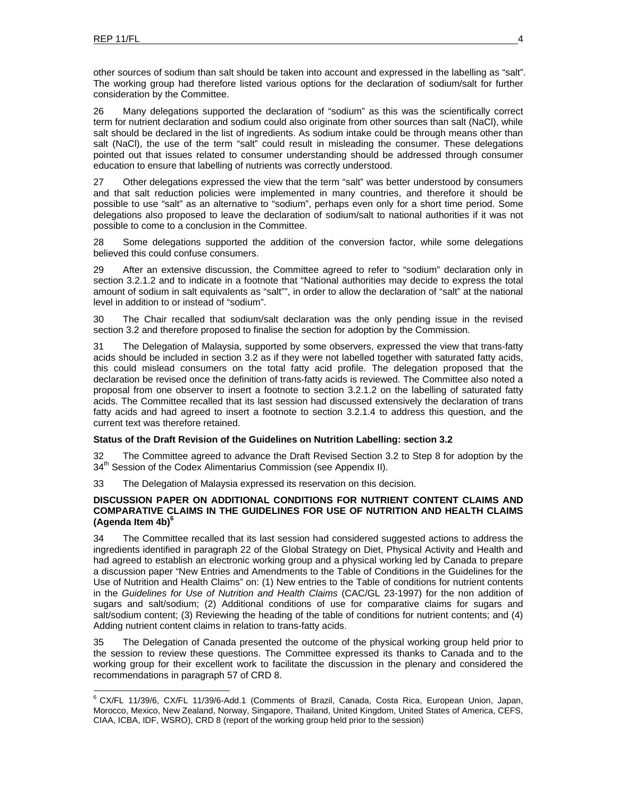other sources of sodium than salt should be taken into account and expressed in the labelling as "salt". The working group had therefore listed various options for the declaration of sodium/salt for further consideration by the Committee.

26 Many delegations supported the declaration of "sodium" as this was the scientifically correct term for nutrient declaration and sodium could also originate from other sources than salt (NaCl), while salt should be declared in the list of ingredients. As sodium intake could be through means other than salt (NaCl), the use of the term "salt" could result in misleading the consumer. These delegations pointed out that issues related to consumer understanding should be addressed through consumer education to ensure that labelling of nutrients was correctly understood.

27 Other delegations expressed the view that the term "salt" was better understood by consumers and that salt reduction policies were implemented in many countries, and therefore it should be possible to use "salt" as an alternative to "sodium", perhaps even only for a short time period. Some delegations also proposed to leave the declaration of sodium/salt to national authorities if it was not possible to come to a conclusion in the Committee.

28 Some delegations supported the addition of the conversion factor, while some delegations believed this could confuse consumers.

29 After an extensive discussion, the Committee agreed to refer to "sodium" declaration only in section 3.2.1.2 and to indicate in a footnote that "National authorities may decide to express the total amount of sodium in salt equivalents as "salt"", in order to allow the declaration of "salt" at the national level in addition to or instead of "sodium".

30 The Chair recalled that sodium/salt declaration was the only pending issue in the revised section 3.2 and therefore proposed to finalise the section for adoption by the Commission.

31 The Delegation of Malaysia, supported by some observers, expressed the view that trans-fatty acids should be included in section 3.2 as if they were not labelled together with saturated fatty acids, this could mislead consumers on the total fatty acid profile. The delegation proposed that the declaration be revised once the definition of trans-fatty acids is reviewed. The Committee also noted a proposal from one observer to insert a footnote to section 3.2.1.2 on the labelling of saturated fatty acids. The Committee recalled that its last session had discussed extensively the declaration of trans fatty acids and had agreed to insert a footnote to section 3.2.1.4 to address this question, and the current text was therefore retained.

### **Status of the Draft Revision of the Guidelines on Nutrition Labelling: section 3.2**

32 The Committee agreed to advance the Draft Revised Section 3.2 to Step 8 for adoption by the 34<sup>th</sup> Session of the Codex Alimentarius Commission (see Appendix II).

33 The Delegation of Malaysia expressed its reservation on this decision.

### **DISCUSSION PAPER ON ADDITIONAL CONDITIONS FOR NUTRIENT CONTENT CLAIMS AND COMPARATIVE CLAIMS IN THE GUIDELINES FOR USE OF NUTRITION AND HEALTH CLAIMS (Agenda Item 4b)6**

34 The Committee recalled that its last session had considered suggested actions to address the ingredients identified in paragraph 22 of the Global Strategy on Diet, Physical Activity and Health and had agreed to establish an electronic working group and a physical working led by Canada to prepare a discussion paper "New Entries and Amendments to the Table of Conditions in the Guidelines for the Use of Nutrition and Health Claims" on: (1) New entries to the Table of conditions for nutrient contents in the *Guidelines for Use of Nutrition and Health Claims* (CAC/GL 23-1997) for the non addition of sugars and salt/sodium; (2) Additional conditions of use for comparative claims for sugars and salt/sodium content; (3) Reviewing the heading of the table of conditions for nutrient contents; and (4) Adding nutrient content claims in relation to trans-fatty acids.

35 The Delegation of Canada presented the outcome of the physical working group held prior to the session to review these questions. The Committee expressed its thanks to Canada and to the working group for their excellent work to facilitate the discussion in the plenary and considered the recommendations in paragraph 57 of CRD 8.

<sup>&</sup>lt;sup>6</sup> CX/FL 11/39/6, CX/FL 11/39/6-Add.1 (Comments of Brazil, Canada, Costa Rica, European Union, Japan, Morocco, Mexico, New Zealand, Norway, Singapore, Thailand, United Kingdom, United States of America, CEFS, CIAA, ICBA, IDF, WSRO), CRD 8 (report of the working group held prior to the session)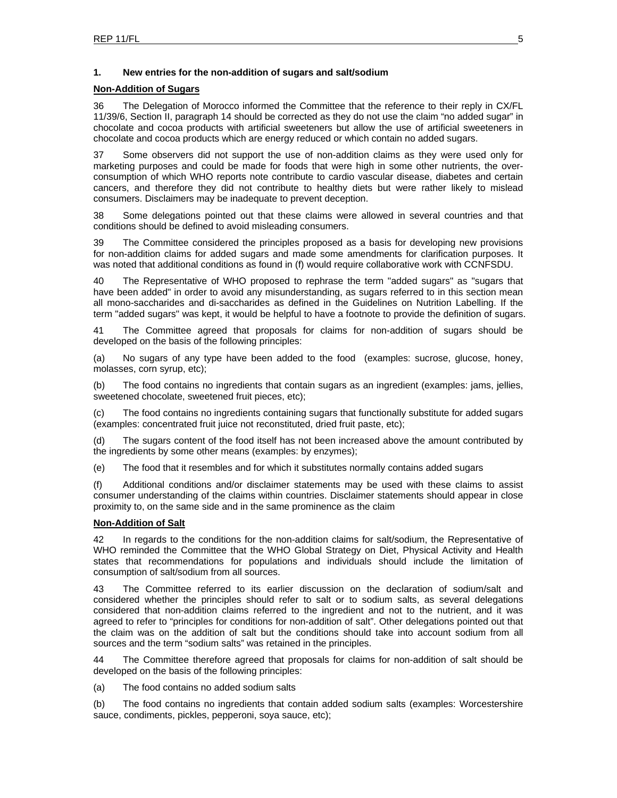### **1. New entries for the non-addition of sugars and salt/sodium**

### **Non-Addition of Sugars**

36 The Delegation of Morocco informed the Committee that the reference to their reply in CX/FL 11/39/6, Section II, paragraph 14 should be corrected as they do not use the claim "no added sugar" in chocolate and cocoa products with artificial sweeteners but allow the use of artificial sweeteners in chocolate and cocoa products which are energy reduced or which contain no added sugars.

37 Some observers did not support the use of non-addition claims as they were used only for marketing purposes and could be made for foods that were high in some other nutrients, the overconsumption of which WHO reports note contribute to cardio vascular disease, diabetes and certain cancers, and therefore they did not contribute to healthy diets but were rather likely to mislead consumers. Disclaimers may be inadequate to prevent deception.

38 Some delegations pointed out that these claims were allowed in several countries and that conditions should be defined to avoid misleading consumers.

39 The Committee considered the principles proposed as a basis for developing new provisions for non-addition claims for added sugars and made some amendments for clarification purposes. It was noted that additional conditions as found in (f) would require collaborative work with CCNFSDU.

40 The Representative of WHO proposed to rephrase the term "added sugars" as "sugars that have been added" in order to avoid any misunderstanding, as sugars referred to in this section mean all mono-saccharides and di-saccharides as defined in the Guidelines on Nutrition Labelling. If the term "added sugars" was kept, it would be helpful to have a footnote to provide the definition of sugars.

41 The Committee agreed that proposals for claims for non-addition of sugars should be developed on the basis of the following principles:

(a) No sugars of any type have been added to the food (examples: sucrose, glucose, honey, molasses, corn syrup, etc);

(b) The food contains no ingredients that contain sugars as an ingredient (examples: jams, jellies, sweetened chocolate, sweetened fruit pieces, etc);

(c) The food contains no ingredients containing sugars that functionally substitute for added sugars (examples: concentrated fruit juice not reconstituted, dried fruit paste, etc);

(d) The sugars content of the food itself has not been increased above the amount contributed by the ingredients by some other means (examples: by enzymes);

(e) The food that it resembles and for which it substitutes normally contains added sugars

(f) Additional conditions and/or disclaimer statements may be used with these claims to assist consumer understanding of the claims within countries. Disclaimer statements should appear in close proximity to, on the same side and in the same prominence as the claim

### **Non-Addition of Salt**

42 In regards to the conditions for the non-addition claims for salt/sodium, the Representative of WHO reminded the Committee that the WHO Global Strategy on Diet, Physical Activity and Health states that recommendations for populations and individuals should include the limitation of consumption of salt/sodium from all sources.

43 The Committee referred to its earlier discussion on the declaration of sodium/salt and considered whether the principles should refer to salt or to sodium salts, as several delegations considered that non-addition claims referred to the ingredient and not to the nutrient, and it was agreed to refer to "principles for conditions for non-addition of salt". Other delegations pointed out that the claim was on the addition of salt but the conditions should take into account sodium from all sources and the term "sodium salts" was retained in the principles.

44 The Committee therefore agreed that proposals for claims for non-addition of salt should be developed on the basis of the following principles:

(a) The food contains no added sodium salts

(b) The food contains no ingredients that contain added sodium salts (examples: Worcestershire sauce, condiments, pickles, pepperoni, soya sauce, etc);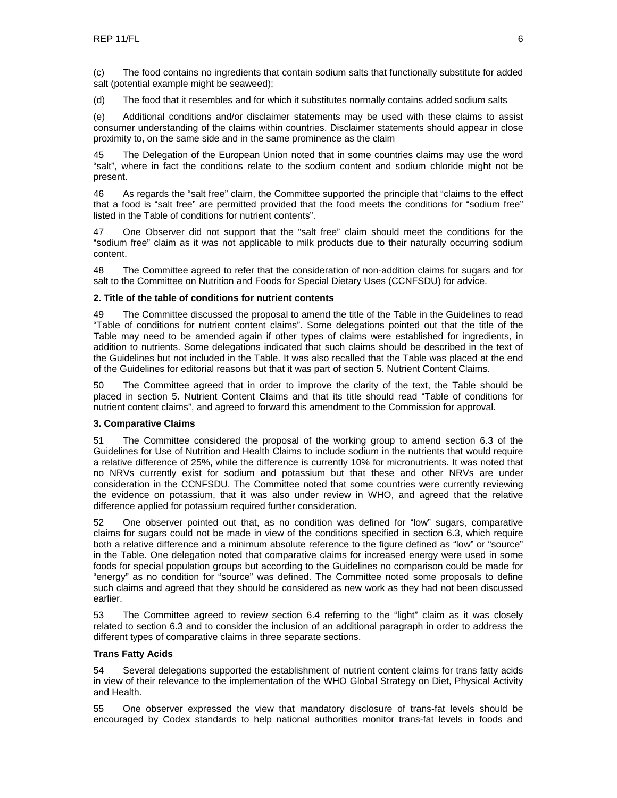(c) The food contains no ingredients that contain sodium salts that functionally substitute for added salt (potential example might be seaweed);

(d) The food that it resembles and for which it substitutes normally contains added sodium salts

(e) Additional conditions and/or disclaimer statements may be used with these claims to assist consumer understanding of the claims within countries. Disclaimer statements should appear in close proximity to, on the same side and in the same prominence as the claim

45 The Delegation of the European Union noted that in some countries claims may use the word "salt", where in fact the conditions relate to the sodium content and sodium chloride might not be present.

46 As regards the "salt free" claim, the Committee supported the principle that "claims to the effect that a food is "salt free" are permitted provided that the food meets the conditions for "sodium free" listed in the Table of conditions for nutrient contents".

47 One Observer did not support that the "salt free" claim should meet the conditions for the "sodium free" claim as it was not applicable to milk products due to their naturally occurring sodium content.

48 The Committee agreed to refer that the consideration of non-addition claims for sugars and for salt to the Committee on Nutrition and Foods for Special Dietary Uses (CCNFSDU) for advice.

### **2. Title of the table of conditions for nutrient contents**

49 The Committee discussed the proposal to amend the title of the Table in the Guidelines to read "Table of conditions for nutrient content claims". Some delegations pointed out that the title of the Table may need to be amended again if other types of claims were established for ingredients, in addition to nutrients. Some delegations indicated that such claims should be described in the text of the Guidelines but not included in the Table. It was also recalled that the Table was placed at the end of the Guidelines for editorial reasons but that it was part of section 5. Nutrient Content Claims.

50 The Committee agreed that in order to improve the clarity of the text, the Table should be placed in section 5. Nutrient Content Claims and that its title should read "Table of conditions for nutrient content claims", and agreed to forward this amendment to the Commission for approval.

### **3. Comparative Claims**

51 The Committee considered the proposal of the working group to amend section 6.3 of the Guidelines for Use of Nutrition and Health Claims to include sodium in the nutrients that would require a relative difference of 25%, while the difference is currently 10% for micronutrients. It was noted that no NRVs currently exist for sodium and potassium but that these and other NRVs are under consideration in the CCNFSDU. The Committee noted that some countries were currently reviewing the evidence on potassium, that it was also under review in WHO, and agreed that the relative difference applied for potassium required further consideration.

52 One observer pointed out that, as no condition was defined for "low" sugars, comparative claims for sugars could not be made in view of the conditions specified in section 6.3, which require both a relative difference and a minimum absolute reference to the figure defined as "low" or "source" in the Table. One delegation noted that comparative claims for increased energy were used in some foods for special population groups but according to the Guidelines no comparison could be made for "energy" as no condition for "source" was defined. The Committee noted some proposals to define such claims and agreed that they should be considered as new work as they had not been discussed earlier.

53 The Committee agreed to review section 6.4 referring to the "light" claim as it was closely related to section 6.3 and to consider the inclusion of an additional paragraph in order to address the different types of comparative claims in three separate sections.

### **Trans Fatty Acids**

54 Several delegations supported the establishment of nutrient content claims for trans fatty acids in view of their relevance to the implementation of the WHO Global Strategy on Diet, Physical Activity and Health.

55 One observer expressed the view that mandatory disclosure of trans-fat levels should be encouraged by Codex standards to help national authorities monitor trans-fat levels in foods and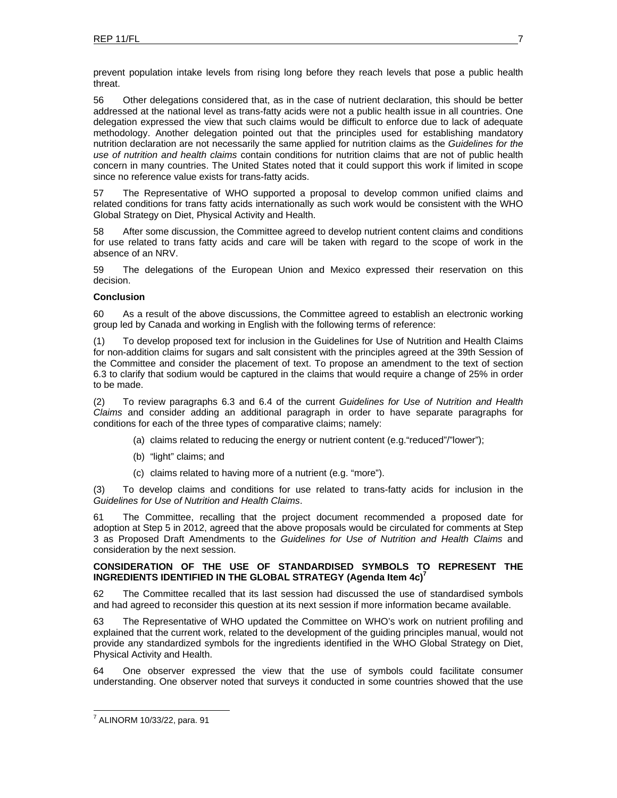prevent population intake levels from rising long before they reach levels that pose a public health threat.

56 Other delegations considered that, as in the case of nutrient declaration, this should be better addressed at the national level as trans-fatty acids were not a public health issue in all countries. One delegation expressed the view that such claims would be difficult to enforce due to lack of adequate methodology. Another delegation pointed out that the principles used for establishing mandatory nutrition declaration are not necessarily the same applied for nutrition claims as the *Guidelines for the use of nutrition and health claims* contain conditions for nutrition claims that are not of public health concern in many countries. The United States noted that it could support this work if limited in scope since no reference value exists for trans-fatty acids.

57 The Representative of WHO supported a proposal to develop common unified claims and related conditions for trans fatty acids internationally as such work would be consistent with the WHO Global Strategy on Diet, Physical Activity and Health.

58 After some discussion, the Committee agreed to develop nutrient content claims and conditions for use related to trans fatty acids and care will be taken with regard to the scope of work in the absence of an NRV.

59 The delegations of the European Union and Mexico expressed their reservation on this decision.

### **Conclusion**

60 As a result of the above discussions, the Committee agreed to establish an electronic working group led by Canada and working in English with the following terms of reference:

(1) To develop proposed text for inclusion in the Guidelines for Use of Nutrition and Health Claims for non-addition claims for sugars and salt consistent with the principles agreed at the 39th Session of the Committee and consider the placement of text. To propose an amendment to the text of section 6.3 to clarify that sodium would be captured in the claims that would require a change of 25% in order to be made.

(2) To review paragraphs 6.3 and 6.4 of the current *Guidelines for Use of Nutrition and Health Claims* and consider adding an additional paragraph in order to have separate paragraphs for conditions for each of the three types of comparative claims; namely:

- (a) claims related to reducing the energy or nutrient content (e.g."reduced"/"lower");
- (b) "light" claims; and
- (c) claims related to having more of a nutrient (e.g. "more").

(3) To develop claims and conditions for use related to trans-fatty acids for inclusion in the *Guidelines for Use of Nutrition and Health Claims*.

61 The Committee, recalling that the project document recommended a proposed date for adoption at Step 5 in 2012, agreed that the above proposals would be circulated for comments at Step 3 as Proposed Draft Amendments to the *Guidelines for Use of Nutrition and Health Claims* and consideration by the next session.

### **CONSIDERATION OF THE USE OF STANDARDISED SYMBOLS TO REPRESENT THE INGREDIENTS IDENTIFIED IN THE GLOBAL STRATEGY (Agenda Item 4c)7**

62 The Committee recalled that its last session had discussed the use of standardised symbols and had agreed to reconsider this question at its next session if more information became available.

63 The Representative of WHO updated the Committee on WHO's work on nutrient profiling and explained that the current work, related to the development of the guiding principles manual, would not provide any standardized symbols for the ingredients identified in the WHO Global Strategy on Diet, Physical Activity and Health.

64 One observer expressed the view that the use of symbols could facilitate consumer understanding. One observer noted that surveys it conducted in some countries showed that the use

l 7 ALINORM 10/33/22, para. 91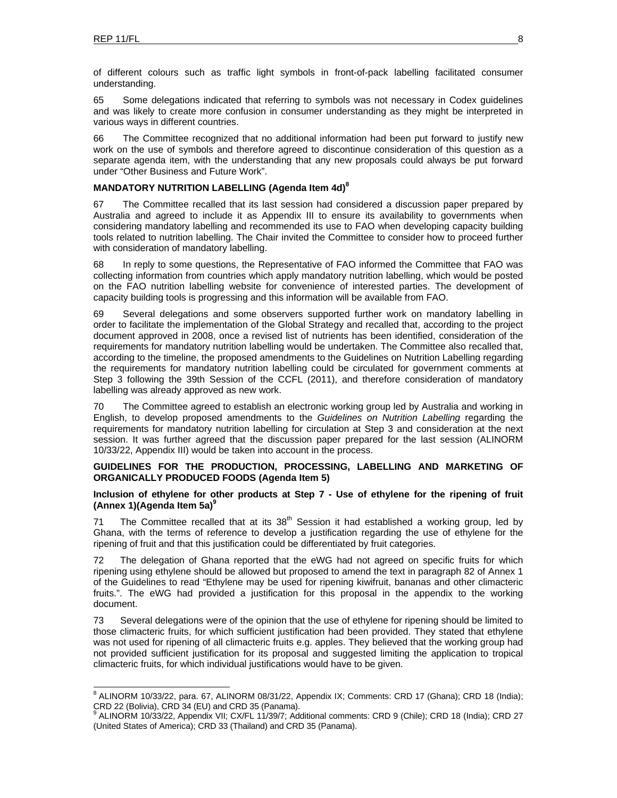of different colours such as traffic light symbols in front-of-pack labelling facilitated consumer understanding.

65 Some delegations indicated that referring to symbols was not necessary in Codex guidelines and was likely to create more confusion in consumer understanding as they might be interpreted in various ways in different countries.

66 The Committee recognized that no additional information had been put forward to justify new work on the use of symbols and therefore agreed to discontinue consideration of this question as a separate agenda item, with the understanding that any new proposals could always be put forward under "Other Business and Future Work".

### **MANDATORY NUTRITION LABELLING (Agenda Item 4d)<sup>8</sup>**

67 The Committee recalled that its last session had considered a discussion paper prepared by Australia and agreed to include it as Appendix III to ensure its availability to governments when considering mandatory labelling and recommended its use to FAO when developing capacity building tools related to nutrition labelling. The Chair invited the Committee to consider how to proceed further with consideration of mandatory labelling.

68 In reply to some questions, the Representative of FAO informed the Committee that FAO was collecting information from countries which apply mandatory nutrition labelling, which would be posted on the FAO nutrition labelling website for convenience of interested parties. The development of capacity building tools is progressing and this information will be available from FAO.

69 Several delegations and some observers supported further work on mandatory labelling in order to facilitate the implementation of the Global Strategy and recalled that, according to the project document approved in 2008, once a revised list of nutrients has been identified, consideration of the requirements for mandatory nutrition labelling would be undertaken. The Committee also recalled that, according to the timeline, the proposed amendments to the Guidelines on Nutrition Labelling regarding the requirements for mandatory nutrition labelling could be circulated for government comments at Step 3 following the 39th Session of the CCFL (2011), and therefore consideration of mandatory labelling was already approved as new work.

70 The Committee agreed to establish an electronic working group led by Australia and working in English, to develop proposed amendments to the *Guidelines on Nutrition Labelling* regarding the requirements for mandatory nutrition labelling for circulation at Step 3 and consideration at the next session. It was further agreed that the discussion paper prepared for the last session (ALINORM 10/33/22, Appendix III) would be taken into account in the process.

### **GUIDELINES FOR THE PRODUCTION, PROCESSING, LABELLING AND MARKETING OF ORGANICALLY PRODUCED FOODS (Agenda Item 5)**

### **Inclusion of ethylene for other products at Step 7 - Use of ethylene for the ripening of fruit (Annex 1)(Agenda Item 5a)<sup>9</sup>**

71 The Committee recalled that at its  $38<sup>th</sup>$  Session it had established a working group, led by Ghana, with the terms of reference to develop a justification regarding the use of ethylene for the ripening of fruit and that this justification could be differentiated by fruit categories.

72 The delegation of Ghana reported that the eWG had not agreed on specific fruits for which ripening using ethylene should be allowed but proposed to amend the text in paragraph 82 of Annex 1 of the Guidelines to read "Ethylene may be used for ripening kiwifruit, bananas and other climacteric fruits.". The eWG had provided a justification for this proposal in the appendix to the working document.

73 Several delegations were of the opinion that the use of ethylene for ripening should be limited to those climacteric fruits, for which sufficient justification had been provided. They stated that ethylene was not used for ripening of all climacteric fruits e.g. apples. They believed that the working group had not provided sufficient justification for its proposal and suggested limiting the application to tropical climacteric fruits, for which individual justifications would have to be given.

<sup>&</sup>lt;sup>8</sup> ALINORM 10/33/22, para. 67, ALINORM 08/31/22, Appendix IX; Comments: CRD 17 (Ghana); CRD 18 (India); CRD 22 (Bolivia), CRD 34 (EU) and CRD 35 (Panama).<br><sup>9</sup> ALINORM 10/33/22, Appendix VII; CX/FL 11/39/7; Additional comments: CRD 9 (Chile); CRD 18 (India); CRD 27

<sup>(</sup>United States of America); CRD 33 (Thailand) and CRD 35 (Panama).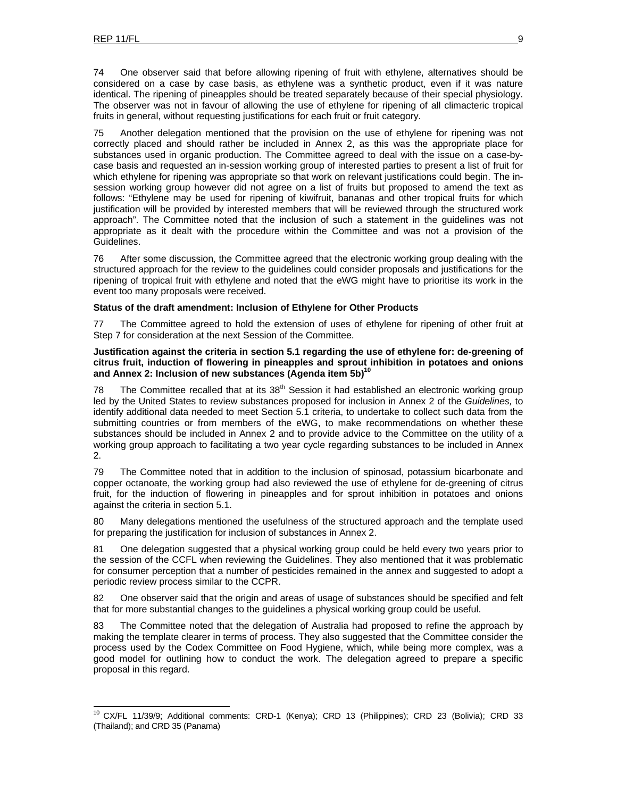74 One observer said that before allowing ripening of fruit with ethylene, alternatives should be considered on a case by case basis, as ethylene was a synthetic product, even if it was nature identical. The ripening of pineapples should be treated separately because of their special physiology. The observer was not in favour of allowing the use of ethylene for ripening of all climacteric tropical fruits in general, without requesting justifications for each fruit or fruit category.

75 Another delegation mentioned that the provision on the use of ethylene for ripening was not correctly placed and should rather be included in Annex 2, as this was the appropriate place for substances used in organic production. The Committee agreed to deal with the issue on a case-bycase basis and requested an in-session working group of interested parties to present a list of fruit for which ethylene for ripening was appropriate so that work on relevant justifications could begin. The insession working group however did not agree on a list of fruits but proposed to amend the text as follows: "Ethylene may be used for ripening of kiwifruit, bananas and other tropical fruits for which justification will be provided by interested members that will be reviewed through the structured work approach". The Committee noted that the inclusion of such a statement in the guidelines was not appropriate as it dealt with the procedure within the Committee and was not a provision of the Guidelines.

76 After some discussion, the Committee agreed that the electronic working group dealing with the structured approach for the review to the guidelines could consider proposals and justifications for the ripening of tropical fruit with ethylene and noted that the eWG might have to prioritise its work in the event too many proposals were received.

### **Status of the draft amendment: Inclusion of Ethylene for Other Products**

77 The Committee agreed to hold the extension of uses of ethylene for ripening of other fruit at Step 7 for consideration at the next Session of the Committee.

### **Justification against the criteria in section 5.1 regarding the use of ethylene for: de-greening of citrus fruit, induction of flowering in pineapples and sprout inhibition in potatoes and onions**  and Annex 2: Inclusion of new substances (Agenda item 5b)<sup>10</sup>

78 The Committee recalled that at its  $38<sup>th</sup>$  Session it had established an electronic working group led by the United States to review substances proposed for inclusion in Annex 2 of the *Guidelines,* to identify additional data needed to meet Section 5.1 criteria, to undertake to collect such data from the submitting countries or from members of the eWG, to make recommendations on whether these substances should be included in Annex 2 and to provide advice to the Committee on the utility of a working group approach to facilitating a two year cycle regarding substances to be included in Annex 2.

79 The Committee noted that in addition to the inclusion of spinosad, potassium bicarbonate and copper octanoate, the working group had also reviewed the use of ethylene for de-greening of citrus fruit, for the induction of flowering in pineapples and for sprout inhibition in potatoes and onions against the criteria in section 5.1.

80 Many delegations mentioned the usefulness of the structured approach and the template used for preparing the justification for inclusion of substances in Annex 2.

81 One delegation suggested that a physical working group could be held every two years prior to the session of the CCFL when reviewing the Guidelines. They also mentioned that it was problematic for consumer perception that a number of pesticides remained in the annex and suggested to adopt a periodic review process similar to the CCPR.

82 One observer said that the origin and areas of usage of substances should be specified and felt that for more substantial changes to the guidelines a physical working group could be useful.

83 The Committee noted that the delegation of Australia had proposed to refine the approach by making the template clearer in terms of process. They also suggested that the Committee consider the process used by the Codex Committee on Food Hygiene, which, while being more complex, was a good model for outlining how to conduct the work. The delegation agreed to prepare a specific proposal in this regard.

<sup>10</sup> CX/FL 11/39/9; Additional comments: CRD-1 (Kenya); CRD 13 (Philippines); CRD 23 (Bolivia); CRD 33 (Thailand); and CRD 35 (Panama)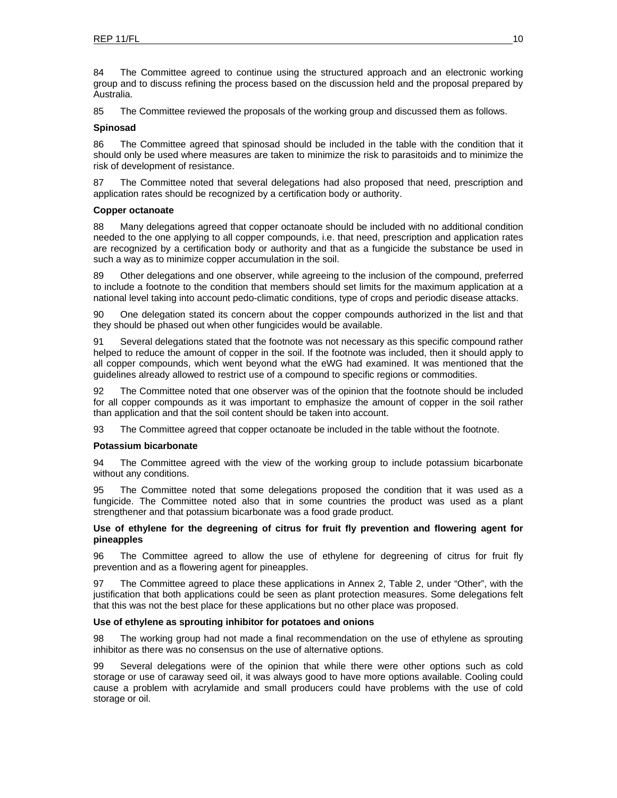84 The Committee agreed to continue using the structured approach and an electronic working group and to discuss refining the process based on the discussion held and the proposal prepared by Australia.

85 The Committee reviewed the proposals of the working group and discussed them as follows.

### **Spinosad**

86 The Committee agreed that spinosad should be included in the table with the condition that it should only be used where measures are taken to minimize the risk to parasitoids and to minimize the risk of development of resistance.

87 The Committee noted that several delegations had also proposed that need, prescription and application rates should be recognized by a certification body or authority.

### **Copper octanoate**

88 Many delegations agreed that copper octanoate should be included with no additional condition needed to the one applying to all copper compounds, i.e. that need, prescription and application rates are recognized by a certification body or authority and that as a fungicide the substance be used in such a way as to minimize copper accumulation in the soil.

89 Other delegations and one observer, while agreeing to the inclusion of the compound, preferred to include a footnote to the condition that members should set limits for the maximum application at a national level taking into account pedo-climatic conditions, type of crops and periodic disease attacks.

90 One delegation stated its concern about the copper compounds authorized in the list and that they should be phased out when other fungicides would be available.

91 Several delegations stated that the footnote was not necessary as this specific compound rather helped to reduce the amount of copper in the soil. If the footnote was included, then it should apply to all copper compounds, which went beyond what the eWG had examined. It was mentioned that the guidelines already allowed to restrict use of a compound to specific regions or commodities.

92 The Committee noted that one observer was of the opinion that the footnote should be included for all copper compounds as it was important to emphasize the amount of copper in the soil rather than application and that the soil content should be taken into account.

93 The Committee agreed that copper octanoate be included in the table without the footnote.

### **Potassium bicarbonate**

94 The Committee agreed with the view of the working group to include potassium bicarbonate without any conditions.

95 The Committee noted that some delegations proposed the condition that it was used as a fungicide. The Committee noted also that in some countries the product was used as a plant strengthener and that potassium bicarbonate was a food grade product.

### **Use of ethylene for the degreening of citrus for fruit fly prevention and flowering agent for pineapples**

96 The Committee agreed to allow the use of ethylene for degreening of citrus for fruit fly prevention and as a flowering agent for pineapples.

97 The Committee agreed to place these applications in Annex 2, Table 2, under "Other", with the justification that both applications could be seen as plant protection measures. Some delegations felt that this was not the best place for these applications but no other place was proposed.

### **Use of ethylene as sprouting inhibitor for potatoes and onions**

98 The working group had not made a final recommendation on the use of ethylene as sprouting inhibitor as there was no consensus on the use of alternative options.

99 Several delegations were of the opinion that while there were other options such as cold storage or use of caraway seed oil, it was always good to have more options available. Cooling could cause a problem with acrylamide and small producers could have problems with the use of cold storage or oil.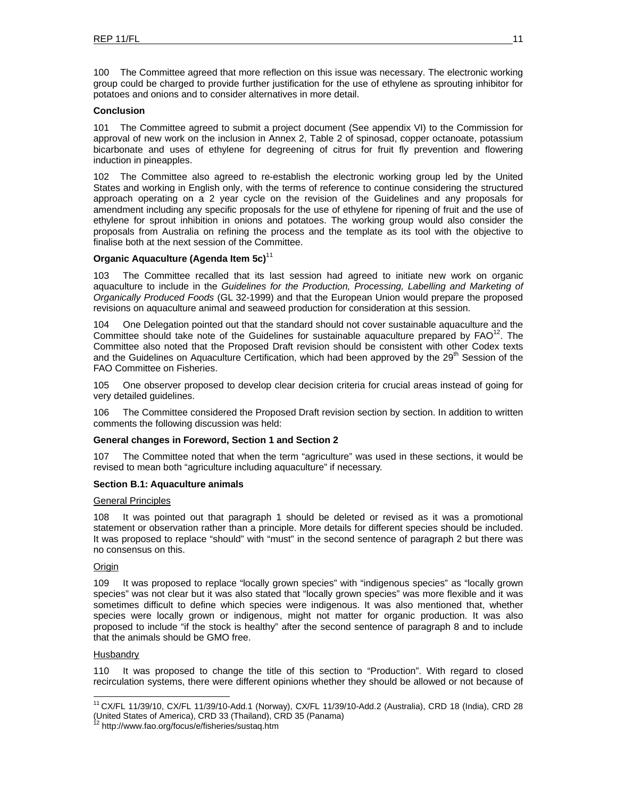100 The Committee agreed that more reflection on this issue was necessary. The electronic working group could be charged to provide further justification for the use of ethylene as sprouting inhibitor for potatoes and onions and to consider alternatives in more detail.

### **Conclusion**

101 The Committee agreed to submit a project document (See appendix VI) to the Commission for approval of new work on the inclusion in Annex 2, Table 2 of spinosad, copper octanoate, potassium bicarbonate and uses of ethylene for degreening of citrus for fruit fly prevention and flowering induction in pineapples.

102 The Committee also agreed to re-establish the electronic working group led by the United States and working in English only, with the terms of reference to continue considering the structured approach operating on a 2 year cycle on the revision of the Guidelines and any proposals for amendment including any specific proposals for the use of ethylene for ripening of fruit and the use of ethylene for sprout inhibition in onions and potatoes. The working group would also consider the proposals from Australia on refining the process and the template as its tool with the objective to finalise both at the next session of the Committee.

### **Organic Aquaculture (Agenda Item 5c)**<sup>11</sup>

103 The Committee recalled that its last session had agreed to initiate new work on organic aquaculture to include in the *Guidelines for the Production, Processing, Labelling and Marketing of Organically Produced Foods* (GL 32-1999) and that the European Union would prepare the proposed revisions on aquaculture animal and seaweed production for consideration at this session.

104 One Delegation pointed out that the standard should not cover sustainable aquaculture and the Committee should take note of the Guidelines for sustainable aquaculture prepared by  $FAO^{12}$ . The Committee also noted that the Proposed Draft revision should be consistent with other Codex texts and the Guidelines on Aquaculture Certification, which had been approved by the 29<sup>th</sup> Session of the FAO Committee on Fisheries.

105 One observer proposed to develop clear decision criteria for crucial areas instead of going for very detailed guidelines.

106 The Committee considered the Proposed Draft revision section by section. In addition to written comments the following discussion was held:

### **General changes in Foreword, Section 1 and Section 2**

107 The Committee noted that when the term "agriculture" was used in these sections, it would be revised to mean both "agriculture including aquaculture" if necessary.

### **Section B.1: Aquaculture animals**

### General Principles

108 It was pointed out that paragraph 1 should be deleted or revised as it was a promotional statement or observation rather than a principle. More details for different species should be included. It was proposed to replace "should" with "must" in the second sentence of paragraph 2 but there was no consensus on this.

### **Origin**

109 It was proposed to replace "locally grown species" with "indigenous species" as "locally grown species" was not clear but it was also stated that "locally grown species" was more flexible and it was sometimes difficult to define which species were indigenous. It was also mentioned that, whether species were locally grown or indigenous, might not matter for organic production. It was also proposed to include "if the stock is healthy" after the second sentence of paragraph 8 and to include that the animals should be GMO free.

### Husbandry

l

110 It was proposed to change the title of this section to "Production". With regard to closed recirculation systems, there were different opinions whether they should be allowed or not because of

<sup>11</sup> CX/FL 11/39/10, CX/FL 11/39/10-Add.1 (Norway), CX/FL 11/39/10-Add.2 (Australia), CRD 18 (India), CRD 28 (United States of America), CRD 33 (Thailand), CRD 35 (Panama) 12 http://www.fao.org/focus/e/fisheries/sustaq.htm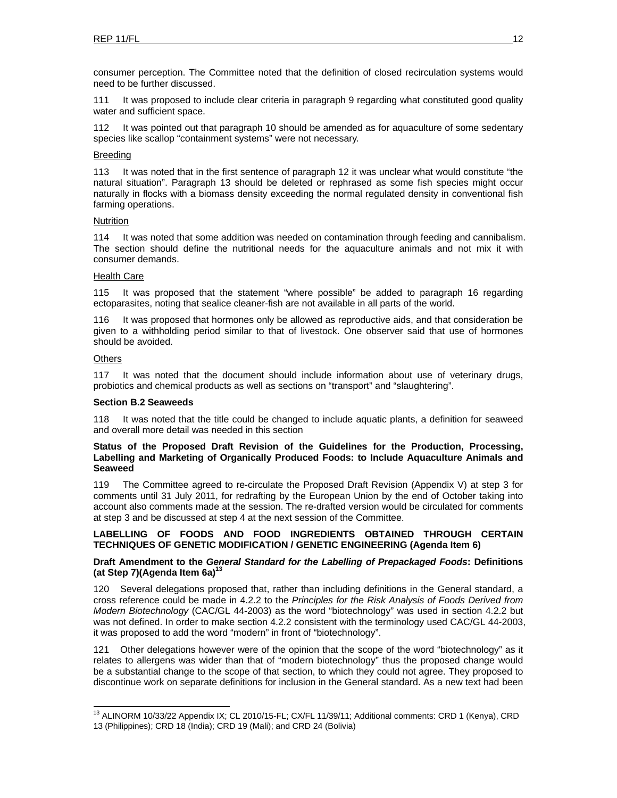consumer perception. The Committee noted that the definition of closed recirculation systems would need to be further discussed.

111 It was proposed to include clear criteria in paragraph 9 regarding what constituted good quality water and sufficient space.

It was pointed out that paragraph 10 should be amended as for aquaculture of some sedentary species like scallop "containment systems" were not necessary.

### Breeding

113 It was noted that in the first sentence of paragraph 12 it was unclear what would constitute "the natural situation". Paragraph 13 should be deleted or rephrased as some fish species might occur naturally in flocks with a biomass density exceeding the normal regulated density in conventional fish farming operations.

### Nutrition

114 It was noted that some addition was needed on contamination through feeding and cannibalism. The section should define the nutritional needs for the aquaculture animals and not mix it with consumer demands.

### Health Care

115 It was proposed that the statement "where possible" be added to paragraph 16 regarding ectoparasites, noting that sealice cleaner-fish are not available in all parts of the world.

116 It was proposed that hormones only be allowed as reproductive aids, and that consideration be given to a withholding period similar to that of livestock. One observer said that use of hormones should be avoided.

### **Others**

l

117 It was noted that the document should include information about use of veterinary drugs, probiotics and chemical products as well as sections on "transport" and "slaughtering".

#### **Section B.2 Seaweeds**

118 It was noted that the title could be changed to include aquatic plants, a definition for seaweed and overall more detail was needed in this section

### **Status of the Proposed Draft Revision of the Guidelines for the Production, Processing, Labelling and Marketing of Organically Produced Foods: to Include Aquaculture Animals and Seaweed**

119 The Committee agreed to re-circulate the Proposed Draft Revision (Appendix V) at step 3 for comments until 31 July 2011, for redrafting by the European Union by the end of October taking into account also comments made at the session. The re-drafted version would be circulated for comments at step 3 and be discussed at step 4 at the next session of the Committee.

### **LABELLING OF FOODS AND FOOD INGREDIENTS OBTAINED THROUGH CERTAIN TECHNIQUES OF GENETIC MODIFICATION / GENETIC ENGINEERING (Agenda Item 6)**

### **Draft Amendment to the** *General Standard for the Labelling of Prepackaged Foods***: Definitions (at Step 7)(Agenda Item 6a)13**

120 Several delegations proposed that, rather than including definitions in the General standard, a cross reference could be made in 4.2.2 to the *Principles for the Risk Analysis of Foods Derived from Modern Biotechnology* (CAC/GL 44-2003) as the word "biotechnology" was used in section 4.2.2 but was not defined. In order to make section 4.2.2 consistent with the terminology used CAC/GL 44-2003, it was proposed to add the word "modern" in front of "biotechnology".

121 Other delegations however were of the opinion that the scope of the word "biotechnology" as it relates to allergens was wider than that of "modern biotechnology" thus the proposed change would be a substantial change to the scope of that section, to which they could not agree. They proposed to discontinue work on separate definitions for inclusion in the General standard. As a new text had been

<sup>&</sup>lt;sup>13</sup> ALINORM 10/33/22 Appendix IX; CL 2010/15-FL; CX/FL 11/39/11; Additional comments: CRD 1 (Kenya), CRD 13 (Philippines); CRD 18 (India); CRD 19 (Mali); and CRD 24 (Bolivia)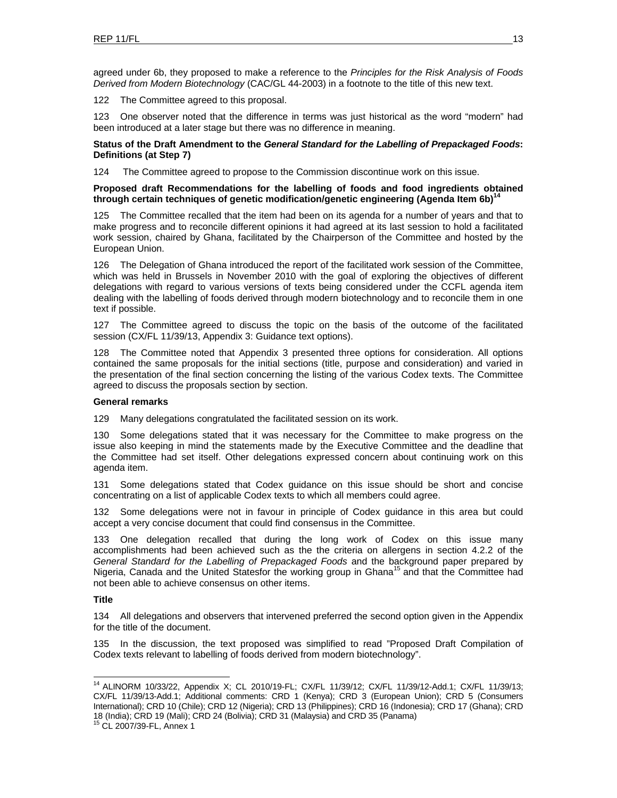agreed under 6b, they proposed to make a reference to the *Principles for the Risk Analysis of Foods Derived from Modern Biotechnology* (CAC/GL 44-2003) in a footnote to the title of this new text.

122 The Committee agreed to this proposal.

123 One observer noted that the difference in terms was just historical as the word "modern" had been introduced at a later stage but there was no difference in meaning.

### **Status of the Draft Amendment to the** *General Standard for the Labelling of Prepackaged Foods***: Definitions (at Step 7)**

124 The Committee agreed to propose to the Commission discontinue work on this issue.

### **Proposed draft Recommendations for the labelling of foods and food ingredients obtained through certain techniques of genetic modification/genetic engineering (Agenda Item 6b)14**

125 The Committee recalled that the item had been on its agenda for a number of years and that to make progress and to reconcile different opinions it had agreed at its last session to hold a facilitated work session, chaired by Ghana, facilitated by the Chairperson of the Committee and hosted by the European Union.

126 The Delegation of Ghana introduced the report of the facilitated work session of the Committee, which was held in Brussels in November 2010 with the goal of exploring the objectives of different delegations with regard to various versions of texts being considered under the CCFL agenda item dealing with the labelling of foods derived through modern biotechnology and to reconcile them in one text if possible.

127 The Committee agreed to discuss the topic on the basis of the outcome of the facilitated session (CX/FL 11/39/13, Appendix 3: Guidance text options).

128 The Committee noted that Appendix 3 presented three options for consideration. All options contained the same proposals for the initial sections (title, purpose and consideration) and varied in the presentation of the final section concerning the listing of the various Codex texts. The Committee agreed to discuss the proposals section by section.

### **General remarks**

129 Many delegations congratulated the facilitated session on its work.

130 Some delegations stated that it was necessary for the Committee to make progress on the issue also keeping in mind the statements made by the Executive Committee and the deadline that the Committee had set itself. Other delegations expressed concern about continuing work on this agenda item.

131 Some delegations stated that Codex guidance on this issue should be short and concise concentrating on a list of applicable Codex texts to which all members could agree.

132 Some delegations were not in favour in principle of Codex guidance in this area but could accept a very concise document that could find consensus in the Committee.

133 One delegation recalled that during the long work of Codex on this issue many accomplishments had been achieved such as the the criteria on allergens in section 4.2.2 of the *General Standard for the Labelling of Prepackaged Foods* and the background paper prepared by Nigeria, Canada and the United Statesfor the working group in Ghana<sup>15</sup> and that the Committee had not been able to achieve consensus on other items.

### **Title**

l

134 All delegations and observers that intervened preferred the second option given in the Appendix for the title of the document.

135 In the discussion, the text proposed was simplified to read "Proposed Draft Compilation of Codex texts relevant to labelling of foods derived from modern biotechnology".

<sup>14</sup> ALINORM 10/33/22, Appendix X; CL 2010/19-FL; CX/FL 11/39/12; CX/FL 11/39/12-Add.1; CX/FL 11/39/13; CX/FL 11/39/13-Add.1; Additional comments: CRD 1 (Kenya); CRD 3 (European Union); CRD 5 (Consumers International); CRD 10 (Chile); CRD 12 (Nigeria); CRD 13 (Philippines); CRD 16 (Indonesia); CRD 17 (Ghana); CRD 18 (India); CRD 19 (Mali); CRD 24 (Bolivia); CRD 31 (Malaysia) and CRD 35 (Panama) 15 CL 2007/39-FL, Annex 1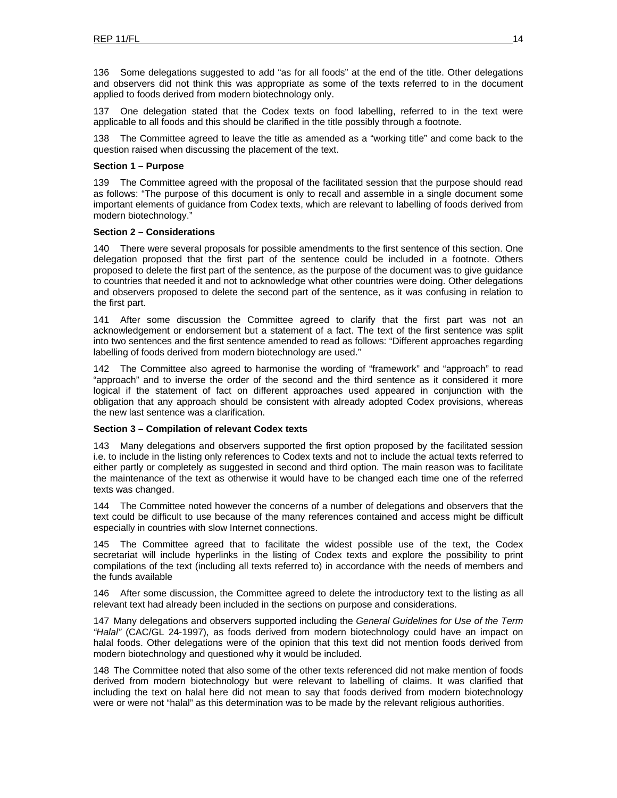136 Some delegations suggested to add "as for all foods" at the end of the title. Other delegations and observers did not think this was appropriate as some of the texts referred to in the document applied to foods derived from modern biotechnology only.

137 One delegation stated that the Codex texts on food labelling, referred to in the text were applicable to all foods and this should be clarified in the title possibly through a footnote.

138 The Committee agreed to leave the title as amended as a "working title" and come back to the question raised when discussing the placement of the text.

### **Section 1 – Purpose**

139 The Committee agreed with the proposal of the facilitated session that the purpose should read as follows: "The purpose of this document is only to recall and assemble in a single document some important elements of guidance from Codex texts, which are relevant to labelling of foods derived from modern biotechnology."

### **Section 2 – Considerations**

140 There were several proposals for possible amendments to the first sentence of this section. One delegation proposed that the first part of the sentence could be included in a footnote. Others proposed to delete the first part of the sentence, as the purpose of the document was to give guidance to countries that needed it and not to acknowledge what other countries were doing. Other delegations and observers proposed to delete the second part of the sentence, as it was confusing in relation to the first part.

141 After some discussion the Committee agreed to clarify that the first part was not an acknowledgement or endorsement but a statement of a fact. The text of the first sentence was split into two sentences and the first sentence amended to read as follows: "Different approaches regarding labelling of foods derived from modern biotechnology are used."

142 The Committee also agreed to harmonise the wording of "framework" and "approach" to read "approach" and to inverse the order of the second and the third sentence as it considered it more logical if the statement of fact on different approaches used appeared in conjunction with the obligation that any approach should be consistent with already adopted Codex provisions, whereas the new last sentence was a clarification.

### **Section 3 – Compilation of relevant Codex texts**

143 Many delegations and observers supported the first option proposed by the facilitated session i.e. to include in the listing only references to Codex texts and not to include the actual texts referred to either partly or completely as suggested in second and third option. The main reason was to facilitate the maintenance of the text as otherwise it would have to be changed each time one of the referred texts was changed.

144 The Committee noted however the concerns of a number of delegations and observers that the text could be difficult to use because of the many references contained and access might be difficult especially in countries with slow Internet connections.

145 The Committee agreed that to facilitate the widest possible use of the text, the Codex secretariat will include hyperlinks in the listing of Codex texts and explore the possibility to print compilations of the text (including all texts referred to) in accordance with the needs of members and the funds available

146 After some discussion, the Committee agreed to delete the introductory text to the listing as all relevant text had already been included in the sections on purpose and considerations.

147 Many delegations and observers supported including the *General Guidelines for Use of the Term "Halal"* (CAC/GL 24-1997), as foods derived from modern biotechnology could have an impact on halal foods. Other delegations were of the opinion that this text did not mention foods derived from modern biotechnology and questioned why it would be included.

148 The Committee noted that also some of the other texts referenced did not make mention of foods derived from modern biotechnology but were relevant to labelling of claims. It was clarified that including the text on halal here did not mean to say that foods derived from modern biotechnology were or were not "halal" as this determination was to be made by the relevant religious authorities.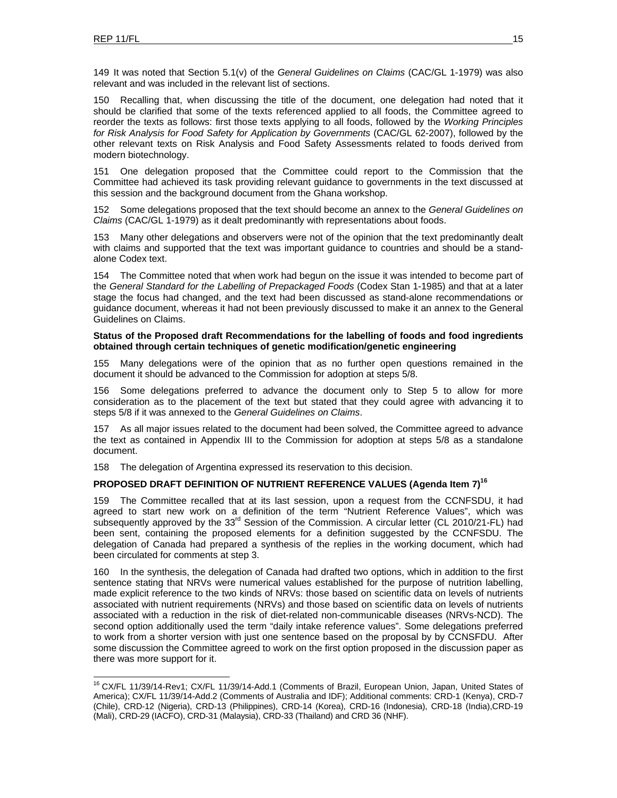149 It was noted that Section 5.1(v) of the *General Guidelines on Claims* (CAC/GL 1-1979) was also relevant and was included in the relevant list of sections.

150 Recalling that, when discussing the title of the document, one delegation had noted that it should be clarified that some of the texts referenced applied to all foods, the Committee agreed to reorder the texts as follows: first those texts applying to all foods, followed by the *Working Principles for Risk Analysis for Food Safety for Application by Governments* (CAC/GL 62-2007), followed by the other relevant texts on Risk Analysis and Food Safety Assessments related to foods derived from modern biotechnology.

151 One delegation proposed that the Committee could report to the Commission that the Committee had achieved its task providing relevant guidance to governments in the text discussed at this session and the background document from the Ghana workshop.

152 Some delegations proposed that the text should become an annex to the *General Guidelines on Claims* (CAC/GL 1-1979) as it dealt predominantly with representations about foods.

153 Many other delegations and observers were not of the opinion that the text predominantly dealt with claims and supported that the text was important guidance to countries and should be a standalone Codex text.

154 The Committee noted that when work had begun on the issue it was intended to become part of the *General Standard for the Labelling of Prepackaged Foods* (Codex Stan 1-1985) and that at a later stage the focus had changed, and the text had been discussed as stand-alone recommendations or guidance document, whereas it had not been previously discussed to make it an annex to the General Guidelines on Claims.

### **Status of the Proposed draft Recommendations for the labelling of foods and food ingredients obtained through certain techniques of genetic modification/genetic engineering**

155 Many delegations were of the opinion that as no further open questions remained in the document it should be advanced to the Commission for adoption at steps 5/8.

156 Some delegations preferred to advance the document only to Step 5 to allow for more consideration as to the placement of the text but stated that they could agree with advancing it to steps 5/8 if it was annexed to the *General Guidelines on Claims*.

157 As all major issues related to the document had been solved, the Committee agreed to advance the text as contained in Appendix III to the Commission for adoption at steps 5/8 as a standalone document.

158 The delegation of Argentina expressed its reservation to this decision.

### PROPOSED DRAFT DEFINITION OF NUTRIENT REFERENCE VALUES (Agenda Item 7)<sup>16</sup>

159 The Committee recalled that at its last session, upon a request from the CCNFSDU, it had agreed to start new work on a definition of the term "Nutrient Reference Values", which was subsequently approved by the 33<sup>rd</sup> Session of the Commission. A circular letter (CL 2010/21-FL) had been sent, containing the proposed elements for a definition suggested by the CCNFSDU. The delegation of Canada had prepared a synthesis of the replies in the working document, which had been circulated for comments at step 3.

160 In the synthesis, the delegation of Canada had drafted two options, which in addition to the first sentence stating that NRVs were numerical values established for the purpose of nutrition labelling, made explicit reference to the two kinds of NRVs: those based on scientific data on levels of nutrients associated with nutrient requirements (NRVs) and those based on scientific data on levels of nutrients associated with a reduction in the risk of diet-related non-communicable diseases (NRVs-NCD). The second option additionally used the term "daily intake reference values". Some delegations preferred to work from a shorter version with just one sentence based on the proposal by by CCNSFDU. After some discussion the Committee agreed to work on the first option proposed in the discussion paper as there was more support for it.

<sup>&</sup>lt;sup>16</sup> CX/FL 11/39/14-Rev1; CX/FL 11/39/14-Add.1 (Comments of Brazil, European Union, Japan, United States of America); CX/FL 11/39/14-Add.2 (Comments of Australia and IDF); Additional comments: CRD-1 (Kenya), CRD-7 (Chile), CRD-12 (Nigeria), CRD-13 (Philippines), CRD-14 (Korea), CRD-16 (Indonesia), CRD-18 (India),CRD-19 (Mali), CRD-29 (IACFO), CRD-31 (Malaysia), CRD-33 (Thailand) and CRD 36 (NHF).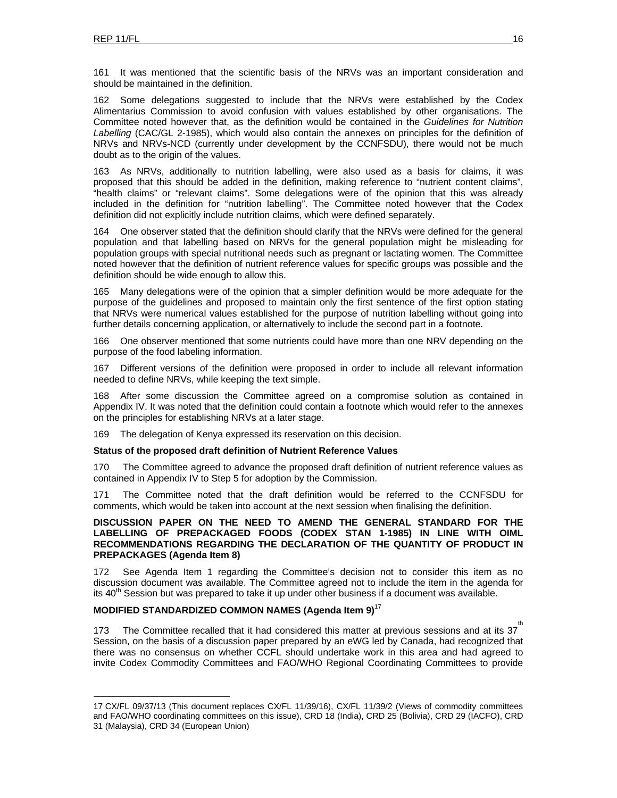161 It was mentioned that the scientific basis of the NRVs was an important consideration and should be maintained in the definition.

162 Some delegations suggested to include that the NRVs were established by the Codex Alimentarius Commission to avoid confusion with values established by other organisations. The Committee noted however that, as the definition would be contained in the *Guidelines for Nutrition Labelling* (CAC/GL 2-1985), which would also contain the annexes on principles for the definition of NRVs and NRVs-NCD (currently under development by the CCNFSDU), there would not be much doubt as to the origin of the values.

163 As NRVs, additionally to nutrition labelling, were also used as a basis for claims, it was proposed that this should be added in the definition, making reference to "nutrient content claims", "health claims" or "relevant claims". Some delegations were of the opinion that this was already included in the definition for "nutrition labelling". The Committee noted however that the Codex definition did not explicitly include nutrition claims, which were defined separately.

164 One observer stated that the definition should clarify that the NRVs were defined for the general population and that labelling based on NRVs for the general population might be misleading for population groups with special nutritional needs such as pregnant or lactating women. The Committee noted however that the definition of nutrient reference values for specific groups was possible and the definition should be wide enough to allow this.

165 Many delegations were of the opinion that a simpler definition would be more adequate for the purpose of the guidelines and proposed to maintain only the first sentence of the first option stating that NRVs were numerical values established for the purpose of nutrition labelling without going into further details concerning application, or alternatively to include the second part in a footnote.

166 One observer mentioned that some nutrients could have more than one NRV depending on the purpose of the food labeling information.

167 Different versions of the definition were proposed in order to include all relevant information needed to define NRVs, while keeping the text simple.

168 After some discussion the Committee agreed on a compromise solution as contained in Appendix IV. It was noted that the definition could contain a footnote which would refer to the annexes on the principles for establishing NRVs at a later stage.

169 The delegation of Kenya expressed its reservation on this decision.

#### **Status of the proposed draft definition of Nutrient Reference Values**

170 The Committee agreed to advance the proposed draft definition of nutrient reference values as contained in Appendix IV to Step 5 for adoption by the Commission.

171 The Committee noted that the draft definition would be referred to the CCNFSDU for comments, which would be taken into account at the next session when finalising the definition.

### **DISCUSSION PAPER ON THE NEED TO AMEND THE GENERAL STANDARD FOR THE LABELLING OF PREPACKAGED FOODS (CODEX STAN 1-1985) IN LINE WITH OIML RECOMMENDATIONS REGARDING THE DECLARATION OF THE QUANTITY OF PRODUCT IN PREPACKAGES (Agenda Item 8)**

172 See Agenda Item 1 regarding the Committee's decision not to consider this item as no discussion document was available. The Committee agreed not to include the item in the agenda for its 40<sup>th</sup> Session but was prepared to take it up under other business if a document was available.

### **MODIFIED STANDARDIZED COMMON NAMES (Agenda Item 9)**<sup>17</sup>

173 The Committee recalled that it had considered this matter at previous sessions and at its 37 Session, on the basis of a discussion paper prepared by an eWG led by Canada, had recognized that there was no consensus on whether CCFL should undertake work in this area and had agreed to invite Codex Commodity Committees and FAO/WHO Regional Coordinating Committees to provide

<sup>17</sup> CX/FL 09/37/13 (This document replaces CX/FL 11/39/16), CX/FL 11/39/2 (Views of commodity committees and FAO/WHO coordinating committees on this issue), CRD 18 (India), CRD 25 (Bolivia), CRD 29 (IACFO), CRD 31 (Malaysia), CRD 34 (European Union)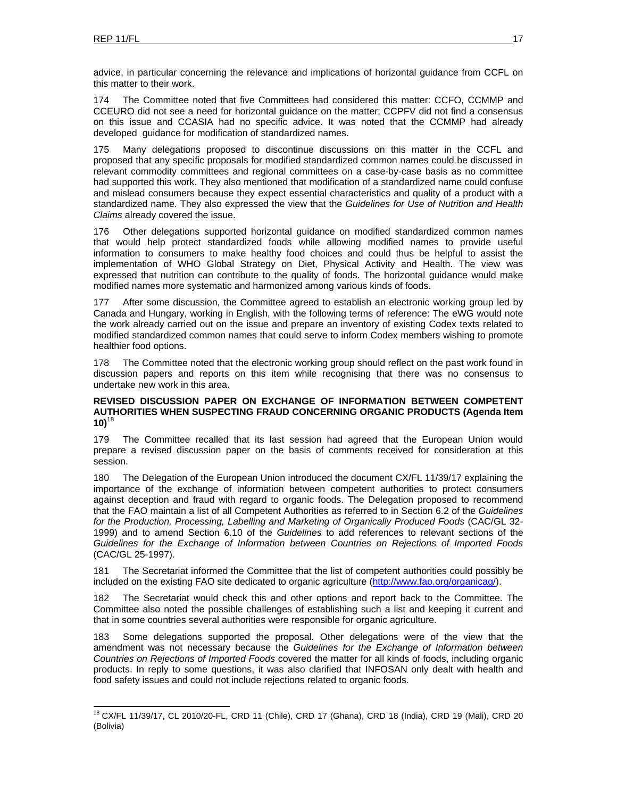advice, in particular concerning the relevance and implications of horizontal guidance from CCFL on this matter to their work.

174 The Committee noted that five Committees had considered this matter: CCFO, CCMMP and CCEURO did not see a need for horizontal guidance on the matter; CCPFV did not find a consensus on this issue and CCASIA had no specific advice. It was noted that the CCMMP had already developed guidance for modification of standardized names.

175 Many delegations proposed to discontinue discussions on this matter in the CCFL and proposed that any specific proposals for modified standardized common names could be discussed in relevant commodity committees and regional committees on a case-by-case basis as no committee had supported this work. They also mentioned that modification of a standardized name could confuse and mislead consumers because they expect essential characteristics and quality of a product with a standardized name. They also expressed the view that the *Guidelines for Use of Nutrition and Health Claims* already covered the issue.

176 Other delegations supported horizontal guidance on modified standardized common names that would help protect standardized foods while allowing modified names to provide useful information to consumers to make healthy food choices and could thus be helpful to assist the implementation of WHO Global Strategy on Diet, Physical Activity and Health. The view was expressed that nutrition can contribute to the quality of foods. The horizontal guidance would make modified names more systematic and harmonized among various kinds of foods.

177 After some discussion, the Committee agreed to establish an electronic working group led by Canada and Hungary, working in English, with the following terms of reference: The eWG would note the work already carried out on the issue and prepare an inventory of existing Codex texts related to modified standardized common names that could serve to inform Codex members wishing to promote healthier food options.

178 The Committee noted that the electronic working group should reflect on the past work found in discussion papers and reports on this item while recognising that there was no consensus to undertake new work in this area.

### **REVISED DISCUSSION PAPER ON EXCHANGE OF INFORMATION BETWEEN COMPETENT AUTHORITIES WHEN SUSPECTING FRAUD CONCERNING ORGANIC PRODUCTS (Agenda Item**   $10$ <sup>18</sup>

179 The Committee recalled that its last session had agreed that the European Union would prepare a revised discussion paper on the basis of comments received for consideration at this session.

180 The Delegation of the European Union introduced the document CX/FL 11/39/17 explaining the importance of the exchange of information between competent authorities to protect consumers against deception and fraud with regard to organic foods. The Delegation proposed to recommend that the FAO maintain a list of all Competent Authorities as referred to in Section 6.2 of the *Guidelines for the Production, Processing, Labelling and Marketing of Organically Produced Foods* (CAC/GL 32- 1999) and to amend Section 6.10 of the *Guidelines* to add references to relevant sections of the *Guidelines for the Exchange of Information between Countries on Rejections of Imported Foods*  (CAC/GL 25-1997).

181 The Secretariat informed the Committee that the list of competent authorities could possibly be included on the existing FAO site dedicated to organic agriculture (http://www.fao.org/organicag/).

182 The Secretariat would check this and other options and report back to the Committee. The Committee also noted the possible challenges of establishing such a list and keeping it current and that in some countries several authorities were responsible for organic agriculture.

183 Some delegations supported the proposal. Other delegations were of the view that the amendment was not necessary because the *Guidelines for the Exchange of Information between Countries on Rejections of Imported Foods* covered the matter for all kinds of foods, including organic products. In reply to some questions, it was also clarified that INFOSAN only dealt with health and food safety issues and could not include rejections related to organic foods.

<sup>&</sup>lt;sup>18</sup> CX/FL 11/39/17, CL 2010/20-FL, CRD 11 (Chile), CRD 17 (Ghana), CRD 18 (India), CRD 19 (Mali), CRD 20 (Bolivia)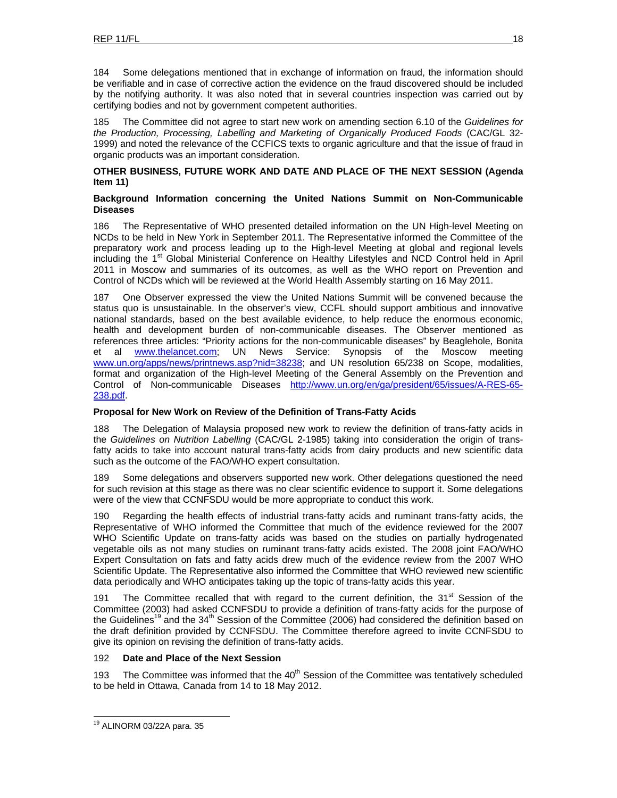184 Some delegations mentioned that in exchange of information on fraud, the information should be verifiable and in case of corrective action the evidence on the fraud discovered should be included by the notifying authority. It was also noted that in several countries inspection was carried out by certifying bodies and not by government competent authorities.

185 The Committee did not agree to start new work on amending section 6.10 of the *Guidelines for the Production, Processing, Labelling and Marketing of Organically Produced Foods* (CAC/GL 32- 1999) and noted the relevance of the CCFICS texts to organic agriculture and that the issue of fraud in organic products was an important consideration.

### **OTHER BUSINESS, FUTURE WORK AND DATE AND PLACE OF THE NEXT SESSION (Agenda Item 11)**

### **Background Information concerning the United Nations Summit on Non-Communicable Diseases**

186 The Representative of WHO presented detailed information on the UN High-level Meeting on NCDs to be held in New York in September 2011. The Representative informed the Committee of the preparatory work and process leading up to the High-level Meeting at global and regional levels including the 1<sup>st</sup> Global Ministerial Conference on Healthy Lifestyles and NCD Control held in April 2011 in Moscow and summaries of its outcomes, as well as the WHO report on Prevention and Control of NCDs which will be reviewed at the World Health Assembly starting on 16 May 2011.

187 One Observer expressed the view the United Nations Summit will be convened because the status quo is unsustainable. In the observer's view, CCFL should support ambitious and innovative national standards, based on the best available evidence, to help reduce the enormous economic, health and development burden of non-communicable diseases. The Observer mentioned as references three articles: "Priority actions for the non-communicable diseases" by Beaglehole, Bonita et al www.thelancet.com; UN News Service: Synopsis of the Moscow meeting www.un.org/apps/news/printnews.asp?nid=38238; and UN resolution 65/238 on Scope, modalities, format and organization of the High-level Meeting of the General Assembly on the Prevention and Control of Non-communicable Diseases http://www.un.org/en/ga/president/65/issues/A-RES-65- 238.pdf.

### **Proposal for New Work on Review of the Definition of Trans-Fatty Acids**

188 The Delegation of Malaysia proposed new work to review the definition of trans-fatty acids in the *Guidelines on Nutrition Labelling* (CAC/GL 2-1985) taking into consideration the origin of transfatty acids to take into account natural trans-fatty acids from dairy products and new scientific data such as the outcome of the FAO/WHO expert consultation.

189 Some delegations and observers supported new work. Other delegations questioned the need for such revision at this stage as there was no clear scientific evidence to support it. Some delegations were of the view that CCNFSDU would be more appropriate to conduct this work.

190 Regarding the health effects of industrial trans-fatty acids and ruminant trans-fatty acids, the Representative of WHO informed the Committee that much of the evidence reviewed for the 2007 WHO Scientific Update on trans-fatty acids was based on the studies on partially hydrogenated vegetable oils as not many studies on ruminant trans-fatty acids existed. The 2008 joint FAO/WHO Expert Consultation on fats and fatty acids drew much of the evidence review from the 2007 WHO Scientific Update. The Representative also informed the Committee that WHO reviewed new scientific data periodically and WHO anticipates taking up the topic of trans-fatty acids this year.

191 The Committee recalled that with regard to the current definition, the  $31<sup>st</sup>$  Session of the Committee (2003) had asked CCNFSDU to provide a definition of trans-fatty acids for the purpose of the Guidelines<sup>19</sup> and the 34<sup>th</sup> Session of the Committee (2006) had considered the definition based on the draft definition provided by CCNFSDU. The Committee therefore agreed to invite CCNFSDU to give its opinion on revising the definition of trans-fatty acids.

### 192 **Date and Place of the Next Session**

193 The Committee was informed that the  $40<sup>th</sup>$  Session of the Committee was tentatively scheduled to be held in Ottawa, Canada from 14 to 18 May 2012.

l

<sup>&</sup>lt;sup>19</sup> ALINORM 03/22A para. 35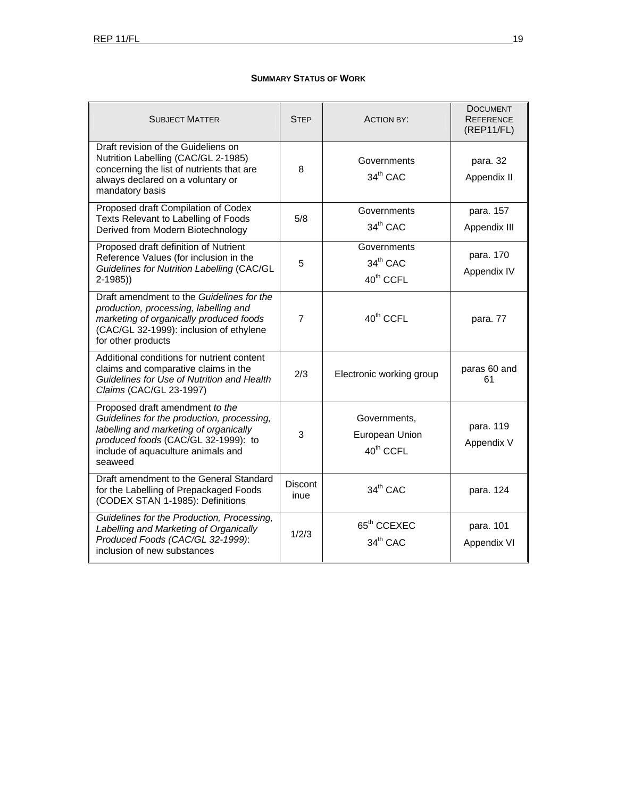### **SUMMARY STATUS OF WORK**

| <b>SUBJECT MATTER</b>                                                                                                                                                                                           | <b>STEP</b>            | <b>ACTION BY:</b>                                       | <b>DOCUMENT</b><br><b>REFERENCE</b><br>(REP11/FL) |
|-----------------------------------------------------------------------------------------------------------------------------------------------------------------------------------------------------------------|------------------------|---------------------------------------------------------|---------------------------------------------------|
| Draft revision of the Guideliens on<br>Nutrition Labelling (CAC/GL 2-1985)<br>concerning the list of nutrients that are<br>always declared on a voluntary or<br>mandatory basis                                 | 8                      | Governments<br>34 <sup>th</sup> CAC                     | para. 32<br>Appendix II                           |
| Proposed draft Compilation of Codex<br>Texts Relevant to Labelling of Foods<br>Derived from Modern Biotechnology                                                                                                | 5/8                    | Governments<br>$34th$ CAC                               | para. 157<br>Appendix III                         |
| Proposed draft definition of Nutrient<br>Reference Values (for inclusion in the<br>Guidelines for Nutrition Labelling (CAC/GL<br>$2-1985)$                                                                      | 5                      | Governments<br>$34th$ CAC<br>40 <sup>th</sup> CCFL      | para. 170<br>Appendix IV                          |
| Draft amendment to the Guidelines for the<br>production, processing, labelling and<br>marketing of organically produced foods<br>(CAC/GL 32-1999): inclusion of ethylene<br>for other products                  | $\overline{7}$         | 40 <sup>th</sup> CCFL                                   | para. 77                                          |
| Additional conditions for nutrient content<br>claims and comparative claims in the<br>Guidelines for Use of Nutrition and Health<br>Claims (CAC/GL 23-1997)                                                     | 2/3                    | Electronic working group                                | paras 60 and<br>61                                |
| Proposed draft amendment to the<br>Guidelines for the production, processing,<br>labelling and marketing of organically<br>produced foods (CAC/GL 32-1999): to<br>include of aquaculture animals and<br>seaweed | 3                      | Governments,<br>European Union<br>40 <sup>th</sup> CCFL | para. 119<br>Appendix V                           |
| Draft amendment to the General Standard<br>for the Labelling of Prepackaged Foods<br>(CODEX STAN 1-1985): Definitions                                                                                           | <b>Discont</b><br>inue | 34 <sup>th</sup> CAC                                    | para. 124                                         |
| Guidelines for the Production, Processing,<br>Labelling and Marketing of Organically<br>Produced Foods (CAC/GL 32-1999):<br>inclusion of new substances                                                         | 1/2/3                  | 65 <sup>th</sup> CCEXEC<br>34 <sup>th</sup> CAC         | para. 101<br>Appendix VI                          |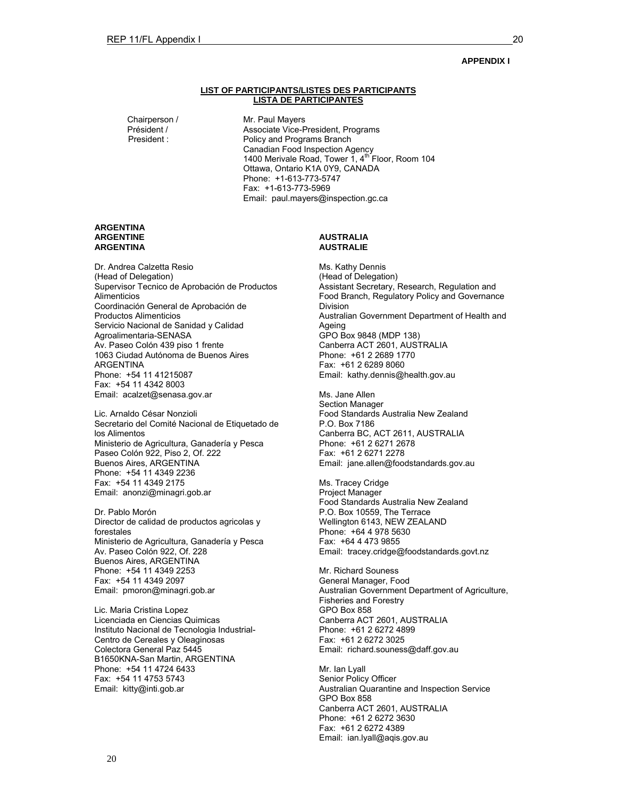### **APPENDIX I**

#### **LIST OF PARTICIPANTS/LISTES DES PARTICIPANTS LISTA DE PARTICIPANTES**

Chairperson / Mr. Paul Mayers<br>Président / Associate Vice-F Président / Associate Vice-President, Programs Policy and Programs Branch Canadian Food Inspection Agency 1400 Merivale Road, Tower 1, 4<sup>th</sup> Floor, Room 104 Ottawa, Ontario K1A 0Y9, CANADA Phone: +1-613-773-5747 Fax: +1-613-773-5969 Email: paul.mayers@inspection.gc.ca

#### **ARGENTINA ARGENTINE ARGENTINA**

Dr. Andrea Calzetta Resio (Head of Delegation) Supervisor Tecnico de Aprobación de Productos **Alimenticios** Coordinación General de Aprobación de Productos Alimenticios Servicio Nacional de Sanidad y Calidad Agroalimentaria-SENASA Av. Paseo Colón 439 piso 1 frente 1063 Ciudad Autónoma de Buenos Aires ARGENTINA Phone: +54 11 41215087 Fax: +54 11 4342 8003 Email: acalzet@senasa.gov.ar

Lic. Arnaldo César Nonzioli Secretario del Comité Nacional de Etiquetado de los Alimentos Ministerio de Agricultura, Ganadería y Pesca Paseo Colón 922, Piso 2, Of. 222 Buenos Aires, ARGENTINA Phone: +54 11 4349 2236 Fax: +54 11 4349 2175 Email: anonzi@minagri.gob.ar

Dr. Pablo Morón Director de calidad de productos agricolas y forestales Ministerio de Agricultura, Ganadería y Pesca Av. Paseo Colón 922, Of. 228 Buenos Aires, ARGENTINA Phone: +54 11 4349 2253 Fax: +54 11 4349 2097 Email: pmoron@minagri.gob.ar

Lic. Maria Cristina Lopez Licenciada en Ciencias Quimicas Instituto Nacional de Tecnologia Industrial-Centro de Cereales y Oleaginosas Colectora General Paz 5445 B1650KNA-San Martin, ARGENTINA Phone: +54 11 4724 6433 Fax: +54 11 4753 5743 Email: kitty@inti.gob.ar

#### **AUSTRALIA AUSTRALIE**

Ms. Kathy Dennis (Head of Delegation) Assistant Secretary, Research, Regulation and Food Branch, Regulatory Policy and Governance Division Australian Government Department of Health and Ageing GPO Box 9848 (MDP 138) Canberra ACT 2601, AUSTRALIA Phone: +61 2 2689 1770 Fax: +61 2 6289 8060 Email: kathy.dennis@health.gov.au

Ms. Jane Allen Section Manager Food Standards Australia New Zealand P.O. Box 7186 Canberra BC, ACT 2611, AUSTRALIA Phone: +61 2 6271 2678 Fax: +61 2 6271 2278 Email: jane.allen@foodstandards.gov.au

Ms. Tracey Cridge Project Manager Food Standards Australia New Zealand P.O. Box 10559, The Terrace Wellington 6143, NEW ZEALAND Phone: +64 4 978 5630 Fax: +64 4 473 9855 Email: tracey.cridge@foodstandards.govt.nz

Mr. Richard Souness General Manager, Food Australian Government Department of Agriculture, Fisheries and Forestry GPO Box 858 Canberra ACT 2601, AUSTRALIA Phone: +61 2 6272 4899 Fax: +61 2 6272 3025 Email: richard.souness@daff.gov.au

Mr. Ian Lyall Senior Policy Officer Australian Quarantine and Inspection Service GPO Box 858 Canberra ACT 2601, AUSTRALIA Phone: +61 2 6272 3630 Fax: +61 2 6272 4389 Email: ian.lyall@aqis.gov.au

20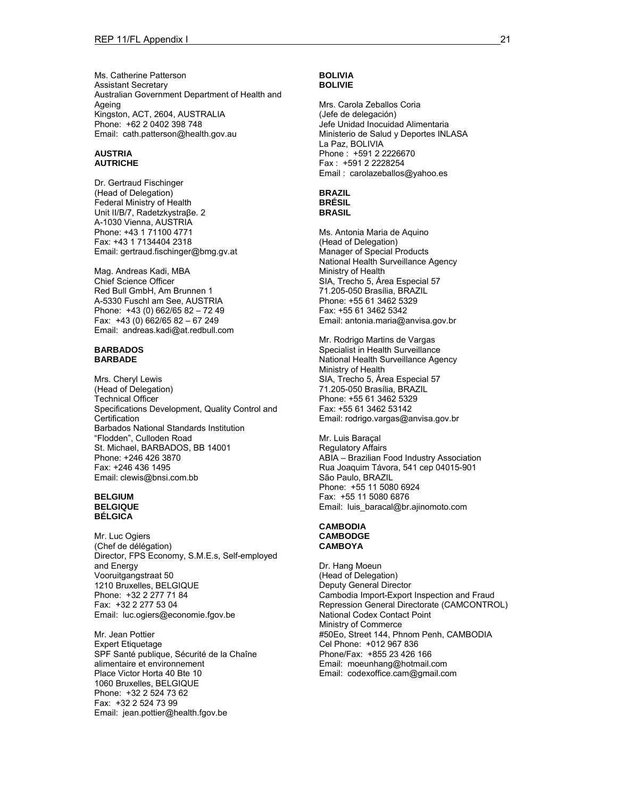Ms. Catherine Patterson Assistant Secretary Australian Government Department of Health and Ageing Kingston, ACT, 2604, AUSTRALIA Phone: +62 2 0402 398 748 Email: cath.patterson@health.gov.au

#### **AUSTRIA AUTRICHE**

Dr. Gertraud Fischinger (Head of Delegation) Federal Ministry of Health Unit II/B/7, Radetzkystraβe. 2 A-1030 Vienna, AUSTRIA Phone: +43 1 71100 4771 Fax: +43 1 7134404 2318 Email: gertraud.fischinger@bmg.gv.at

Mag. Andreas Kadi, MBA Chief Science Officer Red Bull GmbH, Am Brunnen 1 A-5330 Fuschl am See, AUSTRIA Phone: +43 (0) 662/65 82 – 72 49 Fax: +43 (0) 662/65 82 – 67 249 Email: andreas.kadi@at.redbull.com

#### **BARBADOS BARBADE**

Mrs. Cheryl Lewis (Head of Delegation) Technical Officer Specifications Development, Quality Control and **Certification** Barbados National Standards Institution "Flodden", Culloden Road St. Michael, BARBADOS, BB 14001 Phone: +246 426 3870 Fax: +246 436 1495 Email: clewis@bnsi.com.bb

#### **BELGIUM BELGIQUE BÉLGICA**

Mr. Luc Ogiers (Chef de délégation) Director, FPS Economy, S.M.E.s, Self-employed and Energy Vooruitgangstraat 50 1210 Bruxelles, BELGIQUE Phone: +32 2 277 71 84 Fax: +32 2 277 53 04 Email: luc.ogiers@economie.fgov.be

Mr. Jean Pottier Expert Etiquetage SPF Santé publique, Sécurité de la Chaîne alimentaire et environnement Place Victor Horta 40 Bte 10 1060 Bruxelles, BELGIQUE Phone: +32 2 524 73 62 Fax: +32 2 524 73 99 Email: jean.pottier@health.fgov.be

#### **BOLIVIA BOLIVIE**

Mrs. Carola Zeballos Coria (Jefe de delegación) Jefe Unidad Inocuidad Alimentaria Ministerio de Salud y Deportes INLASA La Paz, BOLIVIA Phone : +591 2 2226670 Fax : +591 2 2228254 Email : carolazeballos@yahoo.es

#### **BRAZIL BRÉSIL BRASIL**

Ms. Antonia Maria de Aquino (Head of Delegation) Manager of Special Products National Health Surveillance Agency Ministry of Health SIA, Trecho 5, Área Especial 57 71.205-050 Brasília, BRAZIL Phone: +55 61 3462 5329 Fax: +55 61 3462 5342 Email: antonia.maria@anvisa.gov.br

Mr. Rodrigo Martins de Vargas Specialist in Health Surveillance National Health Surveillance Agency Ministry of Health SIA, Trecho 5, Área Especial 57 71.205-050 Brasília, BRAZIL Phone: +55 61 3462 5329 Fax: +55 61 3462 53142 Email: rodrigo.vargas@anvisa.gov.br

Mr. Luis Baraçal Regulatory Affairs ABIA – Brazilian Food Industry Association Rua Joaquim Távora, 541 cep 04015-901 São Paulo, BRAZIL Phone: +55 11 5080 6924 Fax: +55 11 5080 6876 Email: luis\_baracal@br.ajinomoto.com

#### **CAMBODIA CAMBODGE CAMBOYA**

Dr. Hang Moeun (Head of Delegation) Deputy General Director Cambodia Import-Export Inspection and Fraud Repression General Directorate (CAMCONTROL) National Codex Contact Point Ministry of Commerce #50Eo, Street 144, Phnom Penh, CAMBODIA Cel Phone: +012 967 836 Phone/Fax: +855 23 426 166 Email: moeunhang@hotmail.com Email: codexoffice.cam@gmail.com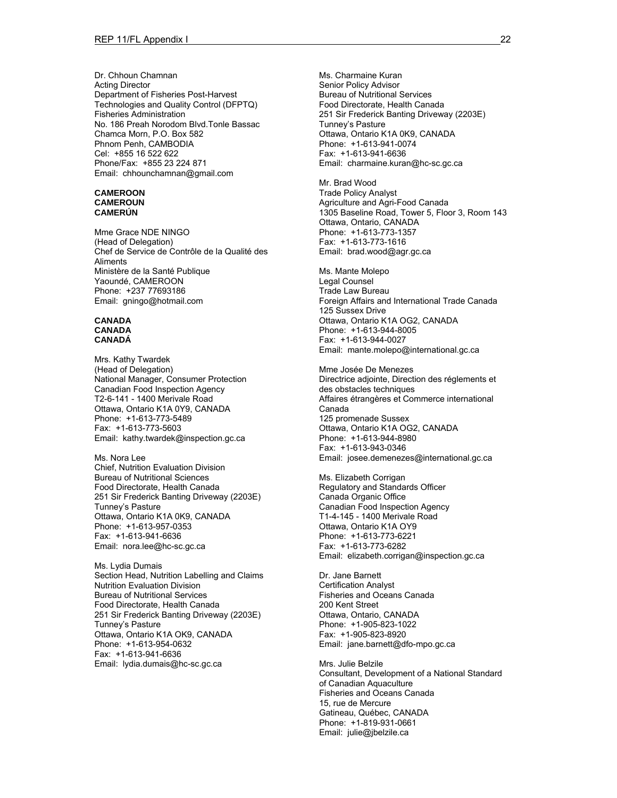Dr. Chhoun Chamnan Acting Director Department of Fisheries Post-Harvest Technologies and Quality Control (DFPTQ) Fisheries Administration No. 186 Preah Norodom Blvd.Tonle Bassac Chamca Morn, P.O. Box 582 Phnom Penh, CAMBODIA Cel: +855 16 522 622 Phone/Fax: +855 23 224 871 Email: chhounchamnan@gmail.com

#### **CAMEROON CAMEROUN CAMERÚN**

Mme Grace NDE NINGO (Head of Delegation) Chef de Service de Contrôle de la Qualité des Aliments Ministère de la Santé Publique Yaoundé, CAMEROON Phone: +237 77693186 Email: gningo@hotmail.com

#### **CANADA CANADA CANADÁ**

Mrs. Kathy Twardek (Head of Delegation) National Manager, Consumer Protection Canadian Food Inspection Agency T2-6-141 - 1400 Merivale Road Ottawa, Ontario K1A 0Y9, CANADA Phone: +1-613-773-5489 Fax: +1-613-773-5603 Email: kathy.twardek@inspection.gc.ca

Ms. Nora Lee Chief, Nutrition Evaluation Division Bureau of Nutritional Sciences Food Directorate, Health Canada 251 Sir Frederick Banting Driveway (2203E) Tunney's Pasture Ottawa, Ontario K1A 0K9, CANADA Phone: +1-613-957-0353 Fax: +1-613-941-6636 Email: nora.lee@hc-sc.gc.ca

Ms. Lydia Dumais Section Head, Nutrition Labelling and Claims Nutrition Evaluation Division Bureau of Nutritional Services Food Directorate, Health Canada 251 Sir Frederick Banting Driveway (2203E) Tunney's Pasture Ottawa, Ontario K1A OK9, CANADA Phone: +1-613-954-0632 Fax: +1-613-941-6636 Email: lydia.dumais@hc-sc.gc.ca

Ms. Charmaine Kuran Senior Policy Advisor Bureau of Nutritional Services Food Directorate, Health Canada 251 Sir Frederick Banting Driveway (2203E) Tunney's Pasture Ottawa, Ontario K1A 0K9, CANADA Phone: +1-613-941-0074 Fax: +1-613-941-6636 Email: charmaine.kuran@hc-sc.gc.ca

Mr. Brad Wood Trade Policy Analyst Agriculture and Agri-Food Canada 1305 Baseline Road, Tower 5, Floor 3, Room 143 Ottawa, Ontario, CANADA Phone: +1-613-773-1357 Fax: +1-613-773-1616 Email: brad.wood@agr.gc.ca

Ms. Mante Molepo Legal Counsel Trade Law Bureau Foreign Affairs and International Trade Canada 125 Sussex Drive Ottawa, Ontario K1A OG2, CANADA Phone: +1-613-944-8005 Fax: +1-613-944-0027 Email: mante.molepo@international.gc.ca

Mme Josée De Menezes Directrice adjointe, Direction des réglements et des obstacles techniques Affaires étrangères et Commerce international Canada 125 promenade Sussex Ottawa, Ontario K1A OG2, CANADA Phone: +1-613-944-8980 Fax: +1-613-943-0346 Email: josee.demenezes@international.gc.ca

Ms. Elizabeth Corrigan Regulatory and Standards Officer Canada Organic Office Canadian Food Inspection Agency T1-4-145 - 1400 Merivale Road Ottawa, Ontario K1A OY9 Phone: +1-613-773-6221 Fax: +1-613-773-6282 Email: elizabeth.corrigan@inspection.gc.ca

Dr. Jane Barnett Certification Analyst Fisheries and Oceans Canada 200 Kent Street Ottawa, Ontario, CANADA Phone: +1-905-823-1022 Fax: +1-905-823-8920 Email: jane.barnett@dfo-mpo.gc.ca

Mrs. Julie Belzile Consultant, Development of a National Standard of Canadian Aquaculture Fisheries and Oceans Canada 15, rue de Mercure Gatineau, Québec, CANADA Phone: +1-819-931-0661 Email: julie@jbelzile.ca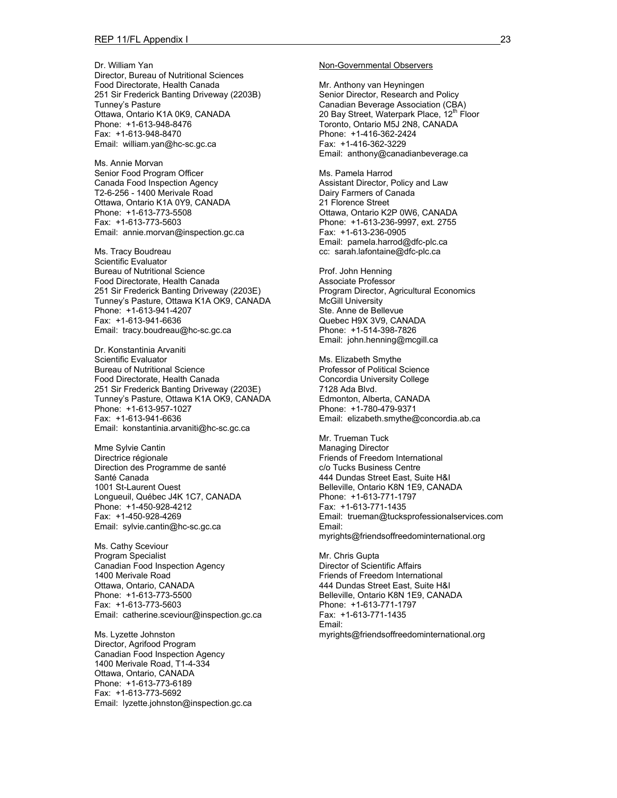Dr. William Yan Director, Bureau of Nutritional Sciences Food Directorate, Health Canada 251 Sir Frederick Banting Driveway (2203B) Tunney's Pasture Ottawa, Ontario K1A 0K9, CANADA Phone: +1-613-948-8476 Fax: +1-613-948-8470 Email: william.yan@hc-sc.gc.ca

Ms. Annie Morvan Senior Food Program Officer Canada Food Inspection Agency T2-6-256 - 1400 Merivale Road Ottawa, Ontario K1A 0Y9, CANADA Phone: +1-613-773-5508 Fax: +1-613-773-5603 Email: annie.morvan@inspection.gc.ca

Ms. Tracy Boudreau Scientific Evaluator Bureau of Nutritional Science Food Directorate, Health Canada 251 Sir Frederick Banting Driveway (2203E) Tunney's Pasture, Ottawa K1A OK9, CANADA Phone: +1-613-941-4207 Fax: +1-613-941-6636 Email: tracy.boudreau@hc-sc.gc.ca

Dr. Konstantinia Arvaniti Scientific Evaluator Bureau of Nutritional Science Food Directorate, Health Canada 251 Sir Frederick Banting Driveway (2203E) Tunney's Pasture, Ottawa K1A OK9, CANADA Phone: +1-613-957-1027 Fax: +1-613-941-6636 Email: konstantinia.arvaniti@hc-sc.gc.ca

Mme Sylvie Cantin Directrice régionale Direction des Programme de santé Santé Canada 1001 St-Laurent Ouest Longueuil, Québec J4K 1C7, CANADA Phone: +1-450-928-4212 Fax: +1-450-928-4269 Email: sylvie.cantin@hc-sc.gc.ca

Ms. Cathy Sceviour Program Specialist Canadian Food Inspection Agency 1400 Merivale Road Ottawa, Ontario, CANADA Phone: +1-613-773-5500 Fax: +1-613-773-5603 Email: catherine.sceviour@inspection.gc.ca

Ms. Lyzette Johnston Director, Agrifood Program Canadian Food Inspection Agency 1400 Merivale Road, T1-4-334 Ottawa, Ontario, CANADA Phone: +1-613-773-6189 Fax: +1-613-773-5692 Email: lyzette.johnston@inspection.gc.ca

#### Non-Governmental Observers

Mr. Anthony van Heyningen Senior Director, Research and Policy Canadian Beverage Association (CBA) 20 Bay Street, Waterpark Place, 12<sup>th</sup> Floor Toronto, Ontario M5J 2N8, CANADA Phone: +1-416-362-2424 Fax: +1-416-362-3229 Email: anthony@canadianbeverage.ca

Ms. Pamela Harrod Assistant Director, Policy and Law Dairy Farmers of Canada 21 Florence Street Ottawa, Ontario K2P 0W6, CANADA Phone: +1-613-236-9997, ext. 2755 Fax: +1-613-236-0905 Email: pamela.harrod@dfc-plc.ca cc: sarah.lafontaine@dfc-plc.ca

Prof. John Henning Associate Professor Program Director, Agricultural Economics McGill University Ste. Anne de Bellevue Quebec H9X 3V9, CANADA Phone: +1-514-398-7826 Email: john.henning@mcgill.ca

Ms. Elizabeth Smythe Professor of Political Science Concordia University College 7128 Ada Blvd. Edmonton, Alberta, CANADA Phone: +1-780-479-9371 Email: elizabeth.smythe@concordia.ab.ca

Mr. Trueman Tuck Managing Director Friends of Freedom International c/o Tucks Business Centre 444 Dundas Street East, Suite H&I Belleville, Ontario K8N 1E9, CANADA Phone: +1-613-771-1797 Fax: +1-613-771-1435 Email: trueman@tucksprofessionalservices.com Email: myrights@friendsoffreedominternational.org

Mr. Chris Gupta Director of Scientific Affairs Friends of Freedom International 444 Dundas Street East, Suite H&I Belleville, Ontario K8N 1E9, CANADA Phone: +1-613-771-1797 Fax: +1-613-771-1435 Email: myrights@friendsoffreedominternational.org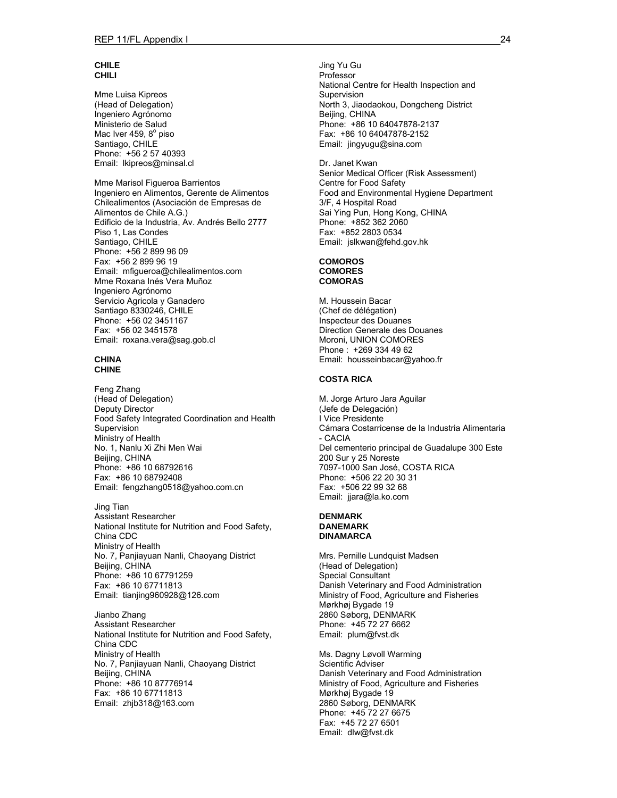### **CHILE CHILI**

Mme Luisa Kipreos (Head of Delegation) Ingeniero Agrónomo Ministerio de Salud Mac Iver 459, 8° piso Santiago, CHILE Phone: +56 2 57 40393 Email: lkipreos@minsal.cl

Mme Marisol Figueroa Barrientos Ingeniero en Alimentos, Gerente de Alimentos Chilealimentos (Asociación de Empresas de Alimentos de Chile A.G.) Edificio de la Industria, Av. Andrés Bello 2777 Piso 1, Las Condes Santiago, CHILE Phone: +56 2 899 96 09 Fax: +56 2 899 96 19 Email: mfigueroa@chilealimentos.com Mme Roxana Inés Vera Muñoz Ingeniero Agrónomo Servicio Agricola y Ganadero Santiago 8330246, CHILE Phone: +56 02 3451167 Fax: +56 02 3451578 Email: roxana.vera@sag.gob.cl

#### **CHINA CHINE**

Feng Zhang (Head of Delegation) Deputy Director Food Safety Integrated Coordination and Health Supervision Ministry of Health No. 1, Nanlu Xi Zhi Men Wai Beiiing, CHINA Phone: +86 10 68792616 Fax: +86 10 68792408 Email: fengzhang0518@yahoo.com.cn

Jing Tian Assistant Researcher National Institute for Nutrition and Food Safety, China CDC Ministry of Health No. 7, Panjiayuan Nanli, Chaoyang District Beijing, CHINA Phone: +86 10 67791259 Fax: +86 10 67711813 Email: tianjing960928@126.com

Jianbo Zhang Assistant Researcher National Institute for Nutrition and Food Safety, China CDC Ministry of Health No. 7, Panjiayuan Nanli, Chaoyang District Beijing, CHINA Phone: +86 10 87776914 Fax: +86 10 67711813 Email: zhjb318@163.com

Jing Yu Gu Professor National Centre for Health Inspection and Supervision North 3, Jiaodaokou, Dongcheng District Beijing, CHINA Phone: +86 10 64047878-2137 Fax: +86 10 64047878-2152 Email: jingyugu@sina.com

Dr. Janet Kwan Senior Medical Officer (Risk Assessment) Centre for Food Safety Food and Environmental Hygiene Department 3/F, 4 Hospital Road Sai Ying Pun, Hong Kong, CHINA Phone: +852 362 2060 Fax: +852 2803 0534 Email: jslkwan@fehd.gov.hk

#### **COMOROS COMORES COMORAS**

M. Houssein Bacar (Chef de délégation) Inspecteur des Douanes Direction Generale des Douanes Moroni, UNION COMORES Phone : +269 334 49 62 Email: housseinbacar@yahoo.fr

### **COSTA RICA**

M. Jorge Arturo Jara Aguilar (Jefe de Delegación) I Vice Presidente Cámara Costarricense de la Industria Alimentaria - CACIA Del cementerio principal de Guadalupe 300 Este 200 Sur y 25 Noreste 7097-1000 San José, COSTA RICA Phone: +506 22 20 30 31 Fax: +506 22 99 32 68 Email: jjara@la.ko.com

#### **DENMARK DANEMARK DINAMARCA**

Mrs. Pernille Lundquist Madsen (Head of Delegation) Special Consultant Danish Veterinary and Food Administration Ministry of Food, Agriculture and Fisheries Mørkhøj Bygade 19 2860 Søborg, DENMARK Phone: +45 72 27 6662 Email: plum@fvst.dk

Ms. Dagny Løvoll Warming Scientific Adviser Danish Veterinary and Food Administration Ministry of Food, Agriculture and Fisheries Mørkhøj Bygade 19 2860 Søborg, DENMARK Phone: +45 72 27 6675 Fax: +45 72 27 6501 Email: dlw@fvst.dk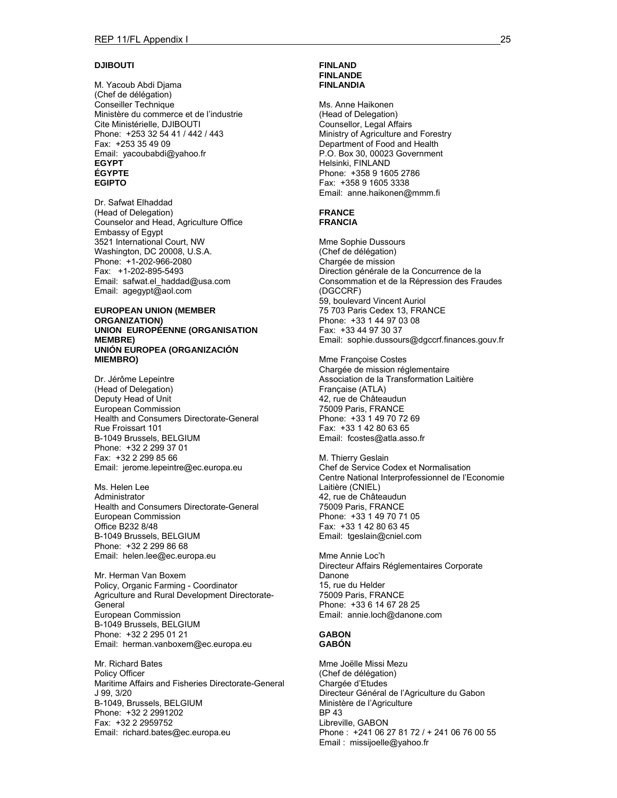### **DJIBOUTI**

M. Yacoub Abdi Djama (Chef de délégation) Conseiller Technique Ministère du commerce et de l'industrie Cite Ministérielle, DJIBOUTI Phone: +253 32 54 41 / 442 / 443 Fax: +253 35 49 09 Email: yacoubabdi@yahoo.fr **EGYPT ÉGYPTE EGIPTO** 

Dr. Safwat Elhaddad (Head of Delegation) Counselor and Head, Agriculture Office Embassy of Egypt 3521 International Court, NW Washington, DC 20008, U.S.A. Phone: +1-202-966-2080 Fax: +1-202-895-5493 Email: safwat.el\_haddad@usa.com Email: agegypt@aol.com

#### **EUROPEAN UNION (MEMBER ORGANIZATION) UNION EUROPÉENNE (ORGANISATION MEMBRE) UNIÓN EUROPEA (ORGANIZACIÓN MIEMBRO)**

Dr. Jérôme Lepeintre (Head of Delegation) Deputy Head of Unit European Commission Health and Consumers Directorate-General Rue Froissart 101 B-1049 Brussels, BELGIUM Phone: +32 2 299 37 01 Fax: +32 2 299 85 66 Email: jerome.lepeintre@ec.europa.eu

Ms. Helen Lee Administrator Health and Consumers Directorate-General European Commission Office B232 8/48 B-1049 Brussels, BELGIUM Phone: +32 2 299 86 68 Email: helen.lee@ec.europa.eu

Mr. Herman Van Boxem Policy, Organic Farming - Coordinator Agriculture and Rural Development Directorate-General European Commission B-1049 Brussels, BELGIUM Phone: +32 2 295 01 21 Email: herman.vanboxem@ec.europa.eu

Mr. Richard Bates Policy Officer Maritime Affairs and Fisheries Directorate-General J 99, 3/20 B-1049, Brussels, BELGIUM Phone: +32 2 2991202 Fax: +32 2 2959752 Email: richard.bates@ec.europa.eu

#### **FINLAND FINLANDE FINLANDIA**

Ms. Anne Haikonen (Head of Delegation) Counsellor, Legal Affairs Ministry of Agriculture and Forestry Department of Food and Health P.O. Box 30, 00023 Government Helsinki, FINLAND Phone: +358 9 1605 2786 Fax: +358 9 1605 3338 Email: anne.haikonen@mmm.fi

#### **FRANCE FRANCIA**

Mme Sophie Dussours (Chef de délégation) Chargée de mission Direction générale de la Concurrence de la Consommation et de la Répression des Fraudes (DGCCRF) 59, boulevard Vincent Auriol 75 703 Paris Cedex 13, FRANCE Phone: +33 1 44 97 03 08 Fax: +33 44 97 30 37 Email: sophie.dussours@dgccrf.finances.gouv.fr

Mme Françoise Costes Chargée de mission réglementaire Association de la Transformation Laitière Française (ATLA) 42, rue de Châteaudun 75009 Paris, FRANCE Phone: +33 1 49 70 72 69 Fax: +33 1 42 80 63 65 Email: fcostes@atla.asso.fr

M. Thierry Geslain Chef de Service Codex et Normalisation Centre National Interprofessionnel de l'Economie Laitière (CNIEL) 42, rue de Châteaudun 75009 Paris, FRANCE Phone: +33 1 49 70 71 05 Fax: +33 1 42 80 63 45 Email: tgeslain@cniel.com

Mme Annie Loc'h Directeur Affairs Réglementaires Corporate Danone 15, rue du Helder 75009 Paris, FRANCE Phone: +33 6 14 67 28 25 Email: annie.loch@danone.com

#### **GABON GABÓN**

Mme Joëlle Missi Mezu (Chef de délégation) Chargée d'Etudes Directeur Général de l'Agriculture du Gabon Ministère de l'Agriculture BP 43 Libreville, GABON Phone : +241 06 27 81 72 / + 241 06 76 00 55 Email : missijoelle@yahoo.fr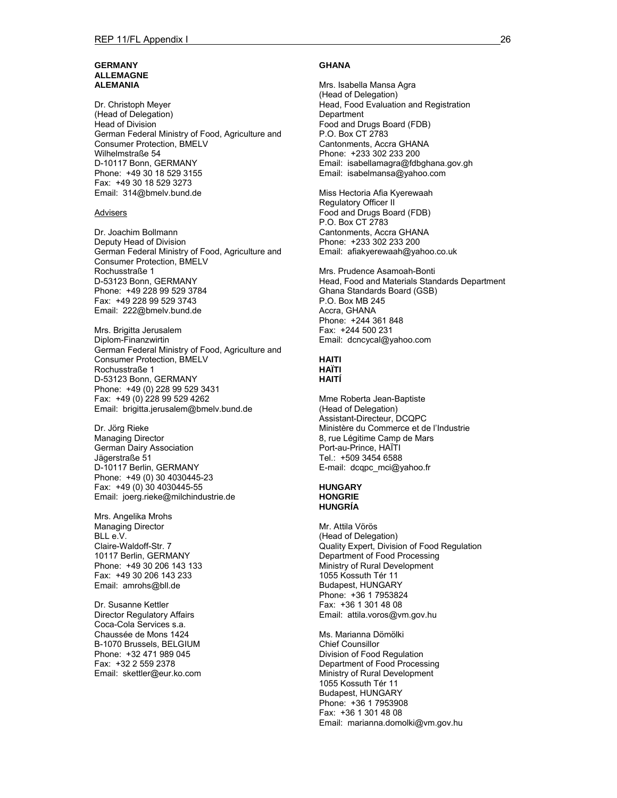#### **GERMANY ALLEMAGNE ALEMANIA**

Dr. Christoph Meyer (Head of Delegation) Head of Division German Federal Ministry of Food, Agriculture and Consumer Protection, BMELV Wilhelmstraße 54 D-10117 Bonn, GERMANY Phone: +49 30 18 529 3155 Fax: +49 30 18 529 3273 Email: 314@bmelv.bund.de

#### **Advisers**

Dr. Joachim Bollmann Deputy Head of Division German Federal Ministry of Food, Agriculture and Consumer Protection, BMELV Rochusstraße 1 D-53123 Bonn, GERMANY Phone: +49 228 99 529 3784 Fax: +49 228 99 529 3743 Email: 222@bmelv.bund.de

Mrs. Brigitta Jerusalem Diplom-Finanzwirtin German Federal Ministry of Food, Agriculture and Consumer Protection, BMELV Rochusstraße 1 D-53123 Bonn, GERMANY Phone: +49 (0) 228 99 529 3431 Fax: +49 (0) 228 99 529 4262 Email: brigitta.jerusalem@bmelv.bund.de

Dr. Jörg Rieke Managing Director German Dairy Association Jägerstraße 51 D-10117 Berlin, GERMANY Phone: +49 (0) 30 4030445-23 Fax: +49 (0) 30 4030445-55 Email: joerg.rieke@milchindustrie.de

Mrs. Angelika Mrohs Managing Director BLL e.V. Claire-Waldoff-Str. 7 10117 Berlin, GERMANY Phone: +49 30 206 143 133 Fax: +49 30 206 143 233 Email: amrohs@bll.de

Dr. Susanne Kettler Director Regulatory Affairs Coca-Cola Services s.a. Chaussée de Mons 1424 B-1070 Brussels, BELGIUM Phone: +32 471 989 045 Fax: +32 2 559 2378 Email: skettler@eur.ko.com

#### **GHANA**

Mrs. Isabella Mansa Agra (Head of Delegation) Head, Food Evaluation and Registration **Department** Food and Drugs Board (FDB) P.O. Box CT 2783 Cantonments, Accra GHANA Phone: +233 302 233 200 Email: isabellamagra@fdbghana.gov.gh Email: isabelmansa@yahoo.com

Miss Hectoria Afia Kyerewaah Regulatory Officer II Food and Drugs Board (FDB) P.O. Box CT 2783 Cantonments, Accra GHANA Phone: +233 302 233 200 Email: afiakyerewaah@yahoo.co.uk

Mrs. Prudence Asamoah-Bonti Head, Food and Materials Standards Department Ghana Standards Board (GSB) P.O. Box MB 245 Accra, GHANA Phone: +244 361 848 Fax: +244 500 231 Email: dcncycal@yahoo.com

#### **HAITI HAÏTI HAITÍ**

Mme Roberta Jean-Baptiste (Head of Delegation) Assistant-Directeur, DCQPC Ministère du Commerce et de l'Industrie 8, rue Légitime Camp de Mars Port-au-Prince, HAÏTI Tel.: +509 3454 6588 E-mail: dcqpc\_mci@yahoo.fr

#### **HUNGARY HONGRIE HUNGRÍA**

Mr. Attila Vörös (Head of Delegation) Quality Expert, Division of Food Regulation Department of Food Processing Ministry of Rural Development 1055 Kossuth Tér 11 Budapest, HUNGARY Phone: +36 1 7953824 Fax: +36 1 301 48 08 Email: attila.voros@vm.gov.hu

Ms. Marianna Dömölki Chief Counsillor Division of Food Regulation Department of Food Processing Ministry of Rural Development 1055 Kossuth Tér 11 Budapest, HUNGARY Phone: +36 1 7953908 Fax: +36 1 301 48 08 Email: marianna.domolki@vm.gov.hu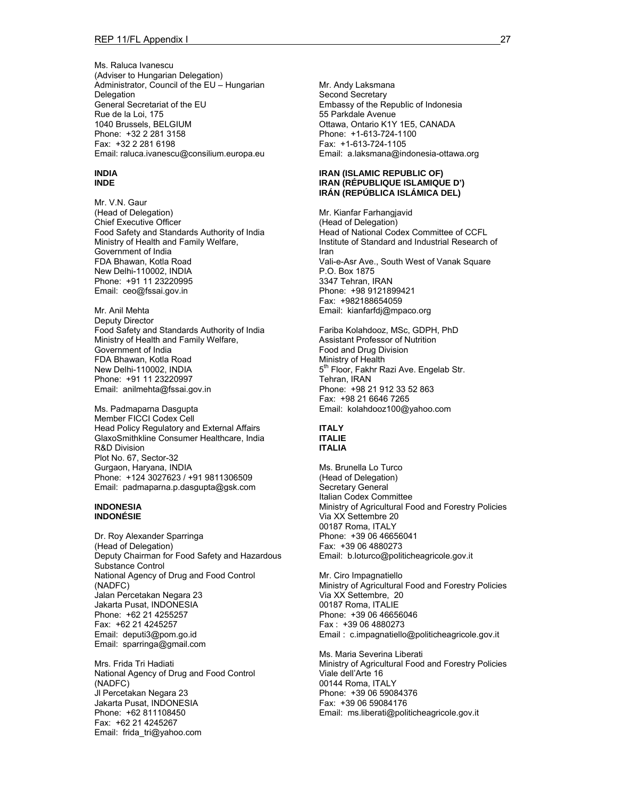Ms. Raluca Ivanescu (Adviser to Hungarian Delegation) Administrator, Council of the EU – Hungarian Delegation General Secretariat of the EU Rue de la Loi, 175 1040 Brussels, BELGIUM Phone: +32 2 281 3158 Fax: +32 2 281 6198 Email: raluca.ivanescu@consilium.europa.eu

#### **INDIA INDE**

Mr. V.N. Gaur (Head of Delegation) Chief Executive Officer Food Safety and Standards Authority of India Ministry of Health and Family Welfare, Government of India FDA Bhawan, Kotla Road New Delhi-110002, INDIA Phone: +91 11 23220995 Email: ceo@fssai.gov.in

Mr. Anil Mehta Deputy Director Food Safety and Standards Authority of India Ministry of Health and Family Welfare, Government of India FDA Bhawan, Kotla Road New Delhi-110002, INDIA Phone: +91 11 23220997 Email: anilmehta@fssai.gov.in

Ms. Padmaparna Dasgupta Member FICCI Codex Cell Head Policy Regulatory and External Affairs GlaxoSmithkline Consumer Healthcare, India R&D Division Plot No. 67, Sector-32 Gurgaon, Haryana, INDIA Phone: +124 3027623 / +91 9811306509 Email: padmaparna.p.dasgupta@gsk.com

#### **INDONESIA INDONÉSIE**

Dr. Roy Alexander Sparringa (Head of Delegation) Deputy Chairman for Food Safety and Hazardous Substance Control National Agency of Drug and Food Control (NADFC) Jalan Percetakan Negara 23 Jakarta Pusat, INDONESIA Phone: +62 21 4255257 Fax: +62 21 4245257 Email: deputi3@pom.go.id Email: sparringa@gmail.com

Mrs. Frida Tri Hadiati National Agency of Drug and Food Control (NADFC) Jl Percetakan Negara 23 Jakarta Pusat, INDONESIA Phone: +62 811108450 Fax: +62 21 4245267 Email: frida\_tri@yahoo.com

Mr. Andy Laksmana Second Secretary Embassy of the Republic of Indonesia 55 Parkdale Avenue Ottawa, Ontario K1Y 1E5, CANADA Phone: +1-613-724-1100 Fax: +1-613-724-1105 Email: a.laksmana@indonesia-ottawa.org

#### **IRAN (ISLAMIC REPUBLIC OF) IRAN (RÉPUBLIQUE ISLAMIQUE D') IRÁN (REPÚBLICA ISLÁMICA DEL)**

Mr. Kianfar Farhangjavid (Head of Delegation) Head of National Codex Committee of CCFL Institute of Standard and Industrial Research of Iran Vali-e-Asr Ave., South West of Vanak Square P.O. Box 1875 3347 Tehran, IRAN Phone: +98 9121899421 Fax: +982188654059 Email: kianfarfdj@mpaco.org

Fariba Kolahdooz, MSc, GDPH, PhD Assistant Professor of Nutrition Food and Drug Division Ministry of Health 5<sup>th</sup> Floor, Fakhr Razi Ave. Engelab Str. Tehran, IRAN Phone: +98 21 912 33 52 863 Fax: +98 21 6646 7265 Email: kolahdooz100@yahoo.com

#### **ITALY ITALIE ITALIA**

Ms. Brunella Lo Turco (Head of Delegation) Secretary General Italian Codex Committee Ministry of Agricultural Food and Forestry Policies Via XX Settembre 20 00187 Roma, ITALY Phone: +39 06 46656041 Fax: +39 06 4880273 Email: b.loturco@politicheagricole.gov.it

Mr. Ciro Impagnatiello Ministry of Agricultural Food and Forestry Policies Via XX Settembre, 20 00187 Roma, ITALIE Phone: +39 06 46656046 Fax : +39 06 4880273 Email : c.impagnatiello@politicheagricole.gov.it

Ms. Maria Severina Liberati Ministry of Agricultural Food and Forestry Policies Viale dell'Arte 16 00144 Roma, ITALY Phone: +39 06 59084376 Fax: +39 06 59084176 Email: ms.liberati@politicheagricole.gov.it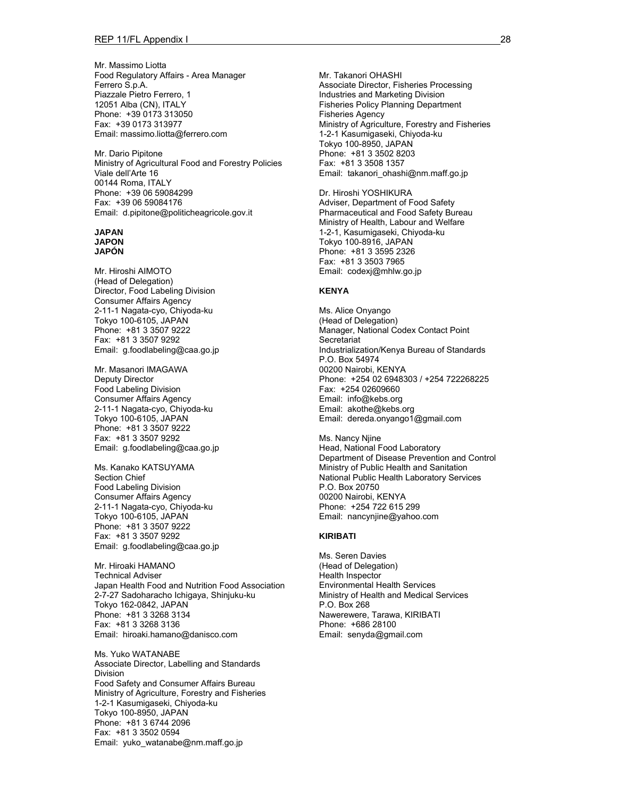Mr. Massimo Liotta Food Regulatory Affairs - Area Manager Ferrero S.p.A. Piazzale Pietro Ferrero, 1 12051 Alba (CN), ITALY Phone: +39 0173 313050 Fax: +39 0173 313977 Email: massimo.liotta@ferrero.com

Mr. Dario Pipitone Ministry of Agricultural Food and Forestry Policies Viale dell'Arte 16 00144 Roma, ITALY Phone: +39 06 59084299 Fax: +39 06 59084176 Email: d.pipitone@politicheagricole.gov.it

### **JAPAN JAPON**

**JAPÓN** 

Mr. Hiroshi AIMOTO (Head of Delegation) Director, Food Labeling Division Consumer Affairs Agency 2-11-1 Nagata-cyo, Chiyoda-ku Tokyo 100-6105, JAPAN Phone: +81 3 3507 9222 Fax: +81 3 3507 9292 Email: g.foodlabeling@caa.go.jp

Mr. Masanori IMAGAWA Deputy Director Food Labeling Division Consumer Affairs Agency 2-11-1 Nagata-cyo, Chiyoda-ku Tokyo 100-6105, JAPAN Phone: +81 3 3507 9222 Fax: +81 3 3507 9292 Email: g.foodlabeling@caa.go.jp

Ms. Kanako KATSUYAMA Section Chief Food Labeling Division Consumer Affairs Agency 2-11-1 Nagata-cyo, Chiyoda-ku Tokyo 100-6105, JAPAN Phone: +81 3 3507 9222 Fax: +81 3 3507 9292 Email: g.foodlabeling@caa.go.jp

Mr. Hiroaki HAMANO Technical Adviser Japan Health Food and Nutrition Food Association 2-7-27 Sadoharacho Ichigaya, Shinjuku-ku Tokyo 162-0842, JAPAN Phone: +81 3 3268 3134 Fax: +81 3 3268 3136 Email: hiroaki.hamano@danisco.com

Ms. Yuko WATANABE Associate Director, Labelling and Standards Division Food Safety and Consumer Affairs Bureau Ministry of Agriculture, Forestry and Fisheries 1-2-1 Kasumigaseki, Chiyoda-ku Tokyo 100-8950, JAPAN Phone: +81 3 6744 2096 Fax: +81 3 3502 0594 Email: yuko\_watanabe@nm.maff.go.jp

Mr. Takanori OHASHI Associate Director, Fisheries Processing Industries and Marketing Division Fisheries Policy Planning Department Fisheries Agency Ministry of Agriculture, Forestry and Fisheries 1-2-1 Kasumigaseki, Chiyoda-ku Tokyo 100-8950, JAPAN Phone: +81 3 3502 8203 Fax: +81 3 3508 1357 Email: takanori\_ohashi@nm.maff.go.jp

Dr. Hiroshi YOSHIKURA Adviser, Department of Food Safety Pharmaceutical and Food Safety Bureau Ministry of Health, Labour and Welfare 1-2-1, Kasumigaseki, Chiyoda-ku Tokyo 100-8916, JAPAN Phone: +81 3 3595 2326 Fax: +81 3 3503 7965 Email: codexj@mhlw.go.jp

#### **KENYA**

Ms. Alice Onyango (Head of Delegation) Manager, National Codex Contact Point **Secretariat** Industrialization/Kenya Bureau of Standards P.O. Box 54974 00200 Nairobi, KENYA Phone: +254 02 6948303 / +254 722268225 Fax: +254 02609660 Email: info@kebs.org Email: akothe@kebs.org Email: dereda.onyango1@gmail.com

Ms. Nancy Njine Head, National Food Laboratory Department of Disease Prevention and Control Ministry of Public Health and Sanitation National Public Health Laboratory Services P.O. Box 20750 00200 Nairobi, KENYA Phone: +254 722 615 299 Email: nancynjine@yahoo.com

#### **KIRIBATI**

Ms. Seren Davies (Head of Delegation) Health Inspector Environmental Health Services Ministry of Health and Medical Services P.O. Box 268 Nawerewere, Tarawa, KIRIBATI Phone: +686 28100 Email: senyda@gmail.com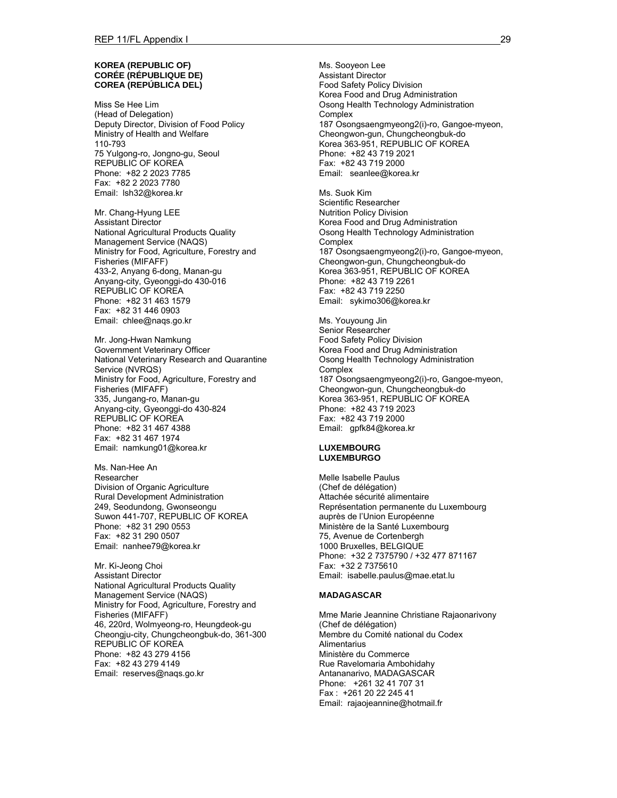#### **KOREA (REPUBLIC OF) CORÉE (RÉPUBLIQUE DE) COREA (REPÚBLICA DEL)**

Miss Se Hee Lim (Head of Delegation) Deputy Director, Division of Food Policy Ministry of Health and Welfare 110-793 75 Yulgong-ro, Jongno-gu, Seoul REPUBLIC OF KOREA Phone: +82 2 2023 7785 Fax: +82 2 2023 7780 Email: lsh32@korea.kr

Mr. Chang-Hyung LEE Assistant Director National Agricultural Products Quality Management Service (NAQS) Ministry for Food, Agriculture, Forestry and Fisheries (MIFAFF) 433-2, Anyang 6-dong, Manan-gu Anyang-city, Gyeonggi-do 430-016 REPUBLIC OF KOREA Phone: +82 31 463 1579 Fax: +82 31 446 0903 Email: chlee@naqs.go.kr

Mr. Jong-Hwan Namkung Government Veterinary Officer National Veterinary Research and Quarantine Service (NVRQS) Ministry for Food, Agriculture, Forestry and Fisheries (MIFAFF) 335, Jungang-ro, Manan-gu Anyang-city, Gyeonggi-do 430-824 REPUBLIC OF KOREA Phone: +82 31 467 4388 Fax: +82 31 467 1974 Email: namkung01@korea.kr

Ms. Nan-Hee An Researcher Division of Organic Agriculture Rural Development Administration 249, Seodundong, Gwonseongu Suwon 441-707, REPUBLIC OF KOREA Phone: +82 31 290 0553 Fax: +82 31 290 0507 Email: nanhee79@korea.kr

Mr. Ki-Jeong Choi Assistant Director National Agricultural Products Quality Management Service (NAQS) Ministry for Food, Agriculture, Forestry and Fisheries (MIFAFF) 46, 220rd, Wolmyeong-ro, Heungdeok-gu Cheongju-city, Chungcheongbuk-do, 361-300 REPUBLIC OF KOREA Phone: +82 43 279 4156 Fax: +82 43 279 4149 Email: reserves@naqs.go.kr

Ms. Sooyeon Lee Assistant Director Food Safety Policy Division Korea Food and Drug Administration Osong Health Technology Administration **Complex** 187 Osongsaengmyeong2(i)-ro, Gangoe-myeon, Cheongwon-gun, Chungcheongbuk-do Korea 363-951, REPUBLIC OF KOREA Phone: +82 43 719 2021 Fax: +82 43 719 2000 Email: seanlee@korea.kr

Ms. Suok Kim Scientific Researcher Nutrition Policy Division Korea Food and Drug Administration Osong Health Technology Administration **Complex** 187 Osongsaengmyeong2(i)-ro, Gangoe-myeon, Cheongwon-gun, Chungcheongbuk-do Korea 363-951, REPUBLIC OF KOREA Phone: +82 43 719 2261 Fax: +82 43 719 2250 Email: sykimo306@korea.kr

Ms. Youyoung Jin Senior Researcher Food Safety Policy Division Korea Food and Drug Administration Osong Health Technology Administration **Complex** 187 Osongsaengmyeong2(i)-ro, Gangoe-myeon, Cheongwon-gun, Chungcheongbuk-do Korea 363-951, REPUBLIC OF KOREA Phone: +82 43 719 2023 Fax: +82 43 719 2000 Email: gpfk84@korea.kr

#### **LUXEMBOURG LUXEMBURGO**

Melle Isabelle Paulus (Chef de délégation) Attachée sécurité alimentaire Représentation permanente du Luxembourg auprès de l'Union Européenne Ministère de la Santé Luxembourg 75, Avenue de Cortenbergh 1000 Bruxelles, BELGIQUE Phone: +32 2 7375790 / +32 477 871167 Fax: +32 2 7375610 Email: isabelle.paulus@mae.etat.lu

#### **MADAGASCAR**

Mme Marie Jeannine Christiane Rajaonarivony (Chef de délégation) Membre du Comité national du Codex **Alimentarius** Ministère du Commerce Rue Ravelomaria Ambohidahy Antananarivo, MADAGASCAR Phone: +261 32 41 707 31 Fax : +261 20 22 245 41 Email: rajaojeannine@hotmail.fr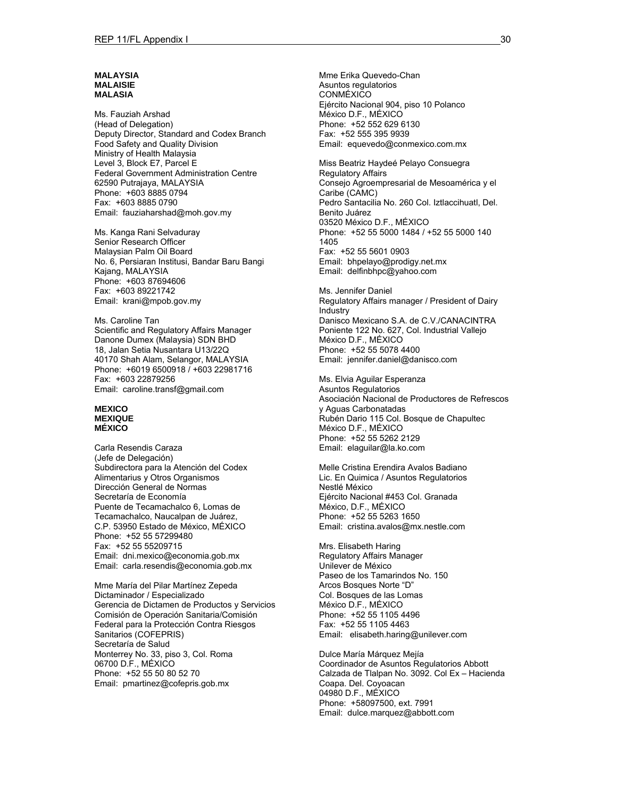#### **MALAYSIA MALAISIE MALASIA**

Ms. Fauziah Arshad (Head of Delegation) Deputy Director, Standard and Codex Branch Food Safety and Quality Division Ministry of Health Malaysia Level 3, Block E7, Parcel E Federal Government Administration Centre 62590 Putrajaya, MALAYSIA Phone: +603 8885 0794 Fax: +603 8885 0790 Email: fauziaharshad@moh.gov.my

Ms. Kanga Rani Selvaduray Senior Research Officer Malaysian Palm Oil Board No. 6, Persiaran Institusi, Bandar Baru Bangi Kajang, MALAYSIA Phone: +603 87694606 Fax: +603 89221742 Email: krani@mpob.gov.my

Ms. Caroline Tan Scientific and Regulatory Affairs Manager Danone Dumex (Malaysia) SDN BHD 18, Jalan Setia Nusantara U13/22Q 40170 Shah Alam, Selangor, MALAYSIA Phone: +6019 6500918 / +603 22981716 Fax: +603 22879256 Email: caroline.transf@gmail.com

#### **MEXICO MEXIQUE MÉXICO**

Carla Resendis Caraza (Jefe de Delegación) Subdirectora para la Atención del Codex Alimentarius y Otros Organismos Dirección General de Normas Secretaría de Economía Puente de Tecamachalco 6, Lomas de Tecamachalco, Naucalpan de Juárez, C.P. 53950 Estado de México, MÉXICO Phone: +52 55 57299480 Fax: +52 55 55209715 Email: dni.mexico@economia.gob.mx Email: carla.resendis@economia.gob.mx

Mme María del Pilar Martínez Zepeda Dictaminador / Especializado Gerencia de Dictamen de Productos y Servicios Comisión de Operación Sanitaria/Comisión Federal para la Protección Contra Riesgos Sanitarios (COFEPRIS) Secretaría de Salud Monterrey No. 33, piso 3, Col. Roma 06700 D.F., MÉXICO Phone: +52 55 50 80 52 70 Email: pmartinez@cofepris.gob.mx

Mme Erika Quevedo-Chan Asuntos regulatorios CONMÉXICO Ejército Nacional 904, piso 10 Polanco México D.F., MÉXICO Phone: +52 552 629 6130 Fax: +52 555 395 9939 Email: equevedo@conmexico.com.mx

Miss Beatriz Haydeé Pelayo Consuegra Regulatory Affairs Consejo Agroempresarial de Mesoamérica y el Caribe (CAMC) Pedro Santacilia No. 260 Col. Iztlaccihuatl, Del. Benito Juárez 03520 México D.F., MÉXICO Phone: +52 55 5000 1484 / +52 55 5000 140 1405 Fax: +52 55 5601 0903 Email: bhpelayo@prodigy.net.mx Email: delfinbhpc@yahoo.com

Ms. Jennifer Daniel Regulatory Affairs manager / President of Dairy Industry Danisco Mexicano S.A. de C.V./CANACINTRA Poniente 122 No. 627, Col. Industrial Vallejo México D.F., MÉXICO Phone: +52 55 5078 4400 Email: jennifer.daniel@danisco.com

Ms. Elvia Aguilar Esperanza Asuntos Regulatorios Asociación Nacional de Productores de Refrescos y Aguas Carbonatadas Rubén Dario 115 Col. Bosque de Chapultec México D.F., MÉXICO Phone: +52 55 5262 2129 Email: elaguilar@la.ko.com

Melle Cristina Erendira Avalos Badiano Lic. En Quimica / Asuntos Regulatorios Nestlé México Ejército Nacional #453 Col. Granada México, D.F., MÉXICO Phone: +52 55 5263 1650 Email: cristina.avalos@mx.nestle.com

Mrs. Elisabeth Haring Regulatory Affairs Manager Unilever de México Paseo de los Tamarindos No. 150 Arcos Bosques Norte "D" Col. Bosques de las Lomas México D.F., MÉXICO Phone: +52 55 1105 4496 Fax: +52 55 1105 4463 Email: elisabeth.haring@unilever.com

Dulce María Márquez Mejía Coordinador de Asuntos Regulatorios Abbott Calzada de Tlalpan No. 3092. Col Ex – Hacienda Coapa. Del. Coyoacan 04980 D.F., MÉXICO Phone: +58097500, ext. 7991 Email: dulce.marquez@abbott.com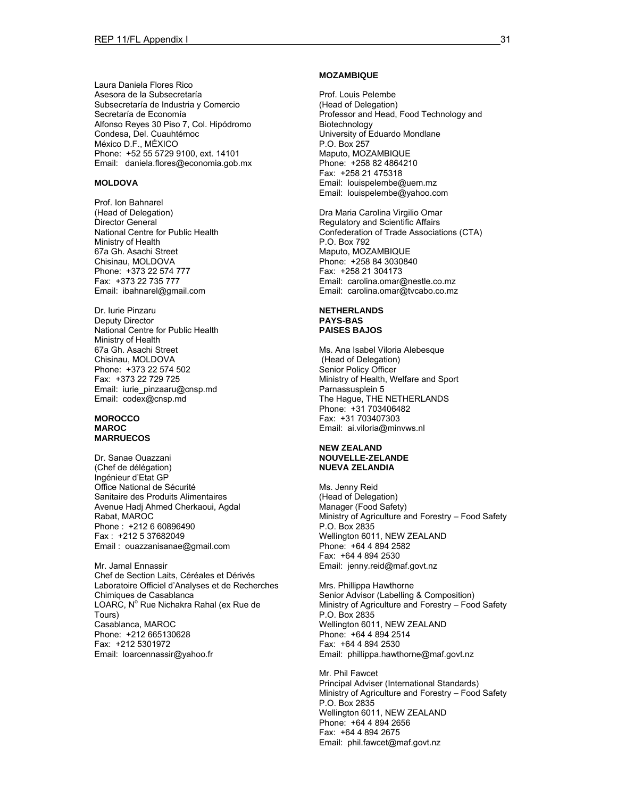Laura Daniela Flores Rico Asesora de la Subsecretaría Subsecretaría de Industria y Comercio Secretaría de Economía Alfonso Reyes 30 Piso 7, Col. Hipódromo Condesa, Del. Cuauhtémoc México D.F., MÉXICO Phone: +52 55 5729 9100, ext. 14101 Email: daniela.flores@economia.gob.mx

#### **MOLDOVA**

Prof. Ion Bahnarel (Head of Delegation) Director General National Centre for Public Health Ministry of Health 67a Gh. Asachi Street Chisinau, MOLDOVA Phone: +373 22 574 777 Fax: +373 22 735 777 Email: ibahnarel@gmail.com

Dr. Iurie Pinzaru Deputy Director National Centre for Public Health Ministry of Health 67a Gh. Asachi Street Chisinau, MOLDOVA Phone: +373 22 574 502 Fax: +373 22 729 725 Email: iurie\_pinzaaru@cnsp.md Email: codex@cnsp.md

#### **MOROCCO MAROC MARRUECOS**

Dr. Sanae Ouazzani (Chef de délégation) Ingénieur d'Etat GP Office National de Sécurité Sanitaire des Produits Alimentaires Avenue Hadj Ahmed Cherkaoui, Agdal Rabat, MAROC Phone : +212 6 60896490 Fax : +212 5 37682049 Email : ouazzanisanae@gmail.com

Mr. Jamal Ennassir Chef de Section Laits, Céréales et Dérivés Laboratoire Officiel d'Analyses et de Recherches Chimiques de Casablanca LOARC, Nº Rue Nichakra Rahal (ex Rue de Tours) Casablanca, MAROC Phone: +212 665130628 Fax: +212 5301972 Email: loarcennassir@yahoo.fr

#### **MOZAMBIQUE**

Prof. Louis Pelembe (Head of Delegation) Professor and Head, Food Technology and Biotechnology University of Eduardo Mondlane P.O. Box 257 Maputo, MOZAMBIQUE Phone: +258 82 4864210 Fax: +258 21 475318 Email: louispelembe@uem.mz Email: louispelembe@yahoo.com

Dra Maria Carolina Virgilio Omar Regulatory and Scientific Affairs Confederation of Trade Associations (CTA) P.O. Box 792 Maputo, MOZAMBIQUE Phone: +258 84 3030840 Fax: +258 21 304173 Email: carolina.omar@nestle.co.mz Email: carolina.omar@tvcabo.co.mz

#### **NETHERLANDS PAYS-BAS PAISES BAJOS**

Ms. Ana Isabel Viloria Alebesque (Head of Delegation) Senior Policy Officer Ministry of Health, Welfare and Sport Parnassusplein 5 The Hague, THE NETHERLANDS Phone: +31 703406482 Fax: +31 703407303 Email: ai.viloria@minvws.nl

#### **NEW ZEALAND NOUVELLE-ZELANDE NUEVA ZELANDIA**

Ms. Jenny Reid (Head of Delegation) Manager (Food Safety) Ministry of Agriculture and Forestry – Food Safety P.O. Box 2835 Wellington 6011, NEW ZEALAND Phone: +64 4 894 2582 Fax: +64 4 894 2530 Email: jenny.reid@maf.govt.nz

Mrs. Phillippa Hawthorne Senior Advisor (Labelling & Composition) Ministry of Agriculture and Forestry – Food Safety P.O. Box 2835 Wellington 6011, NEW ZEALAND Phone: +64 4 894 2514 Fax: +64 4 894 2530 Email: phillippa.hawthorne@maf.govt.nz

Mr. Phil Fawcet Principal Adviser (International Standards) Ministry of Agriculture and Forestry – Food Safety P.O. Box 2835 Wellington 6011, NEW ZEALAND Phone: +64 4 894 2656 Fax: +64 4 894 2675 Email: phil.fawcet@maf.govt.nz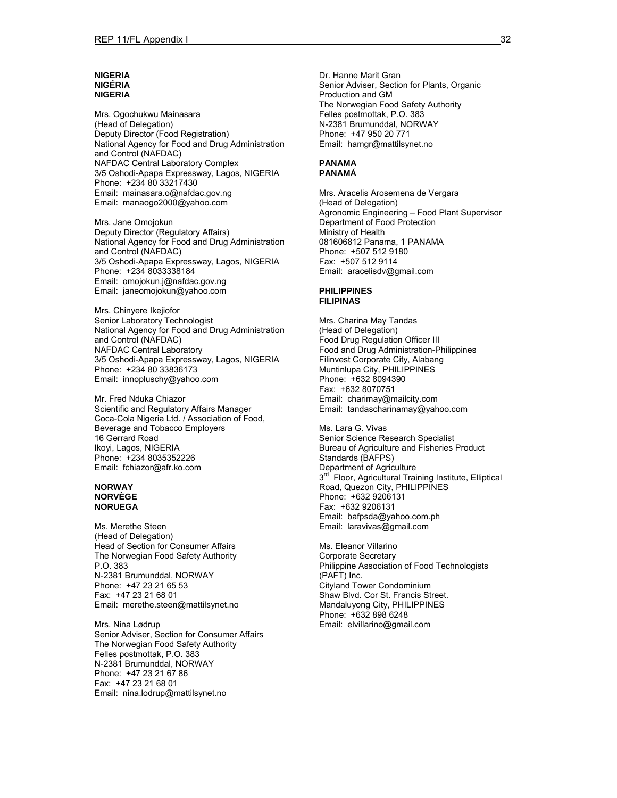#### **NIGERIA NIGÉRIA NIGERIA**

Mrs. Ogochukwu Mainasara (Head of Delegation) Deputy Director (Food Registration) National Agency for Food and Drug Administration and Control (NAFDAC) NAFDAC Central Laboratory Complex 3/5 Oshodi-Apapa Expressway, Lagos, NIGERIA Phone: +234 80 33217430 Email: mainasara.o@nafdac.gov.ng Email: manaogo2000@yahoo.com

Mrs. Jane Omojokun Deputy Director (Regulatory Affairs) National Agency for Food and Drug Administration and Control (NAFDAC) 3/5 Oshodi-Apapa Expressway, Lagos, NIGERIA Phone: +234 8033338184 Email: omojokun.j@nafdac.gov.ng Email: janeomojokun@yahoo.com

Mrs. Chinyere Ikejiofor Senior Laboratory Technologist National Agency for Food and Drug Administration and Control (NAFDAC) NAFDAC Central Laboratory 3/5 Oshodi-Apapa Expressway, Lagos, NIGERIA Phone: +234 80 33836173 Email: innopluschy@yahoo.com

Mr. Fred Nduka Chiazor Scientific and Regulatory Affairs Manager Coca-Cola Nigeria Ltd. / Association of Food, Beverage and Tobacco Employers 16 Gerrard Road Ikoyi, Lagos, NIGERIA Phone: +234 8035352226 Email: fchiazor@afr.ko.com

#### **NORWAY NORVÈGE NORUEGA**

Ms. Merethe Steen (Head of Delegation) Head of Section for Consumer Affairs The Norwegian Food Safety Authority P.O. 383 N-2381 Brumunddal, NORWAY Phone: +47 23 21 65 53 Fax: +47 23 21 68 01 Email: merethe.steen@mattilsynet.no

Mrs. Nina Lødrup Senior Adviser, Section for Consumer Affairs The Norwegian Food Safety Authority Felles postmottak, P.O. 383 N-2381 Brumunddal, NORWAY Phone: +47 23 21 67 86 Fax: +47 23 21 68 01 Email: nina.lodrup@mattilsynet.no

Dr. Hanne Marit Gran Senior Adviser, Section for Plants, Organic Production and GM The Norwegian Food Safety Authority Felles postmottak, P.O. 383 N-2381 Brumunddal, NORWAY Phone: +47 950 20 771 Email: hamgr@mattilsynet.no

#### **PANAMA PANAMÁ**

Mrs. Aracelis Arosemena de Vergara (Head of Delegation) Agronomic Engineering – Food Plant Supervisor Department of Food Protection Ministry of Health 081606812 Panama, 1 PANAMA Phone: +507 512 9180 Fax: +507 512 9114 Email: aracelisdv@gmail.com

#### **PHILIPPINES FILIPINAS**

Mrs. Charina May Tandas (Head of Delegation) Food Drug Regulation Officer III Food and Drug Administration-Philippines Filinvest Corporate City, Alabang Muntinlupa City, PHILIPPINES Phone: +632 8094390 Fax: +632 8070751 Email: charimay@mailcity.com Email: tandascharinamay@yahoo.com

Ms. Lara G. Vivas Senior Science Research Specialist Bureau of Agriculture and Fisheries Product Standards (BAFPS) Department of Agriculture 3<sup>rd</sup> Floor, Agricultural Training Institute, Elliptical Road, Quezon City, PHILIPPINES Phone: +632 9206131 Fax: +632 9206131 Email: bafpsda@yahoo.com.ph Email: laravivas@gmail.com

Ms. Eleanor Villarino Corporate Secretary Philippine Association of Food Technologists (PAFT) Inc. Cityland Tower Condominium Shaw Blvd. Cor St. Francis Street. Mandaluyong City, PHILIPPINES Phone: +632 898 6248 Email: elvillarino@gmail.com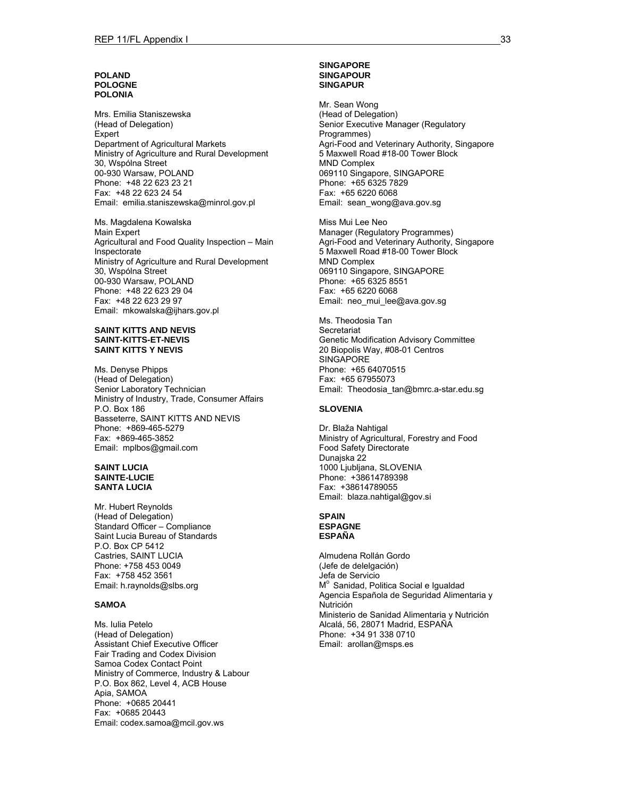#### **POLAND POLOGNE POLONIA**

Mrs. Emilia Staniszewska (Head of Delegation) Expert Department of Agricultural Markets Ministry of Agriculture and Rural Development 30, Wspólna Street 00-930 Warsaw, POLAND Phone: +48 22 623 23 21 Fax: +48 22 623 24 54 Email: emilia.staniszewska@minrol.gov.pl

Ms. Magdalena Kowalska Main Expert Agricultural and Food Quality Inspection – Main Inspectorate Ministry of Agriculture and Rural Development 30, Wspólna Street 00-930 Warsaw, POLAND Phone: +48 22 623 29 04 Fax: +48 22 623 29 97 Email: mkowalska@ijhars.gov.pl

#### **SAINT KITTS AND NEVIS SAINT-KITTS-ET-NEVIS SAINT KITTS Y NEVIS**

Ms. Denyse Phipps (Head of Delegation) Senior Laboratory Technician Ministry of Industry, Trade, Consumer Affairs P.O. Box 186 Basseterre, SAINT KITTS AND NEVIS Phone: +869-465-5279 Fax: +869-465-3852 Email: mplbos@gmail.com

#### **SAINT LUCIA SAINTE-LUCIE SANTA LUCIA**

Mr. Hubert Reynolds (Head of Delegation) Standard Officer – Compliance Saint Lucia Bureau of Standards P.O. Box CP 5412 Castries, SAINT LUCIA Phone: +758 453 0049 Fax: +758 452 3561 Email: h.raynolds@slbs.org

#### **SAMOA**

Ms. Iulia Petelo (Head of Delegation) Assistant Chief Executive Officer Fair Trading and Codex Division Samoa Codex Contact Point Ministry of Commerce, Industry & Labour P.O. Box 862, Level 4, ACB House Apia, SAMOA Phone: +0685 20441 Fax: +0685 20443 Email: codex.samoa@mcil.gov.ws

#### **SINGAPORE SINGAPOUR SINGAPUR**

Mr. Sean Wong (Head of Delegation) Senior Executive Manager (Regulatory Programmes) Agri-Food and Veterinary Authority, Singapore 5 Maxwell Road #18-00 Tower Block MND Complex 069110 Singapore, SINGAPORE Phone: +65 6325 7829 Fax: +65 6220 6068 Email: sean\_wong@ava.gov.sg

Miss Mui Lee Neo Manager (Regulatory Programmes) Agri-Food and Veterinary Authority, Singapore 5 Maxwell Road #18-00 Tower Block MND Complex 069110 Singapore, SINGAPORE Phone: +65 6325 8551 Fax: +65 6220 6068 Email: neo mui lee@ava.gov.sg

Ms. Theodosia Tan **Secretariat** Genetic Modification Advisory Committee 20 Biopolis Way, #08-01 Centros **SINGAPORE** Phone: +65 64070515 Fax: +65 67955073 Email: Theodosia\_tan@bmrc.a-star.edu.sg

#### **SLOVENIA**

Dr. Blaža Nahtigal Ministry of Agricultural, Forestry and Food Food Safety Directorate Dunajska 22 1000 Ljubljana, SLOVENIA Phone: +38614789398 Fax: +38614789055 Email: blaza.nahtigal@gov.si

#### **SPAIN ESPAGNE ESPAÑA**

Almudena Rollán Gordo (Jefe de delelgación) Jefa de Servicio M<sup>o</sup> Sanidad, Politica Social e Igualdad Agencia Española de Seguridad Alimentaria y Nutrición Ministerio de Sanidad Alimentaria y Nutrición Alcalá, 56, 28071 Madrid, ESPAÑA Phone: +34 91 338 0710 Email: arollan@msps.es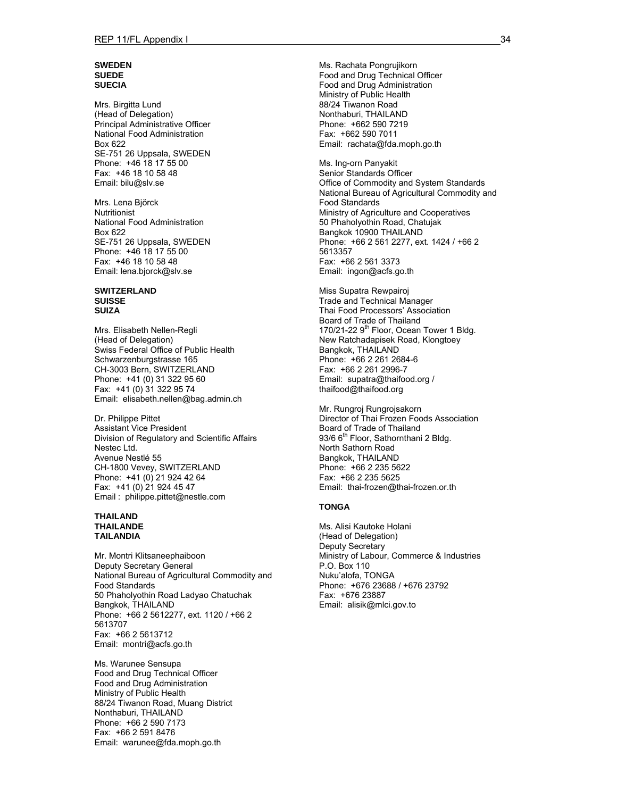#### **SWEDEN SUEDE SUECIA**

Mrs. Birgitta Lund (Head of Delegation) Principal Administrative Officer National Food Administration Box 622 SE-751 26 Uppsala, SWEDEN Phone: +46 18 17 55 00 Fax: +46 18 10 58 48 Email: bilu@slv.se

Mrs. Lena Björck Nutritionist National Food Administration Box 622 SE-751 26 Uppsala, SWEDEN Phone: +46 18 17 55 00 Fax: +46 18 10 58 48 Email: lena.bjorck@slv.se

#### **SWITZERLAND SUISSE SUIZA**

Mrs. Elisabeth Nellen-Regli (Head of Delegation) Swiss Federal Office of Public Health Schwarzenburgstrasse 165 CH-3003 Bern, SWITZERLAND Phone: +41 (0) 31 322 95 60 Fax: +41 (0) 31 322 95 74 Email: elisabeth.nellen@bag.admin.ch

Dr. Philippe Pittet Assistant Vice President Division of Regulatory and Scientific Affairs Nestec Ltd. Avenue Nestlé 55 CH-1800 Vevey, SWITZERLAND Phone: +41 (0) 21 924 42 64 Fax: +41 (0) 21 924 45 47 Email : philippe.pittet@nestle.com

#### **THAILAND THAILANDE TAILANDIA**

Mr. Montri Klitsaneephaiboon Deputy Secretary General National Bureau of Agricultural Commodity and Food Standards 50 Phaholyothin Road Ladyao Chatuchak Bangkok, THAILAND Phone: +66 2 5612277, ext. 1120 / +66 2 5613707 Fax: +66 2 5613712 Email: montri@acfs.go.th

Ms. Warunee Sensupa Food and Drug Technical Officer Food and Drug Administration Ministry of Public Health 88/24 Tiwanon Road, Muang District Nonthaburi, THAILAND Phone: +66 2 590 7173 Fax: +66 2 591 8476 Email: warunee@fda.moph.go.th

Ms. Rachata Pongrujikorn Food and Drug Technical Officer Food and Drug Administration Ministry of Public Health 88/24 Tiwanon Road Nonthaburi, THAILAND Phone: +662 590 7219 Fax: +662 590 7011 Email: rachata@fda.moph.go.th

Ms. Ing-orn Panyakit Senior Standards Officer Office of Commodity and System Standards National Bureau of Agricultural Commodity and Food Standards Ministry of Agriculture and Cooperatives 50 Phaholyothin Road, Chatujak Bangkok 10900 THAILAND Phone: +66 2 561 2277, ext. 1424 / +66 2 5613357 Fax: +66 2 561 3373 Email: ingon@acfs.go.th

Miss Supatra Rewpairoj Trade and Technical Manager Thai Food Processors' Association Board of Trade of Thailand 170/21-22 9<sup>th</sup> Floor, Ocean Tower 1 Bldg. New Ratchadapisek Road, Klongtoey Bangkok, THAILAND Phone: +66 2 261 2684-6 Fax: +66 2 261 2996-7 Email: supatra@thaifood.org / thaifood@thaifood.org

Mr. Rungroj Rungrojsakorn Director of Thai Frozen Foods Association Board of Trade of Thailand 93/6 6<sup>th</sup> Floor, Sathornthani 2 Bldg. North Sathorn Road Bangkok, THAILAND Phone: +66 2 235 5622 Fax: +66 2 235 5625 Email: thai-frozen@thai-frozen.or.th

#### **TONGA**

Ms. Alisi Kautoke Holani (Head of Delegation) Deputy Secretary Ministry of Labour, Commerce & Industries P.O. Box 110 Nuku'alofa, TONGA Phone: +676 23688 / +676 23792 Fax: +676 23887 Email: alisik@mlci.gov.to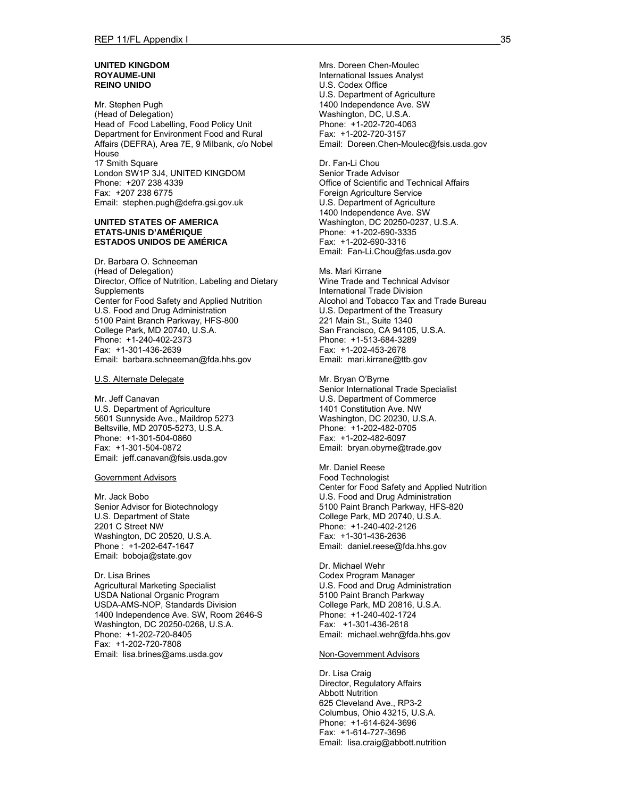#### **UNITED KINGDOM ROYAUME-UNI REINO UNIDO**

Mr. Stephen Pugh (Head of Delegation) Head of Food Labelling, Food Policy Unit Department for Environment Food and Rural Affairs (DEFRA), Area 7E, 9 Milbank, c/o Nobel House 17 Smith Square London SW1P 3J4, UNITED KINGDOM Phone: +207 238 4339 Fax: +207 238 6775 Email: stephen.pugh@defra.gsi.gov.uk

#### **UNITED STATES OF AMERICA ETATS-UNIS D'AMÉRIQUE ESTADOS UNIDOS DE AMÉRICA**

Dr. Barbara O. Schneeman (Head of Delegation) Director, Office of Nutrition, Labeling and Dietary **Supplements** Center for Food Safety and Applied Nutrition U.S. Food and Drug Administration 5100 Paint Branch Parkway, HFS-800 College Park, MD 20740, U.S.A. Phone: +1-240-402-2373 Fax: +1-301-436-2639 Email: barbara.schneeman@fda.hhs.gov

U.S. Alternate Delegate

Mr. Jeff Canavan U.S. Department of Agriculture 5601 Sunnyside Ave., Maildrop 5273 Beltsville, MD 20705-5273, U.S.A. Phone: +1-301-504-0860 Fax: +1-301-504-0872 Email: jeff.canavan@fsis.usda.gov

#### Government Advisors

Mr. Jack Bobo Senior Advisor for Biotechnology U.S. Department of State 2201 C Street NW Washington, DC 20520, U.S.A. Phone : +1-202-647-1647 Email: boboja@state.gov

Dr. Lisa Brines Agricultural Marketing Specialist USDA National Organic Program USDA-AMS-NOP, Standards Division 1400 Independence Ave. SW, Room 2646-S Washington, DC 20250-0268, U.S.A. Phone: +1-202-720-8405 Fax: +1-202-720-7808 Email: lisa.brines@ams.usda.gov

Mrs. Doreen Chen-Moulec International Issues Analyst U.S. Codex Office U.S. Department of Agriculture 1400 Independence Ave. SW Washington, DC, U.S.A. Phone: +1-202-720-4063 Fax: +1-202-720-3157 Email: Doreen.Chen-Moulec@fsis.usda.gov

Dr. Fan-Li Chou Senior Trade Advisor Office of Scientific and Technical Affairs Foreign Agriculture Service U.S. Department of Agriculture 1400 Independence Ave. SW Washington, DC 20250-0237, U.S.A. Phone: +1-202-690-3335 Fax: +1-202-690-3316 Email: Fan-Li.Chou@fas.usda.gov

Ms. Mari Kirrane Wine Trade and Technical Advisor International Trade Division Alcohol and Tobacco Tax and Trade Bureau U.S. Department of the Treasury 221 Main St., Suite 1340 San Francisco, CA 94105, U.S.A. Phone: +1-513-684-3289 Fax: +1-202-453-2678 Email: mari.kirrane@ttb.gov

Mr. Bryan O'Byrne Senior International Trade Specialist U.S. Department of Commerce 1401 Constitution Ave. NW Washington, DC 20230, U.S.A. Phone: +1-202-482-0705 Fax: +1-202-482-6097 Email: bryan.obyrne@trade.gov

Mr. Daniel Reese Food Technologist Center for Food Safety and Applied Nutrition U.S. Food and Drug Administration 5100 Paint Branch Parkway, HFS-820 College Park, MD 20740, U.S.A. Phone: +1-240-402-2126 Fax: +1-301-436-2636 Email: daniel.reese@fda.hhs.gov

Dr. Michael Wehr Codex Program Manager U.S. Food and Drug Administration 5100 Paint Branch Parkway College Park, MD 20816, U.S.A. Phone: +1-240-402-1724 Fax: +1-301-436-2618 Email: michael.wehr@fda.hhs.gov

#### Non-Government Advisors

Dr. Lisa Craig Director, Regulatory Affairs Abbott Nutrition 625 Cleveland Ave., RP3-2 Columbus, Ohio 43215, U.S.A. Phone: +1-614-624-3696 Fax: +1-614-727-3696 Email: lisa.craig@abbott.nutrition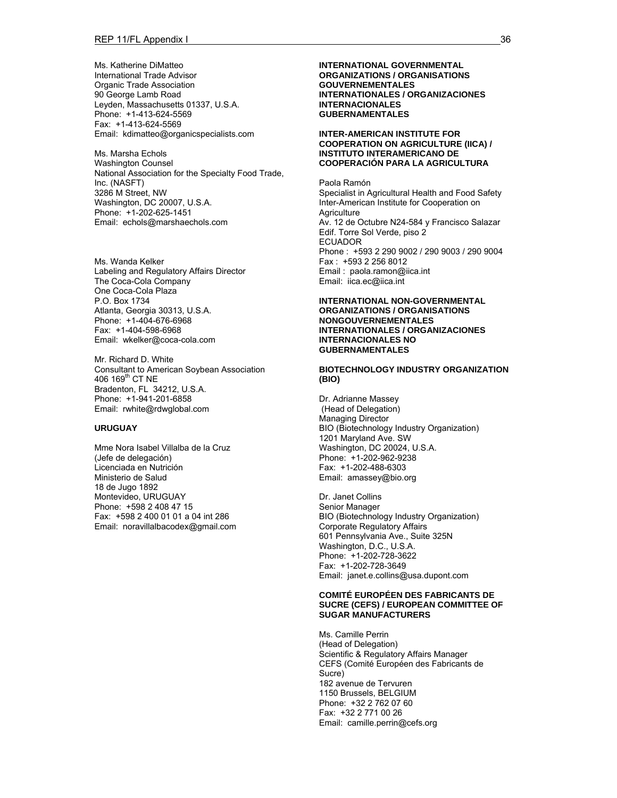Ms. Katherine DiMatteo International Trade Advisor Organic Trade Association 90 George Lamb Road Leyden, Massachusetts 01337, U.S.A. Phone: +1-413-624-5569 Fax: +1-413-624-5569 Email: kdimatteo@organicspecialists.com

Ms. Marsha Echols Washington Counsel National Association for the Specialty Food Trade, Inc. (NASFT) 3286 M Street, NW Washington, DC 20007, U.S.A. Phone: +1-202-625-1451 Email: echols@marshaechols.com

Ms. Wanda Kelker Labeling and Regulatory Affairs Director The Coca-Cola Company One Coca-Cola Plaza P.O. Box 1734 Atlanta, Georgia 30313, U.S.A. Phone: +1-404-676-6968 Fax: +1-404-598-6968 Email: wkelker@coca-cola.com

Mr. Richard D. White Consultant to American Soybean Association 406 169<sup>th</sup> CT NE Bradenton, FL 34212, U.S.A. Phone: +1-941-201-6858 Email: rwhite@rdwglobal.com

#### **URUGUAY**

Mme Nora Isabel Villalba de la Cruz (Jefe de delegación) Licenciada en Nutrición Ministerio de Salud 18 de Jugo 1892 Montevideo, URUGUAY Phone: +598 2 408 47 15 Fax: +598 2 400 01 01 a 04 int 286 Email: noravillalbacodex@gmail.com **INTERNATIONAL GOVERNMENTAL ORGANIZATIONS / ORGANISATIONS GOUVERNEMENTALES INTERNATIONALES / ORGANIZACIONES INTERNACIONALES GUBERNAMENTALES** 

**INTER-AMERICAN INSTITUTE FOR COOPERATION ON AGRICULTURE (IICA) / INSTITUTO INTERAMERICANO DE COOPERACIÓN PARA LA AGRICULTURA** 

Paola Ramón Specialist in Agricultural Health and Food Safety Inter-American Institute for Cooperation on **Agriculture** Av. 12 de Octubre N24-584 y Francisco Salazar Edif. Torre Sol Verde, piso 2 ECUADOR Phone : +593 2 290 9002 / 290 9003 / 290 9004 Fax : +593 2 256 8012 Email : paola.ramon@iica.int Email: iica.ec@iica.int

#### **INTERNATIONAL NON-GOVERNMENTAL ORGANIZATIONS / ORGANISATIONS NONGOUVERNEMENTALES INTERNATIONALES / ORGANIZACIONES INTERNACIONALES NO GUBERNAMENTALES**

#### **BIOTECHNOLOGY INDUSTRY ORGANIZATION (BIO)**

Dr. Adrianne Massey (Head of Delegation) Managing Director BIO (Biotechnology Industry Organization) 1201 Maryland Ave. SW Washington, DC 20024, U.S.A. Phone: +1-202-962-9238 Fax: +1-202-488-6303 Email: amassey@bio.org

Dr. Janet Collins Senior Manager BIO (Biotechnology Industry Organization) Corporate Regulatory Affairs 601 Pennsylvania Ave., Suite 325N Washington, D.C., U.S.A. Phone: +1-202-728-3622 Fax: +1-202-728-3649 Email: janet.e.collins@usa.dupont.com

#### **COMITÉ EUROPÉEN DES FABRICANTS DE SUCRE (CEFS) / EUROPEAN COMMITTEE OF SUGAR MANUFACTURERS**

Ms. Camille Perrin (Head of Delegation) Scientific & Regulatory Affairs Manager CEFS (Comité Européen des Fabricants de Sucre) 182 avenue de Tervuren 1150 Brussels, BELGIUM Phone: +32 2 762 07 60 Fax: +32 2 771 00 26 Email: camille.perrin@cefs.org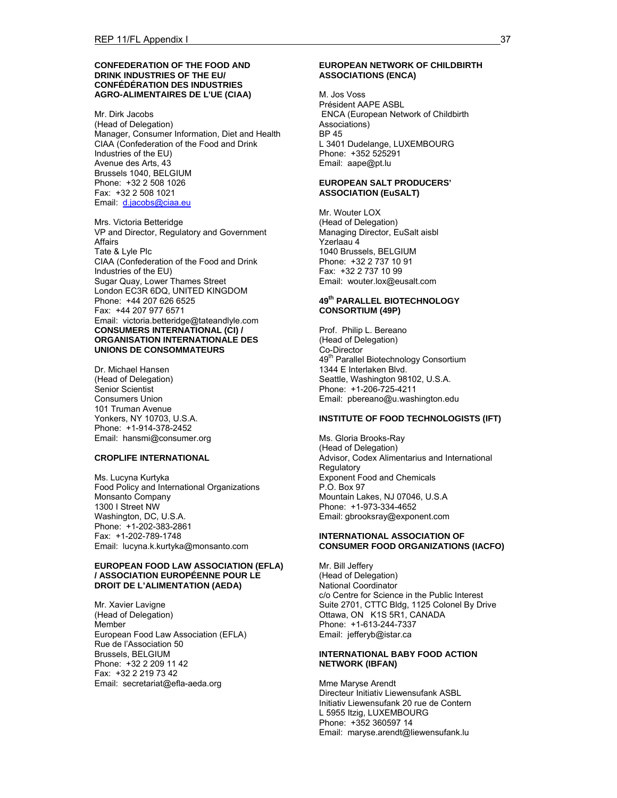#### **CONFEDERATION OF THE FOOD AND DRINK INDUSTRIES OF THE EU/ CONFÉDÉRATION DES INDUSTRIES AGRO-ALIMENTAIRES DE L'UE (CIAA)**

Mr. Dirk Jacobs (Head of Delegation) Manager, Consumer Information, Diet and Health CIAA (Confederation of the Food and Drink Industries of the EU) Avenue des Arts, 43 Brussels 1040, BELGIUM Phone: +32 2 508 1026 Fax: +32 2 508 1021 Email: d.jacobs@ciaa.eu

Mrs. Victoria Betteridge VP and Director, Regulatory and Government Affairs Tate & Lyle Plc CIAA (Confederation of the Food and Drink Industries of the EU) Sugar Quay, Lower Thames Street London EC3R 6DQ, UNITED KINGDOM Phone: +44 207 626 6525 Fax: +44 207 977 6571 Email: victoria.betteridge@tateandlyle.com **CONSUMERS INTERNATIONAL (CI) / ORGANISATION INTERNATIONALE DES UNIONS DE CONSOMMATEURS**

Dr. Michael Hansen (Head of Delegation) Senior Scientist Consumers Union 101 Truman Avenue Yonkers, NY 10703, U.S.A. Phone: +1-914-378-2452 Email: hansmi@consumer.org

#### **CROPLIFE INTERNATIONAL**

Ms. Lucyna Kurtyka Food Policy and International Organizations Monsanto Company 1300 I Street NW Washington, DC, U.S.A. Phone: +1-202-383-2861 Fax: +1-202-789-1748 Email: lucyna.k.kurtyka@monsanto.com

#### **EUROPEAN FOOD LAW ASSOCIATION (EFLA) / ASSOCIATION EUROPÉENNE POUR LE DROIT DE L'ALIMENTATION (AEDA)**

Mr. Xavier Lavigne (Head of Delegation) Member European Food Law Association (EFLA) Rue de l'Association 50 Brussels, BELGIUM Phone: +32 2 209 11 42 Fax: +32 2 219 73 42 Email: secretariat@efla-aeda.org

#### **EUROPEAN NETWORK OF CHILDBIRTH ASSOCIATIONS (ENCA)**

M. Jos Voss Président AAPE ASBL ENCA (European Network of Childbirth Associations) BP 45 L 3401 Dudelange, LUXEMBOURG Phone: +352 525291 Email: aape@pt.lu

#### **EUROPEAN SALT PRODUCERS' ASSOCIATION (EuSALT)**

Mr. Wouter LOX (Head of Delegation) Managing Director, EuSalt aisbl Yzerlaau 4 1040 Brussels, BELGIUM Phone: +32 2 737 10 91 Fax: +32 2 737 10 99 Email: wouter.lox@eusalt.com

### **49th PARALLEL BIOTECHNOLOGY CONSORTIUM (49P)**

Prof. Philip L. Bereano (Head of Delegation) Co-Director 49<sup>th</sup> Parallel Biotechnology Consortium 1344 E Interlaken Blvd. Seattle, Washington 98102, U.S.A. Phone: +1-206-725-4211 Email: pbereano@u.washington.edu

#### **INSTITUTE OF FOOD TECHNOLOGISTS (IFT)**

Ms. Gloria Brooks-Ray (Head of Delegation) Advisor, Codex Alimentarius and International **Regulatory** Exponent Food and Chemicals P.O. Box 97 Mountain Lakes, NJ 07046, U.S.A Phone: +1-973-334-4652 Email: gbrooksray@exponent.com

#### **INTERNATIONAL ASSOCIATION OF CONSUMER FOOD ORGANIZATIONS (IACFO)**

Mr. Bill Jeffery (Head of Delegation) National Coordinator c/o Centre for Science in the Public Interest Suite 2701, CTTC Bldg, 1125 Colonel By Drive Ottawa, ON K1S 5R1, CANADA Phone: +1-613-244-7337 Email: jefferyb@istar.ca

#### **INTERNATIONAL BABY FOOD ACTION NETWORK (IBFAN)**

Mme Maryse Arendt Directeur Initiativ Liewensufank ASBL Initiativ Liewensufank 20 rue de Contern L 5955 Itzig, LUXEMBOURG Phone: +352 360597 14 Email: maryse.arendt@liewensufank.lu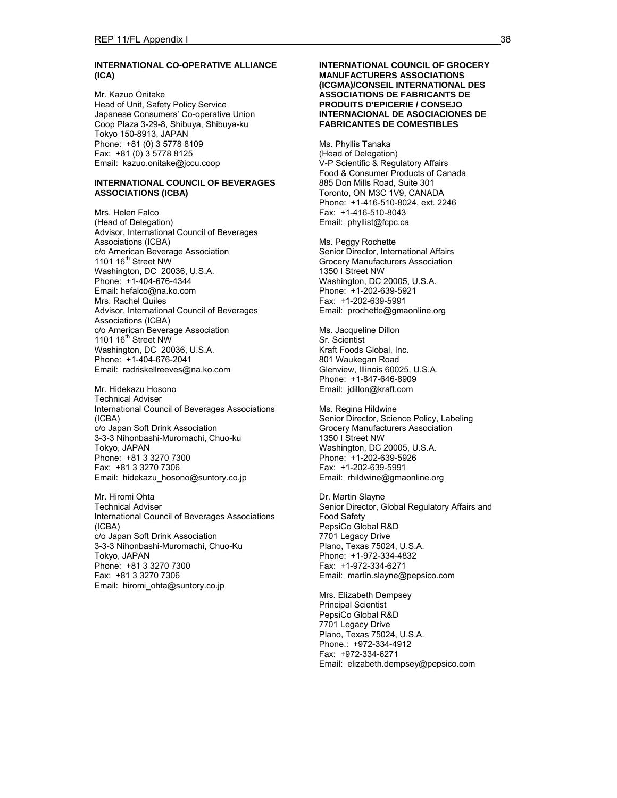### **INTERNATIONAL CO-OPERATIVE ALLIANCE (ICA)**

Mr. Kazuo Onitake Head of Unit, Safety Policy Service Japanese Consumers' Co-operative Union Coop Plaza 3-29-8, Shibuya, Shibuya-ku Tokyo 150-8913, JAPAN Phone: +81 (0) 3 5778 8109 Fax: +81 (0) 3 5778 8125 Email: kazuo.onitake@jccu.coop

#### **INTERNATIONAL COUNCIL OF BEVERAGES ASSOCIATIONS (ICBA)**

Mrs. Helen Falco (Head of Delegation) Advisor, International Council of Beverages Associations (ICBA) c/o American Beverage Association 1101 16<sup>th</sup> Street NW Washington, DC 20036, U.S.A. Phone: +1-404-676-4344 Email: hefalco@na.ko.com Mrs. Rachel Quiles Advisor, International Council of Beverages Associations (ICBA) c/o American Beverage Association 1101 16<sup>th</sup> Street NW Washington, DC 20036, U.S.A. Phone: +1-404-676-2041 Email: radriskellreeves@na.ko.com

Mr. Hidekazu Hosono Technical Adviser International Council of Beverages Associations (ICBA) c/o Japan Soft Drink Association 3-3-3 Nihonbashi-Muromachi, Chuo-ku Tokyo, JAPAN Phone: +81 3 3270 7300 Fax: +81 3 3270 7306 Email: hidekazu\_hosono@suntory.co.jp

Mr. Hiromi Ohta Technical Adviser International Council of Beverages Associations (ICBA) c/o Japan Soft Drink Association 3-3-3 Nihonbashi-Muromachi, Chuo-Ku Tokyo, JAPAN Phone: +81 3 3270 7300 Fax: +81 3 3270 7306 Email: hiromi\_ohta@suntory.co.jp

#### **INTERNATIONAL COUNCIL OF GROCERY MANUFACTURERS ASSOCIATIONS (ICGMA)/CONSEIL INTERNATIONAL DES ASSOCIATIONS DE FABRICANTS DE PRODUITS D'EPICERIE / CONSEJO INTERNACIONAL DE ASOCIACIONES DE FABRICANTES DE COMESTIBLES**

Ms. Phyllis Tanaka (Head of Delegation) V-P Scientific & Regulatory Affairs Food & Consumer Products of Canada 885 Don Mills Road, Suite 301 Toronto, ON M3C 1V9, CANADA Phone: +1-416-510-8024, ext. 2246 Fax: +1-416-510-8043 Email: phyllist@fcpc.ca

Ms. Peggy Rochette Senior Director, International Affairs Grocery Manufacturers Association 1350 I Street NW Washington, DC 20005, U.S.A. Phone: +1-202-639-5921 Fax: +1-202-639-5991 Email: prochette@gmaonline.org

Ms. Jacqueline Dillon Sr. Scientist Kraft Foods Global, Inc. 801 Waukegan Road Glenview, Illinois 60025, U.S.A. Phone: +1-847-646-8909 Email: jdillon@kraft.com

Ms. Regina Hildwine Senior Director, Science Policy, Labeling Grocery Manufacturers Association 1350 I Street NW Washington, DC 20005, U.S.A. Phone: +1-202-639-5926 Fax: +1-202-639-5991 Email: rhildwine@gmaonline.org

Dr. Martin Slayne Senior Director, Global Regulatory Affairs and Food Safety PepsiCo Global R&D 7701 Legacy Drive Plano, Texas 75024, U.S.A. Phone: +1-972-334-4832 Fax: +1-972-334-6271 Email: martin.slayne@pepsico.com

Mrs. Elizabeth Dempsey Principal Scientist PepsiCo Global R&D 7701 Legacy Drive Plano, Texas 75024, U.S.A. Phone.: +972-334-4912 Fax: +972-334-6271 Email: elizabeth.dempsey@pepsico.com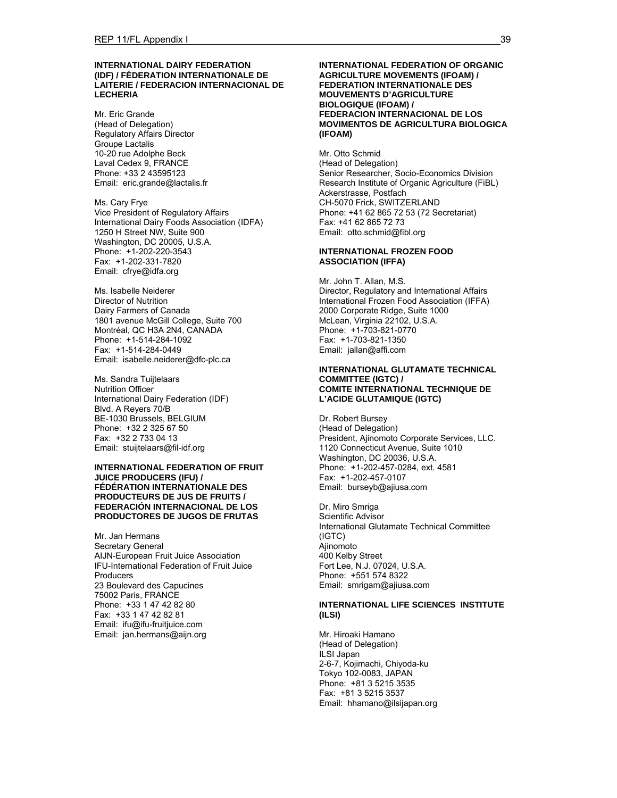#### **INTERNATIONAL DAIRY FEDERATION (IDF) / FÉDERATION INTERNATIONALE DE LAITERIE / FEDERACION INTERNACIONAL DE LECHERIA**

Mr. Eric Grande (Head of Delegation) Regulatory Affairs Director Groupe Lactalis 10-20 rue Adolphe Beck Laval Cedex 9, FRANCE Phone: +33 2 43595123 Email: eric.grande@lactalis.fr

Ms. Cary Frye Vice President of Regulatory Affairs International Dairy Foods Association (IDFA) 1250 H Street NW, Suite 900 Washington, DC 20005, U.S.A. Phone: +1-202-220-3543 Fax: +1-202-331-7820 Email: cfrye@idfa.org

Ms. Isabelle Neiderer Director of Nutrition Dairy Farmers of Canada 1801 avenue McGill College, Suite 700 Montréal, QC H3A 2N4, CANADA Phone: +1-514-284-1092 Fax: +1-514-284-0449 Email: isabelle.neiderer@dfc-plc.ca

Ms. Sandra Tuijtelaars Nutrition Officer International Dairy Federation (IDF) Blvd. A Reyers 70/B BE-1030 Brussels, BELGIUM Phone: +32 2 325 67 50 Fax: +32 2 733 04 13 Email: stuijtelaars@fil-idf.org

#### **INTERNATIONAL FEDERATION OF FRUIT JUICE PRODUCERS (IFU) / FÉDÉRATION INTERNATIONALE DES PRODUCTEURS DE JUS DE FRUITS / FEDERACIÓN INTERNACIONAL DE LOS PRODUCTORES DE JUGOS DE FRUTAS**

Mr. Jan Hermans Secretary General AIJN-European Fruit Juice Association IFU-International Federation of Fruit Juice Producers 23 Boulevard des Capucines 75002 Paris, FRANCE Phone: +33 1 47 42 82 80 Fax: +33 1 47 42 82 81 Email: ifu@ifu-fruitjuice.com Email: jan.hermans@aijn.org

#### **INTERNATIONAL FEDERATION OF ORGANIC AGRICULTURE MOVEMENTS (IFOAM) / FEDERATION INTERNATIONALE DES MOUVEMENTS D'AGRICULTURE BIOLOGIQUE (IFOAM) / FEDERACION INTERNACIONAL DE LOS MOVIMENTOS DE AGRICULTURA BIOLOGICA (IFOAM)**

Mr. Otto Schmid (Head of Delegation) Senior Researcher, Socio-Economics Division Research Institute of Organic Agriculture (FiBL) Ackerstrasse, Postfach CH-5070 Frick, SWITZERLAND Phone: +41 62 865 72 53 (72 Secretariat) Fax: +41 62 865 72 73 Email: otto.schmid@fibl.org

### **INTERNATIONAL FROZEN FOOD ASSOCIATION (IFFA)**

Mr. John T. Allan, M.S. Director, Regulatory and International Affairs International Frozen Food Association (IFFA) 2000 Corporate Ridge, Suite 1000 McLean, Virginia 22102, U.S.A. Phone: +1-703-821-0770 Fax: +1-703-821-1350 Email: jallan@affi.com

#### **INTERNATIONAL GLUTAMATE TECHNICAL COMMITTEE (IGTC) / COMITE INTERNATIONAL TECHNIQUE DE L'ACIDE GLUTAMIQUE (IGTC)**

Dr. Robert Bursey (Head of Delegation) President, Ajinomoto Corporate Services, LLC. 1120 Connecticut Avenue, Suite 1010 Washington, DC 20036, U.S.A. Phone: +1-202-457-0284, ext. 4581 Fax: +1-202-457-0107 Email: burseyb@ajiusa.com

Dr. Miro Smriga Scientific Advisor International Glutamate Technical Committee (IGTC) Ajinomoto 400 Kelby Street Fort Lee, N.J. 07024, U.S.A. Phone: +551 574 8322 Email: smrigam@ajiusa.com

#### **INTERNATIONAL LIFE SCIENCES INSTITUTE (ILSI)**

Mr. Hiroaki Hamano (Head of Delegation) ILSI Japan 2-6-7, Kojimachi, Chiyoda-ku Tokyo 102-0083, JAPAN Phone: +81 3 5215 3535 Fax: +81 3 5215 3537 Email: hhamano@ilsijapan.org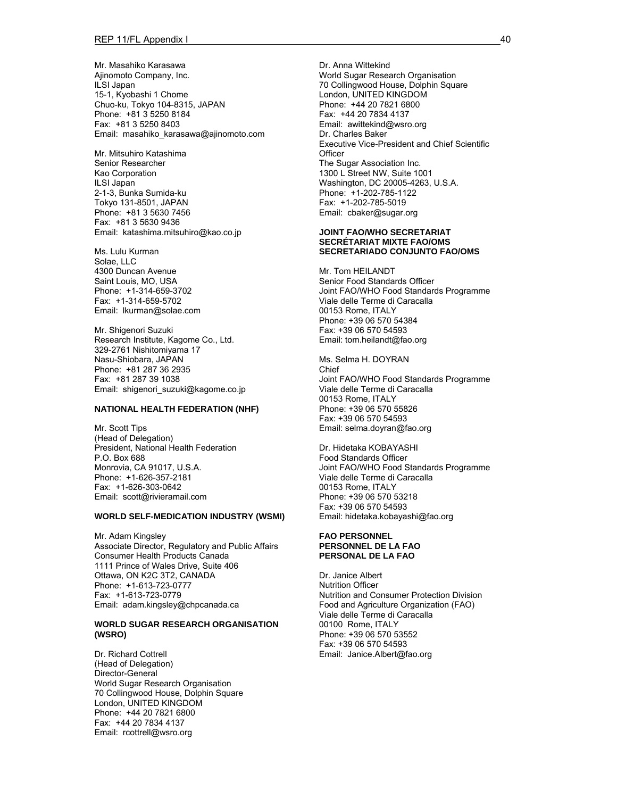Mr. Masahiko Karasawa Ajinomoto Company, Inc. ILSI Japan 15-1, Kyobashi 1 Chome Chuo-ku, Tokyo 104-8315, JAPAN Phone: +81 3 5250 8184 Fax: +81 3 5250 8403 Email: masahiko\_karasawa@ajinomoto.com

Mr. Mitsuhiro Katashima Senior Researcher Kao Corporation ILSI Japan 2-1-3, Bunka Sumida-ku Tokyo 131-8501, JAPAN Phone: +81 3 5630 7456 Fax: +81 3 5630 9436 Email: katashima.mitsuhiro@kao.co.jp

Ms. Lulu Kurman Solae, LLC 4300 Duncan Avenue Saint Louis, MO, USA Phone: +1-314-659-3702 Fax: +1-314-659-5702 Email: lkurman@solae.com

Mr. Shigenori Suzuki Research Institute, Kagome Co., Ltd. 329-2761 Nishitomiyama 17 Nasu-Shiobara, JAPAN Phone: +81 287 36 2935 Fax: +81 287 39 1038 Email: shigenori\_suzuki@kagome.co.jp

#### **NATIONAL HEALTH FEDERATION (NHF)**

Mr. Scott Tips (Head of Delegation) President, National Health Federation P.O. Box 688 Monrovia, CA 91017, U.S.A. Phone: +1-626-357-2181 Fax: +1-626-303-0642 Email: scott@rivieramail.com

#### **WORLD SELF-MEDICATION INDUSTRY (WSMI)**

Mr. Adam Kingsley Associate Director, Regulatory and Public Affairs Consumer Health Products Canada 1111 Prince of Wales Drive, Suite 406 Ottawa, ON K2C 3T2, CANADA Phone: +1-613-723-0777 Fax: +1-613-723-0779 Email: adam.kingsley@chpcanada.ca

#### **WORLD SUGAR RESEARCH ORGANISATION (WSRO)**

Dr. Richard Cottrell (Head of Delegation) Director-General World Sugar Research Organisation 70 Collingwood House, Dolphin Square London, UNITED KINGDOM Phone: +44 20 7821 6800 Fax: +44 20 7834 4137 Email: rcottrell@wsro.org

Dr. Anna Wittekind World Sugar Research Organisation 70 Collingwood House, Dolphin Square London, UNITED KINGDOM Phone: +44 20 7821 6800 Fax: +44 20 7834 4137 Email: awittekind@wsro.org Dr. Charles Baker Executive Vice-President and Chief Scientific **Officer** The Sugar Association Inc. 1300 L Street NW, Suite 1001 Washington, DC 20005-4263, U.S.A. Phone: +1-202-785-1122 Fax: +1-202-785-5019 Email: cbaker@sugar.org

#### **JOINT FAO/WHO SECRETARIAT SECRÉTARIAT MIXTE FAO/OMS SECRETARIADO CONJUNTO FAO/OMS**

Mr. Tom HEILANDT Senior Food Standards Officer Joint FAO/WHO Food Standards Programme Viale delle Terme di Caracalla 00153 Rome, ITALY Phone: +39 06 570 54384 Fax: +39 06 570 54593 Email: tom.heilandt@fao.org

Ms. Selma H. DOYRAN Chief Joint FAO/WHO Food Standards Programme Viale delle Terme di Caracalla 00153 Rome, ITALY Phone: +39 06 570 55826 Fax: +39 06 570 54593 Email: selma.doyran@fao.org

Dr. Hidetaka KOBAYASHI Food Standards Officer Joint FAO/WHO Food Standards Programme Viale delle Terme di Caracalla 00153 Rome, ITALY Phone: +39 06 570 53218 Fax: +39 06 570 54593 Email: hidetaka.kobayashi@fao.org

#### **FAO PERSONNEL PERSONNEL DE LA FAO PERSONAL DE LA FAO**

Dr. Janice Albert Nutrition Officer Nutrition and Consumer Protection Division Food and Agriculture Organization (FAO) Viale delle Terme di Caracalla 00100 Rome, ITALY Phone: +39 06 570 53552 Fax: +39 06 570 54593 Email: Janice.Albert@fao.org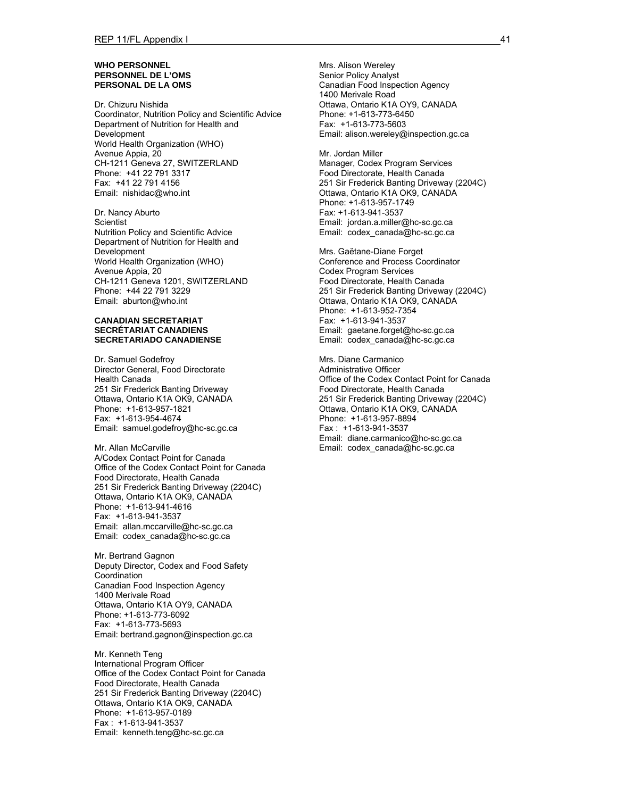#### **WHO PERSONNEL PERSONNEL DE L'OMS PERSONAL DE LA OMS**

Dr. Chizuru Nishida Coordinator, Nutrition Policy and Scientific Advice Department of Nutrition for Health and Development World Health Organization (WHO) Avenue Appia, 20 CH-1211 Geneva 27, SWITZERLAND Phone: +41 22 791 3317 Fax: +41 22 791 4156 Email: nishidac@who.int

Dr. Nancy Aburto **Scientist** Nutrition Policy and Scientific Advice Department of Nutrition for Health and Development World Health Organization (WHO) Avenue Appia, 20 CH-1211 Geneva 1201, SWITZERLAND Phone: +44 22 791 3229 Email: aburton@who.int

#### **CANADIAN SECRETARIAT SECRÉTARIAT CANADIENS SECRETARIADO CANADIENSE**

Dr. Samuel Godefroy Director General, Food Directorate Health Canada 251 Sir Frederick Banting Driveway Ottawa, Ontario K1A OK9, CANADA Phone: +1-613-957-1821 Fax: +1-613-954-4674 Email: samuel.godefroy@hc-sc.gc.ca

Mr. Allan McCarville A/Codex Contact Point for Canada Office of the Codex Contact Point for Canada Food Directorate, Health Canada 251 Sir Frederick Banting Driveway (2204C) Ottawa, Ontario K1A OK9, CANADA Phone: +1-613-941-4616 Fax: +1-613-941-3537 Email: allan.mccarville@hc-sc.gc.ca Email: codex\_canada@hc-sc.gc.ca

Mr. Bertrand Gagnon Deputy Director, Codex and Food Safety Coordination Canadian Food Inspection Agency 1400 Merivale Road Ottawa, Ontario K1A OY9, CANADA Phone: +1-613-773-6092 Fax: +1-613-773-5693 Email: bertrand.gagnon@inspection.gc.ca

Mr. Kenneth Teng International Program Officer Office of the Codex Contact Point for Canada Food Directorate, Health Canada 251 Sir Frederick Banting Driveway (2204C) Ottawa, Ontario K1A OK9, CANADA Phone: +1-613-957-0189 Fax : +1-613-941-3537 Email: kenneth.teng@hc-sc.gc.ca

Mrs. Alison Wereley Senior Policy Analyst Canadian Food Inspection Agency 1400 Merivale Road Ottawa, Ontario K1A OY9, CANADA Phone: +1-613-773-6450 Fax: +1-613-773-5603 Email: alison.wereley@inspection.gc.ca

Mr. Jordan Miller Manager, Codex Program Services Food Directorate, Health Canada 251 Sir Frederick Banting Driveway (2204C) Ottawa, Ontario K1A OK9, CANADA Phone: +1-613-957-1749 Fax: +1-613-941-3537 Email: jordan.a.miller@hc-sc.gc.ca Email: codex\_canada@hc-sc.gc.ca

Mrs. Gaëtane-Diane Forget Conference and Process Coordinator Codex Program Services Food Directorate, Health Canada 251 Sir Frederick Banting Driveway (2204C) Ottawa, Ontario K1A OK9, CANADA Phone: +1-613-952-7354 Fax: +1-613-941-3537 Email: gaetane.forget@hc-sc.gc.ca Email: codex canada@hc-sc.gc.ca

Mrs. Diane Carmanico Administrative Officer Office of the Codex Contact Point for Canada Food Directorate, Health Canada 251 Sir Frederick Banting Driveway (2204C) Ottawa, Ontario K1A OK9, CANADA Phone: +1-613-957-8894 Fax : +1-613-941-3537 Email: diane.carmanico@hc-sc.gc.ca Email: codex\_canada@hc-sc.gc.ca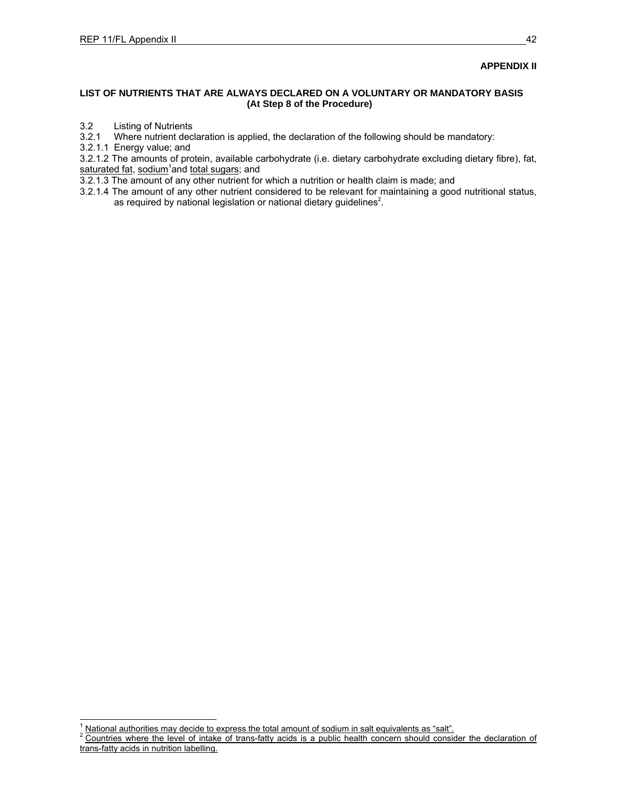### **APPENDIX II**

### **LIST OF NUTRIENTS THAT ARE ALWAYS DECLARED ON A VOLUNTARY OR MANDATORY BASIS (At Step 8 of the Procedure)**

## 3.2 Listing of Nutrients<br>3.2.1 Where nutrient dec

Where nutrient declaration is applied, the declaration of the following should be mandatory:

3.2.1.1 Energy value; and

l

3.2.1.2 The amounts of protein, available carbohydrate (i.e. dietary carbohydrate excluding dietary fibre), fat, saturated fat, sodium<sup>1</sup>and total sugars; and

3.2.1.3 The amount of any other nutrient for which a nutrition or health claim is made; and

3.2.1.4 The amount of any other nutrient considered to be relevant for maintaining a good nutritional status, as required by national legislation or national dietary guidelines<sup>2</sup>.

<sup>1</sup> National authorities may decide to express the total amount of sodium in salt equivalents as "salt".

<sup>2</sup> Countries where the level of intake of trans-fatty acids is a public health concern should consider the declaration of trans-fatty acids in nutrition labelling.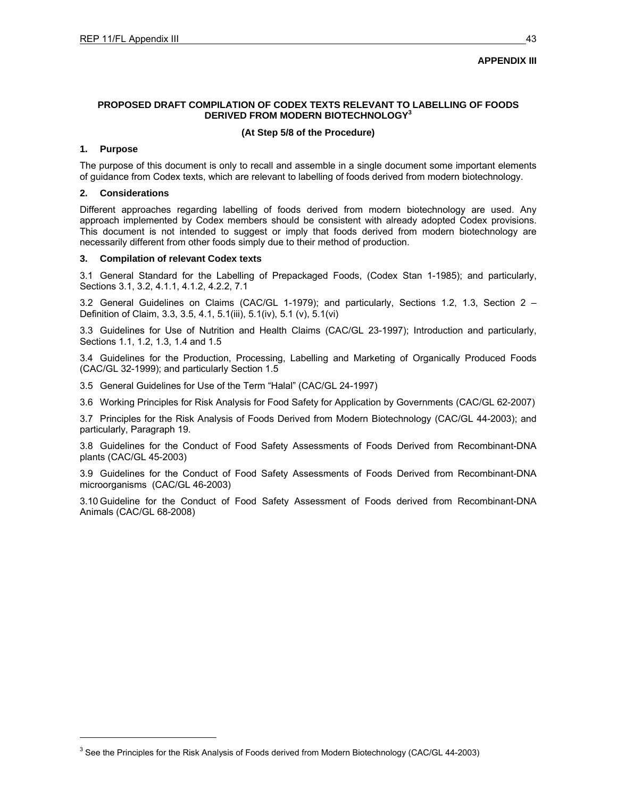### **APPENDIX III**

### **PROPOSED DRAFT COMPILATION OF CODEX TEXTS RELEVANT TO LABELLING OF FOODS DERIVED FROM MODERN BIOTECHNOLOGY3**

### **(At Step 5/8 of the Procedure)**

### **1. Purpose**

l

The purpose of this document is only to recall and assemble in a single document some important elements of guidance from Codex texts, which are relevant to labelling of foods derived from modern biotechnology.

### **2. Considerations**

Different approaches regarding labelling of foods derived from modern biotechnology are used. Any approach implemented by Codex members should be consistent with already adopted Codex provisions. This document is not intended to suggest or imply that foods derived from modern biotechnology are necessarily different from other foods simply due to their method of production.

### **3. Compilation of relevant Codex texts**

3.1 General Standard for the Labelling of Prepackaged Foods, (Codex Stan 1-1985); and particularly, Sections 3.1, 3.2, 4.1.1, 4.1.2, 4.2.2, 7.1

3.2 General Guidelines on Claims (CAC/GL 1-1979); and particularly, Sections 1.2, 1.3, Section 2 – Definition of Claim, 3.3, 3.5, 4.1, 5.1(iii), 5.1(iv), 5.1 (v), 5.1(vi)

3.3 Guidelines for Use of Nutrition and Health Claims (CAC/GL 23-1997); Introduction and particularly, Sections 1.1, 1.2, 1.3, 1.4 and 1.5

3.4 Guidelines for the Production, Processing, Labelling and Marketing of Organically Produced Foods (CAC/GL 32-1999); and particularly Section 1.5

3.5 General Guidelines for Use of the Term "Halal" (CAC/GL 24-1997)

3.6 Working Principles for Risk Analysis for Food Safety for Application by Governments (CAC/GL 62-2007)

3.7 Principles for the Risk Analysis of Foods Derived from Modern Biotechnology (CAC/GL 44-2003); and particularly, Paragraph 19.

3.8 Guidelines for the Conduct of Food Safety Assessments of Foods Derived from Recombinant-DNA plants (CAC/GL 45-2003)

3.9 Guidelines for the Conduct of Food Safety Assessments of Foods Derived from Recombinant-DNA microorganisms (CAC/GL 46-2003)

3.10 Guideline for the Conduct of Food Safety Assessment of Foods derived from Recombinant-DNA Animals (CAC/GL 68-2008)

<sup>&</sup>lt;sup>3</sup> See the Principles for the Risk Analysis of Foods derived from Modern Biotechnology (CAC/GL 44-2003)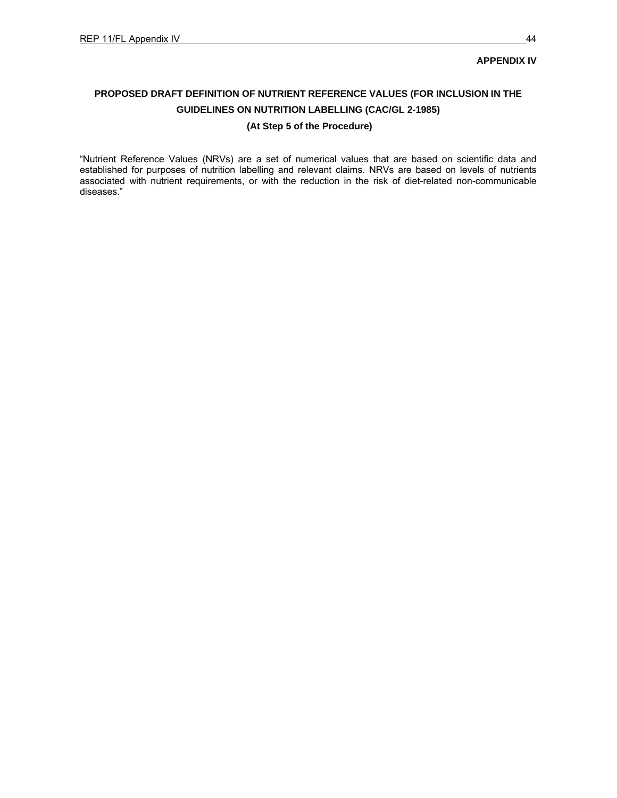### **APPENDIX IV**

## **PROPOSED DRAFT DEFINITION OF NUTRIENT REFERENCE VALUES (FOR INCLUSION IN THE GUIDELINES ON NUTRITION LABELLING (CAC/GL 2-1985) (At Step 5 of the Procedure)**

"Nutrient Reference Values (NRVs) are a set of numerical values that are based on scientific data and established for purposes of nutrition labelling and relevant claims. NRVs are based on levels of nutrients associated with nutrient requirements, or with the reduction in the risk of diet-related non-communicable diseases."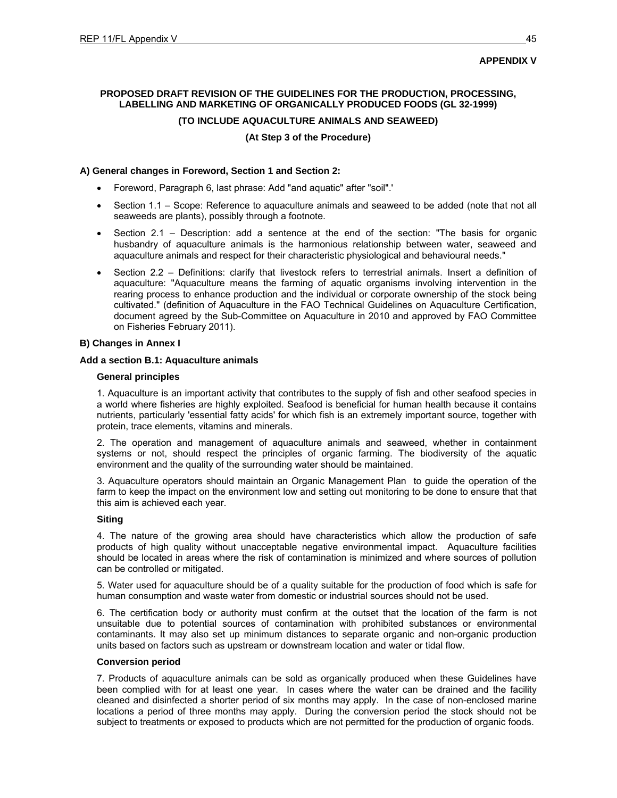### **APPENDIX V**

### **PROPOSED DRAFT REVISION OF THE GUIDELINES FOR THE PRODUCTION, PROCESSING, LABELLING AND MARKETING OF ORGANICALLY PRODUCED FOODS (GL 32-1999)**

### **(TO INCLUDE AQUACULTURE ANIMALS AND SEAWEED)**

### **(At Step 3 of the Procedure)**

### **A) General changes in Foreword, Section 1 and Section 2:**

- Foreword, Paragraph 6, last phrase: Add "and aquatic" after "soil".'
- Section 1.1 Scope: Reference to aquaculture animals and seaweed to be added (note that not all seaweeds are plants), possibly through a footnote.
- Section 2.1 Description: add a sentence at the end of the section: "The basis for organic husbandry of aquaculture animals is the harmonious relationship between water, seaweed and aquaculture animals and respect for their characteristic physiological and behavioural needs."
- Section 2.2 Definitions: clarify that livestock refers to terrestrial animals. Insert a definition of aquaculture: "Aquaculture means the farming of aquatic organisms involving intervention in the rearing process to enhance production and the individual or corporate ownership of the stock being cultivated." (definition of Aquaculture in the FAO Technical Guidelines on Aquaculture Certification, document agreed by the Sub-Committee on Aquaculture in 2010 and approved by FAO Committee on Fisheries February 2011).

### **B) Changes in Annex I**

### **Add a section B.1: Aquaculture animals**

### **General principles**

1. Aquaculture is an important activity that contributes to the supply of fish and other seafood species in a world where fisheries are highly exploited. Seafood is beneficial for human health because it contains nutrients, particularly 'essential fatty acids' for which fish is an extremely important source, together with protein, trace elements, vitamins and minerals.

2. The operation and management of aquaculture animals and seaweed, whether in containment systems or not, should respect the principles of organic farming. The biodiversity of the aquatic environment and the quality of the surrounding water should be maintained.

3. Aquaculture operators should maintain an Organic Management Plan to guide the operation of the farm to keep the impact on the environment low and setting out monitoring to be done to ensure that that this aim is achieved each year.

### **Siting**

4. The nature of the growing area should have characteristics which allow the production of safe products of high quality without unacceptable negative environmental impact. Aquaculture facilities should be located in areas where the risk of contamination is minimized and where sources of pollution can be controlled or mitigated.

5. Water used for aquaculture should be of a quality suitable for the production of food which is safe for human consumption and waste water from domestic or industrial sources should not be used.

6. The certification body or authority must confirm at the outset that the location of the farm is not unsuitable due to potential sources of contamination with prohibited substances or environmental contaminants. It may also set up minimum distances to separate organic and non-organic production units based on factors such as upstream or downstream location and water or tidal flow.

### **Conversion period**

7. Products of aquaculture animals can be sold as organically produced when these Guidelines have been complied with for at least one year. In cases where the water can be drained and the facility cleaned and disinfected a shorter period of six months may apply. In the case of non-enclosed marine locations a period of three months may apply. During the conversion period the stock should not be subject to treatments or exposed to products which are not permitted for the production of organic foods.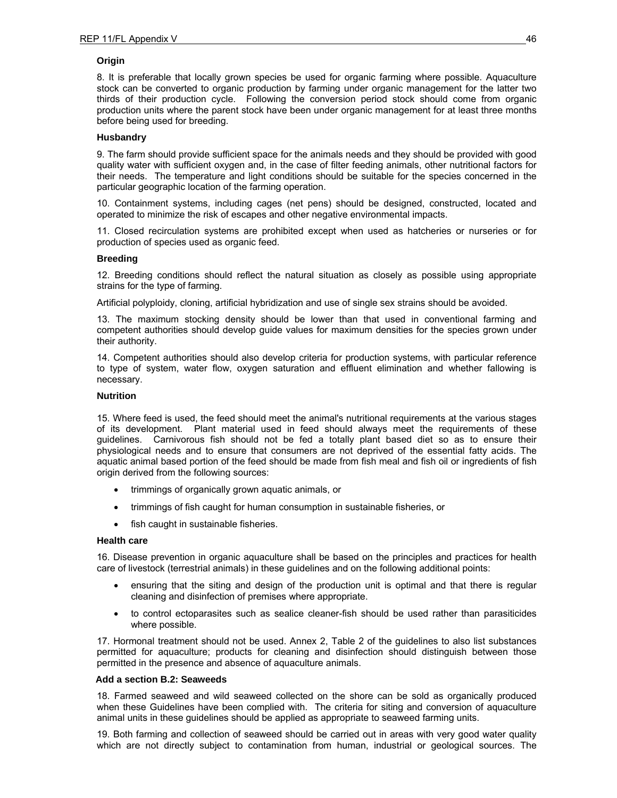### **Origin**

8. It is preferable that locally grown species be used for organic farming where possible. Aquaculture stock can be converted to organic production by farming under organic management for the latter two thirds of their production cycle. Following the conversion period stock should come from organic production units where the parent stock have been under organic management for at least three months before being used for breeding.

### **Husbandry**

9. The farm should provide sufficient space for the animals needs and they should be provided with good quality water with sufficient oxygen and, in the case of filter feeding animals, other nutritional factors for their needs. The temperature and light conditions should be suitable for the species concerned in the particular geographic location of the farming operation.

10. Containment systems, including cages (net pens) should be designed, constructed, located and operated to minimize the risk of escapes and other negative environmental impacts.

11. Closed recirculation systems are prohibited except when used as hatcheries or nurseries or for production of species used as organic feed.

### **Breeding**

12. Breeding conditions should reflect the natural situation as closely as possible using appropriate strains for the type of farming.

Artificial polyploidy, cloning, artificial hybridization and use of single sex strains should be avoided.

13. The maximum stocking density should be lower than that used in conventional farming and competent authorities should develop guide values for maximum densities for the species grown under their authority.

14. Competent authorities should also develop criteria for production systems, with particular reference to type of system, water flow, oxygen saturation and effluent elimination and whether fallowing is necessary.

### **Nutrition**

15. Where feed is used, the feed should meet the animal's nutritional requirements at the various stages of its development. Plant material used in feed should always meet the requirements of these guidelines. Carnivorous fish should not be fed a totally plant based diet so as to ensure their physiological needs and to ensure that consumers are not deprived of the essential fatty acids. The aquatic animal based portion of the feed should be made from fish meal and fish oil or ingredients of fish origin derived from the following sources:

- trimmings of organically grown aquatic animals, or
- trimmings of fish caught for human consumption in sustainable fisheries, or
- fish caught in sustainable fisheries.

### **Health care**

16. Disease prevention in organic aquaculture shall be based on the principles and practices for health care of livestock (terrestrial animals) in these guidelines and on the following additional points:

- ensuring that the siting and design of the production unit is optimal and that there is regular cleaning and disinfection of premises where appropriate.
- to control ectoparasites such as sealice cleaner-fish should be used rather than parasiticides where possible.

17. Hormonal treatment should not be used. Annex 2, Table 2 of the guidelines to also list substances permitted for aquaculture; products for cleaning and disinfection should distinguish between those permitted in the presence and absence of aquaculture animals.

### **Add a section B.2: Seaweeds**

18. Farmed seaweed and wild seaweed collected on the shore can be sold as organically produced when these Guidelines have been complied with. The criteria for siting and conversion of aquaculture animal units in these guidelines should be applied as appropriate to seaweed farming units.

19. Both farming and collection of seaweed should be carried out in areas with very good water quality which are not directly subject to contamination from human, industrial or geological sources. The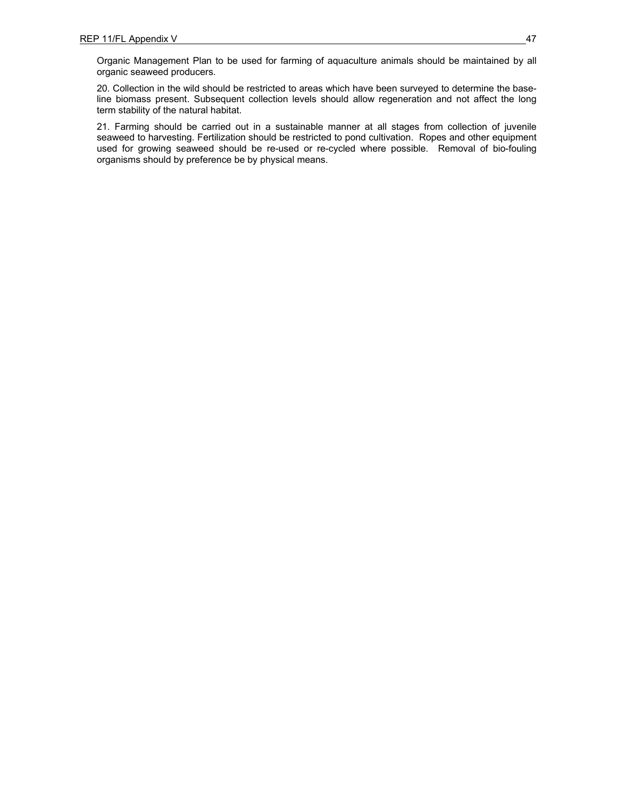Organic Management Plan to be used for farming of aquaculture animals should be maintained by all organic seaweed producers.

20. Collection in the wild should be restricted to areas which have been surveyed to determine the baseline biomass present. Subsequent collection levels should allow regeneration and not affect the long term stability of the natural habitat.

21. Farming should be carried out in a sustainable manner at all stages from collection of juvenile seaweed to harvesting. Fertilization should be restricted to pond cultivation. Ropes and other equipment used for growing seaweed should be re-used or re-cycled where possible. Removal of bio-fouling organisms should by preference be by physical means.